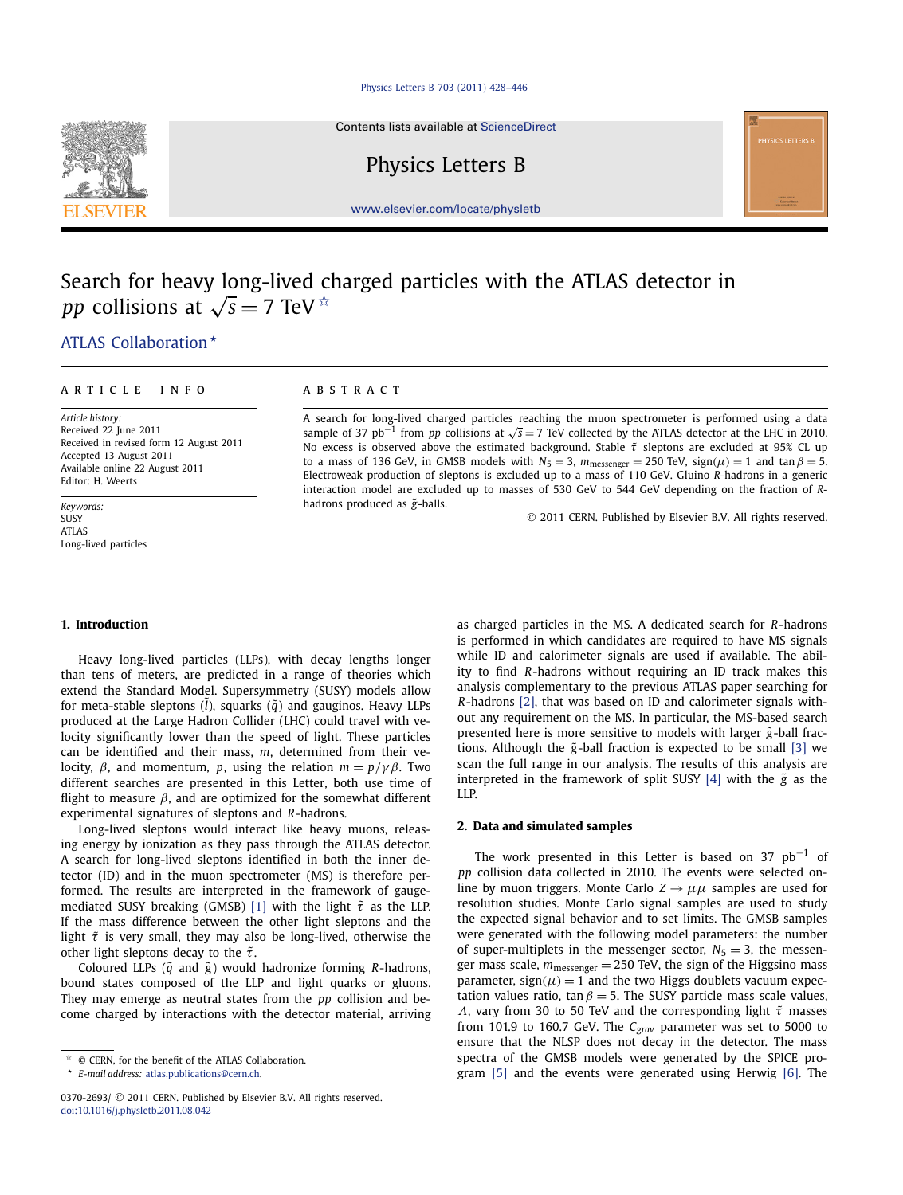Contents lists available at [ScienceDirect](http://www.ScienceDirect.com/)

Physics Letters B

[www.elsevier.com/locate/physletb](http://www.elsevier.com/locate/physletb)

# Search for heavy long-lived charged particles with the ATLAS detector in *pp* collisions at  $\sqrt{s} = 7$  TeV  $*$

[.ATLAS Collaboration](#page-7-0) *-*

#### article info abstract

*Article history:* Received 22 June 2011 Received in revised form 12 August 2011 Accepted 13 August 2011 Available online 22 August 2011 Editor: H. Weerts

*Keywords:* SUSY ATLAS Long-lived particles

A search for long-lived charged particles reaching the muon spectrometer is performed using a data sample of 37 pb<sup>-1</sup> from *pp* collisions at  $\sqrt{s}$  = 7 TeV collected by the ATLAS detector at the LHC in 2010. No excess is observed above the estimated background. Stable  $\tilde{\tau}$  sleptons are excluded at 95% CL up to a mass of 136 GeV, in GMSB models with  $N_5 = 3$ ,  $m_{\text{message}} = 250$  TeV,  $sign(\mu) = 1$  and  $tan \beta = 5$ . Electroweak production of sleptons is excluded up to a mass of 110 GeV. Gluino *R*-hadrons in a generic interaction model are excluded up to masses of 530 GeV to 544 GeV depending on the fraction of *R*hadrons produced as  $\tilde{g}$ -balls.

© 2011 CERN. Published by Elsevier B.V. All rights reserved.

# **1. Introduction**

Heavy long-lived particles (LLPs), with decay lengths longer than tens of meters, are predicted in a range of theories which extend the Standard Model. Supersymmetry (SUSY) models allow for meta-stable sleptons (*l*), squarks ( $\tilde{q}$ ) and gauginos. Heavy LLPs produced at the Large Hadron Collider (LHC) could travel with velocity significantly lower than the speed of light. These particles can be identified and their mass, *m*, determined from their velocity, *β*, and momentum, *<sup>p</sup>*, using the relation *<sup>m</sup>* = *<sup>p</sup>/γ β*. Two different searches are presented in this Letter, both use time of flight to measure  $\beta$ , and are optimized for the somewhat different experimental signatures of sleptons and *R*-hadrons.

Long-lived sleptons would interact like heavy muons, releasing energy by ionization as they pass through the ATLAS detector. A search for long-lived sleptons identified in both the inner detector (ID) and in the muon spectrometer (MS) is therefore performed. The results are interpreted in the framework of gauge-mediated SUSY breaking (GMSB) [\[1\]](#page-6-0) with the light  $\tilde{\tau}$  as the LLP. If the mass difference between the other light sleptons and the light  $\tilde{\tau}$  is very small, they may also be long-lived, otherwise the other light sleptons decay to the  $\tilde{\tau}$ .

Coloured LLPs (*q*˜ and *g*˜) would hadronize forming *R*-hadrons, bound states composed of the LLP and light quarks or gluons. They may emerge as neutral states from the *pp* collision and become charged by interactions with the detector material, arriving as charged particles in the MS. A dedicated search for *R*-hadrons is performed in which candidates are required to have MS signals while ID and calorimeter signals are used if available. The ability to find *R*-hadrons without requiring an ID track makes this analysis complementary to the previous ATLAS paper searching for *R*-hadrons [\[2\],](#page-6-0) that was based on ID and calorimeter signals without any requirement on the MS. In particular, the MS-based search presented here is more sensitive to models with larger  $\tilde{g}$ -ball fractions. Although the  $\tilde{g}$ -ball fraction is expected to be small [\[3\]](#page-6-0) we scan the full range in our analysis. The results of this analysis are interpreted in the framework of split SUSY  $[4]$  with the  $\tilde{g}$  as the LLP.

# **2. Data and simulated samples**

The work presented in this Letter is based on 37  $pb^{-1}$  of *pp* collision data collected in 2010. The events were selected online by muon triggers. Monte Carlo  $Z \rightarrow \mu\mu$  samples are used for resolution studies. Monte Carlo signal samples are used to study the expected signal behavior and to set limits. The GMSB samples were generated with the following model parameters: the number of super-multiplets in the messenger sector,  $N_5 = 3$ , the messenger mass scale, *m*messenger = 250 TeV, the sign of the Higgsino mass parameter,  $sign(\mu) = 1$  and the two Higgs doublets vacuum expectation values ratio, tan  $\beta = 5$ . The SUSY particle mass scale values, *Λ*, vary from 30 to 50 TeV and the corresponding light *τ*˜ masses from 101.9 to 160.7 GeV. The *Cgrav* parameter was set to 5000 to ensure that the NLSP does not decay in the detector. The mass spectra of the GMSB models were generated by the SPICE program [\[5\]](#page-6-0) and the events were generated using Herwig [\[6\].](#page-6-0) The



 $\hat{z}$  © CERN, for the benefit of the ATLAS Collaboration.

*<sup>-</sup> E-mail address:* [atlas.publications@cern.ch.](mailto:atlas.publications@cern.ch)

<sup>0370-2693/</sup> © 2011 CERN. Published by Elsevier B.V. All rights reserved. [doi:10.1016/j.physletb.2011.08.042](http://dx.doi.org/10.1016/j.physletb.2011.08.042)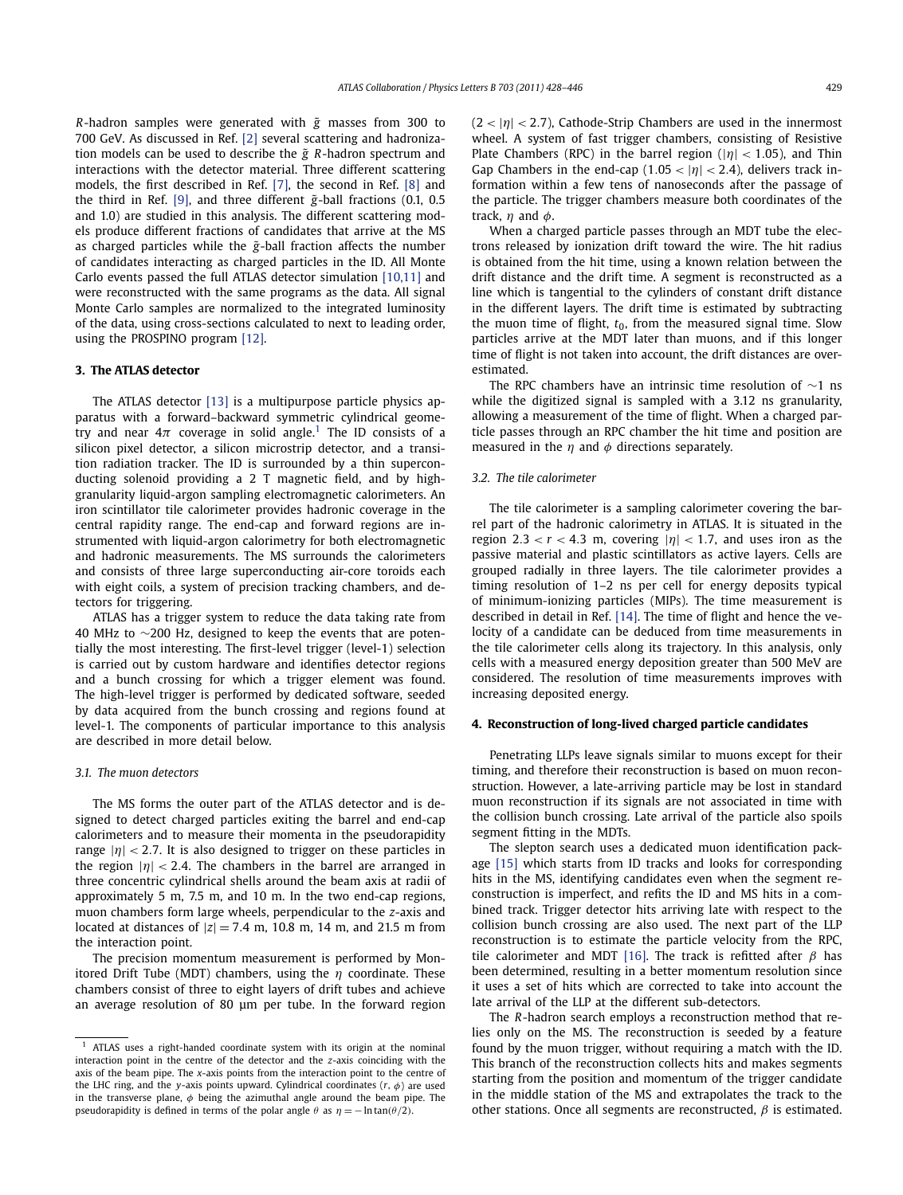*R*-hadron samples were generated with *g*˜ masses from 300 to 700 GeV. As discussed in Ref. [\[2\]](#page-6-0) several scattering and hadronization models can be used to describe the  $\tilde{g}$   $R$ -hadron spectrum and interactions with the detector material. Three different scattering models, the first described in Ref. [\[7\],](#page-6-0) the second in Ref. [\[8\]](#page-6-0) and the third in Ref. [\[9\],](#page-6-0) and three different  $\tilde{g}$ -ball fractions (0.1, 0.5) and 1.0) are studied in this analysis. The different scattering models produce different fractions of candidates that arrive at the MS as charged particles while the  $\tilde{g}$ -ball fraction affects the number of candidates interacting as charged particles in the ID. All Monte Carlo events passed the full ATLAS detector simulation [\[10,11\]](#page-6-0) and were reconstructed with the same programs as the data. All signal Monte Carlo samples are normalized to the integrated luminosity of the data, using cross-sections calculated to next to leading order, using the PROSPINO program [\[12\].](#page-6-0)

# **3. The ATLAS detector**

The ATLAS detector [\[13\]](#page-6-0) is a multipurpose particle physics apparatus with a forward–backward symmetric cylindrical geometry and near  $4\pi$  coverage in solid angle.<sup>1</sup> The ID consists of a silicon pixel detector, a silicon microstrip detector, and a transition radiation tracker. The ID is surrounded by a thin superconducting solenoid providing a 2 T magnetic field, and by highgranularity liquid-argon sampling electromagnetic calorimeters. An iron scintillator tile calorimeter provides hadronic coverage in the central rapidity range. The end-cap and forward regions are instrumented with liquid-argon calorimetry for both electromagnetic and hadronic measurements. The MS surrounds the calorimeters and consists of three large superconducting air-core toroids each with eight coils, a system of precision tracking chambers, and detectors for triggering.

ATLAS has a trigger system to reduce the data taking rate from 40 MHz to ∼200 Hz, designed to keep the events that are potentially the most interesting. The first-level trigger (level-1) selection is carried out by custom hardware and identifies detector regions and a bunch crossing for which a trigger element was found. The high-level trigger is performed by dedicated software, seeded by data acquired from the bunch crossing and regions found at level-1. The components of particular importance to this analysis are described in more detail below.

#### *3.1. The muon detectors*

The MS forms the outer part of the ATLAS detector and is designed to detect charged particles exiting the barrel and end-cap calorimeters and to measure their momenta in the pseudorapidity range  $|\eta|$  < 2.7. It is also designed to trigger on these particles in the region  $|\eta|$  < 2.4. The chambers in the barrel are arranged in three concentric cylindrical shells around the beam axis at radii of approximately 5 m, 7.5 m, and 10 m. In the two end-cap regions, muon chambers form large wheels, perpendicular to the *z*-axis and located at distances of  $|z| = 7.4$  m, 10.8 m, 14 m, and 21.5 m from the interaction point.

The precision momentum measurement is performed by Monitored Drift Tube (MDT) chambers, using the *η* coordinate. These chambers consist of three to eight layers of drift tubes and achieve an average resolution of 80 μm per tube. In the forward region (2 *<* |*η*| *<* <sup>2</sup>*.*7), Cathode-Strip Chambers are used in the innermost wheel. A system of fast trigger chambers, consisting of Resistive Plate Chambers (RPC) in the barrel region (|*η*| *<* <sup>1</sup>*.*05), and Thin Gap Chambers in the end-cap  $(1.05 < |\eta| < 2.4)$ , delivers track information within a few tens of nanoseconds after the passage of the particle. The trigger chambers measure both coordinates of the track, *η* and *φ*.

When a charged particle passes through an MDT tube the electrons released by ionization drift toward the wire. The hit radius is obtained from the hit time, using a known relation between the drift distance and the drift time. A segment is reconstructed as a line which is tangential to the cylinders of constant drift distance in the different layers. The drift time is estimated by subtracting the muon time of flight,  $t_0$ , from the measured signal time. Slow particles arrive at the MDT later than muons, and if this longer time of flight is not taken into account, the drift distances are overestimated.

The RPC chambers have an intrinsic time resolution of ∼1 ns while the digitized signal is sampled with a 3.12 ns granularity, allowing a measurement of the time of flight. When a charged particle passes through an RPC chamber the hit time and position are measured in the *η* and *φ* directions separately.

# *3.2. The tile calorimeter*

The tile calorimeter is a sampling calorimeter covering the barrel part of the hadronic calorimetry in ATLAS. It is situated in the region 2.3  $< r < 4.3$  m, covering  $|\eta| < 1.7$ , and uses iron as the passive material and plastic scintillators as active layers. Cells are grouped radially in three layers. The tile calorimeter provides a timing resolution of 1–2 ns per cell for energy deposits typical of minimum-ionizing particles (MIPs). The time measurement is described in detail in Ref. [\[14\].](#page-6-0) The time of flight and hence the velocity of a candidate can be deduced from time measurements in the tile calorimeter cells along its trajectory. In this analysis, only cells with a measured energy deposition greater than 500 MeV are considered. The resolution of time measurements improves with increasing deposited energy.

### **4. Reconstruction of long-lived charged particle candidates**

Penetrating LLPs leave signals similar to muons except for their timing, and therefore their reconstruction is based on muon reconstruction. However, a late-arriving particle may be lost in standard muon reconstruction if its signals are not associated in time with the collision bunch crossing. Late arrival of the particle also spoils segment fitting in the MDTs.

The slepton search uses a dedicated muon identification package [\[15\]](#page-6-0) which starts from ID tracks and looks for corresponding hits in the MS, identifying candidates even when the segment reconstruction is imperfect, and refits the ID and MS hits in a combined track. Trigger detector hits arriving late with respect to the collision bunch crossing are also used. The next part of the LLP reconstruction is to estimate the particle velocity from the RPC, tile calorimeter and MDT [\[16\].](#page-6-0) The track is refitted after *β* has been determined, resulting in a better momentum resolution since it uses a set of hits which are corrected to take into account the late arrival of the LLP at the different sub-detectors.

The *R*-hadron search employs a reconstruction method that relies only on the MS. The reconstruction is seeded by a feature found by the muon trigger, without requiring a match with the ID. This branch of the reconstruction collects hits and makes segments starting from the position and momentum of the trigger candidate in the middle station of the MS and extrapolates the track to the other stations. Once all segments are reconstructed, *β* is estimated.

<sup>1</sup> ATLAS uses a right-handed coordinate system with its origin at the nominal interaction point in the centre of the detector and the *z*-axis coinciding with the axis of the beam pipe. The *x*-axis points from the interaction point to the centre of the LHC ring, and the *y*-axis points upward. Cylindrical coordinates  $(r, \phi)$  are used in the transverse plane, *φ* being the azimuthal angle around the beam pipe. The pseudorapidity is defined in terms of the polar angle  $\theta$  as  $\eta = -\ln \tan(\theta/2)$ .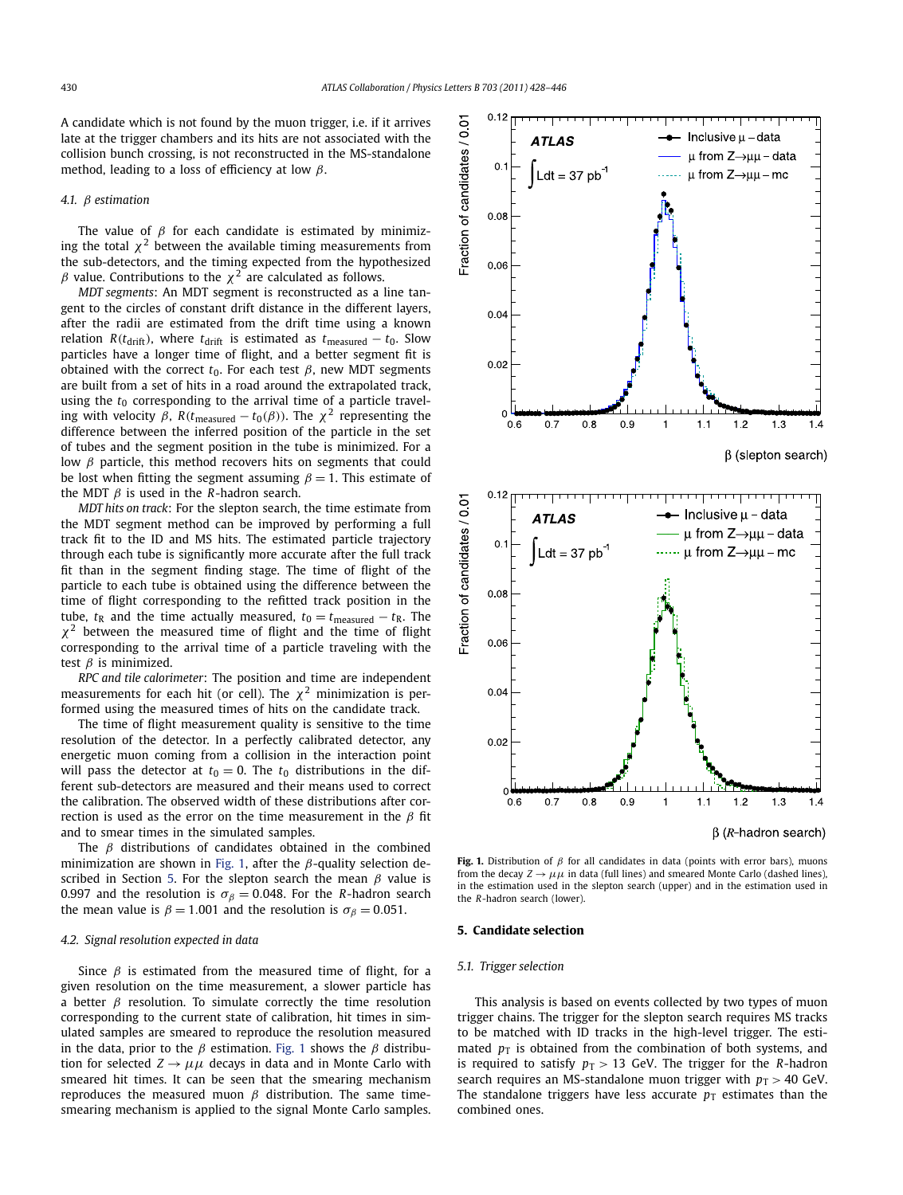A candidate which is not found by the muon trigger, i.e. if it arrives late at the trigger chambers and its hits are not associated with the collision bunch crossing, is not reconstructed in the MS-standalone method, leading to a loss of efficiency at low *β*.

#### *4.1. β estimation*

The value of *β* for each candidate is estimated by minimizing the total  $\chi^2$  between the available timing measurements from the sub-detectors, and the timing expected from the hypothesized *β* value. Contributions to the  $\chi^2$  are calculated as follows.

*MDT segments*: An MDT segment is reconstructed as a line tangent to the circles of constant drift distance in the different layers, after the radii are estimated from the drift time using a known relation *R*( $t_{\text{drift}}$ ), where  $t_{\text{drift}}$  is estimated as  $t_{\text{measured}} - t_0$ . Slow particles have a longer time of flight, and a better segment fit is obtained with the correct  $t_0$ . For each test  $β$ , new MDT segments are built from a set of hits in a road around the extrapolated track, using the  $t_0$  corresponding to the arrival time of a particle traveling with velocity  $\beta$ ,  $R(t_{\text{measured}} - t_0(\beta))$ . The  $\chi^2$  representing the difference between the inferred position of the particle in the set of tubes and the segment position in the tube is minimized. For a low *β* particle, this method recovers hits on segments that could be lost when fitting the segment assuming  $\beta = 1$ . This estimate of the MDT *β* is used in the *R*-hadron search.

*MDT hits on track*: For the slepton search, the time estimate from the MDT segment method can be improved by performing a full track fit to the ID and MS hits. The estimated particle trajectory through each tube is significantly more accurate after the full track fit than in the segment finding stage. The time of flight of the particle to each tube is obtained using the difference between the time of flight corresponding to the refitted track position in the tube,  $t<sub>R</sub>$  and the time actually measured,  $t<sub>0</sub> = t<sub>measured</sub> - t<sub>R</sub>$ . The *χ*<sup>2</sup> between the measured time of flight and the time of flight corresponding to the arrival time of a particle traveling with the test *β* is minimized.

*RPC and tile calorimeter*: The position and time are independent measurements for each hit (or cell). The  $\chi^2$  minimization is performed using the measured times of hits on the candidate track.

The time of flight measurement quality is sensitive to the time resolution of the detector. In a perfectly calibrated detector, any energetic muon coming from a collision in the interaction point will pass the detector at  $t_0 = 0$ . The  $t_0$  distributions in the different sub-detectors are measured and their means used to correct the calibration. The observed width of these distributions after correction is used as the error on the time measurement in the *β* fit and to smear times in the simulated samples.

The *β* distributions of candidates obtained in the combined minimization are shown in Fig. 1, after the *β*-quality selection described in Section 5. For the slepton search the mean *β* value is 0.997 and the resolution is  $\sigma_{\beta} = 0.048$ . For the *R*-hadron search the mean value is  $\beta = 1.001$  and the resolution is  $\sigma_{\beta} = 0.051$ .

#### *4.2. Signal resolution expected in data*

Since *β* is estimated from the measured time of flight, for a given resolution on the time measurement, a slower particle has a better  $\beta$  resolution. To simulate correctly the time resolution corresponding to the current state of calibration, hit times in simulated samples are smeared to reproduce the resolution measured in the data, prior to the *β* estimation. Fig. 1 shows the *β* distribution for selected  $Z \rightarrow \mu\mu$  decays in data and in Monte Carlo with smeared hit times. It can be seen that the smearing mechanism reproduces the measured muon  $β$  distribution. The same timesmearing mechanism is applied to the signal Monte Carlo samples.



**Fig. 1.** Distribution of *β* for all candidates in data (points with error bars), muons from the decay  $Z \rightarrow \mu\mu$  in data (full lines) and smeared Monte Carlo (dashed lines), in the estimation used in the slepton search (upper) and in the estimation used in the *R*-hadron search (lower).

# **5. Candidate selection**

# *5.1. Trigger selection*

This analysis is based on events collected by two types of muon trigger chains. The trigger for the slepton search requires MS tracks to be matched with ID tracks in the high-level trigger. The estimated  $p<sub>T</sub>$  is obtained from the combination of both systems, and is required to satisfy  $p_T > 13$  GeV. The trigger for the *R*-hadron search requires an MS-standalone muon trigger with  $p_T > 40$  GeV. The standalone triggers have less accurate  $p<sub>T</sub>$  estimates than the combined ones.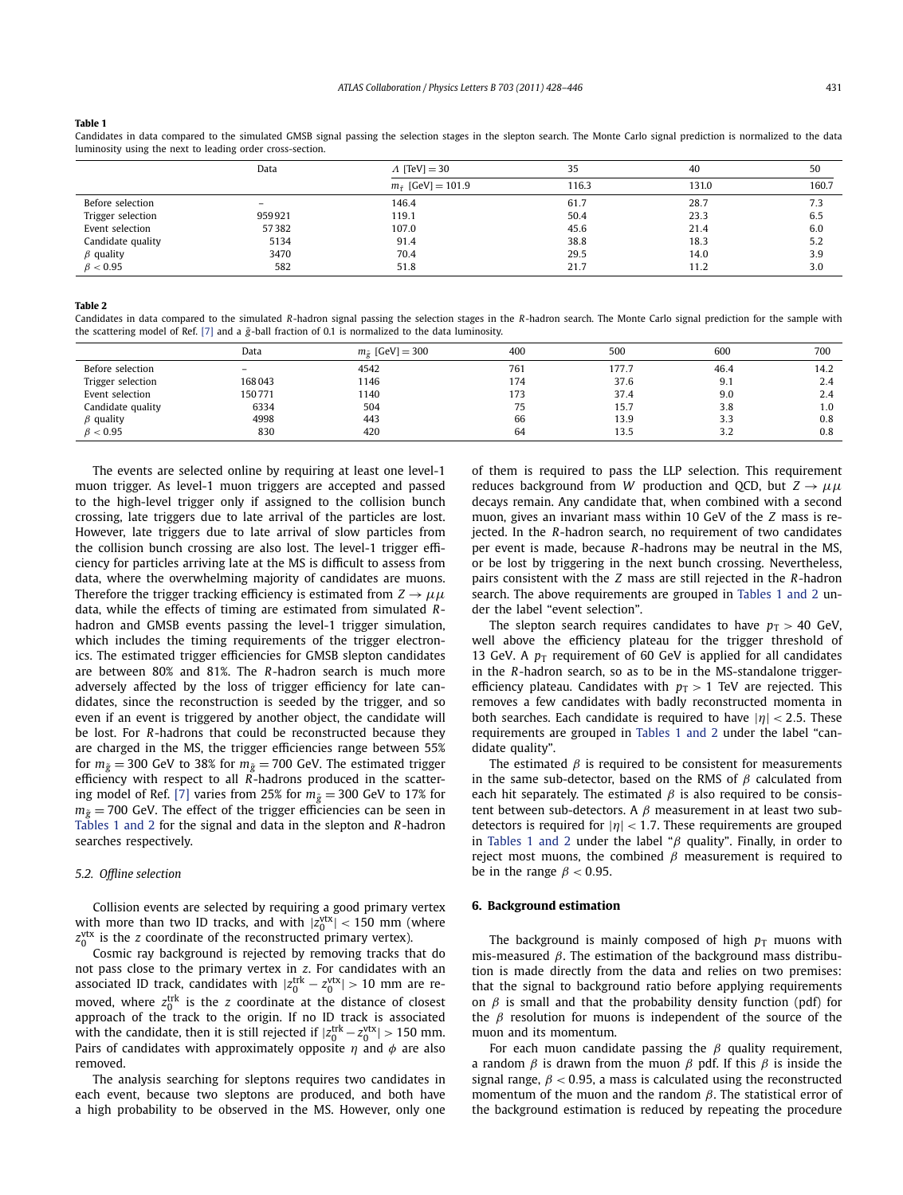#### <span id="page-3-0"></span>**Table 1**

Candidates in data compared to the simulated GMSB signal passing the selection stages in the slepton search. The Monte Carlo signal prediction is normalized to the data luminosity using the next to leading order cross-section.

|                   | Data                     | $\Lambda$ [TeV] = 30             | 35    | 40    | 50    |
|-------------------|--------------------------|----------------------------------|-------|-------|-------|
|                   |                          | $m_{\tilde{\tau}}$ [GeV] = 101.9 | 116.3 | 131.0 | 160.7 |
| Before selection  | $\overline{\phantom{0}}$ | 146.4                            | 61.7  | 28.7  | 7.3   |
| Trigger selection | 959921                   | 119.1                            | 50.4  | 23.3  | 6.5   |
| Event selection   | 57382                    | 107.0                            | 45.6  | 21.4  | 6.0   |
| Candidate quality | 5134                     | 91.4                             | 38.8  | 18.3  | 5.2   |
| $\beta$ quality   | 3470                     | 70.4                             | 29.5  | 14.0  | 3.9   |
| $\beta < 0.95$    | 582                      | 51.8                             | 21.7  | 11.2  | 3.0   |

#### **Table 2**

Candidates in data compared to the simulated *R*-hadron signal passing the selection stages in the *R*-hadron search. The Monte Carlo signal prediction for the sample with the scattering model of Ref. [\[7\]](#page-6-0) and a  $\tilde{g}$ -ball fraction of 0.1 is normalized to the data luminosity.

|                   | Data              | $m_{\tilde{\sigma}}$ [GeV] = 300 | 400 | 500   | 600       | 700  |
|-------------------|-------------------|----------------------------------|-----|-------|-----------|------|
| Before selection  | $\qquad \qquad -$ | 4542                             | 761 | 177.7 | 46.4      | 14.2 |
| Trigger selection | 168043            | 1146                             | 174 | 37.6  | 9.1       | 2.4  |
| Event selection   | 150771            | 1140                             | 173 | 37.4  | 9.0       | 2.4  |
| Candidate quality | 6334              | 504                              | 75  | 15.7  | 3.8       | 1.0  |
| $\beta$ quality   | 4998              | 443                              | 66  | 13.9  | 3.3       | 0.8  |
| $\beta$ < 0.95    | 830               | 420                              | 64  | 13.5  | っっ<br>ے ۔ | 0.8  |

The events are selected online by requiring at least one level-1 muon trigger. As level-1 muon triggers are accepted and passed to the high-level trigger only if assigned to the collision bunch crossing, late triggers due to late arrival of the particles are lost. However, late triggers due to late arrival of slow particles from the collision bunch crossing are also lost. The level-1 trigger efficiency for particles arriving late at the MS is difficult to assess from data, where the overwhelming majority of candidates are muons. Therefore the trigger tracking efficiency is estimated from  $Z \rightarrow \mu \mu$ data, while the effects of timing are estimated from simulated *R*hadron and GMSB events passing the level-1 trigger simulation, which includes the timing requirements of the trigger electronics. The estimated trigger efficiencies for GMSB slepton candidates are between 80% and 81%. The *R*-hadron search is much more adversely affected by the loss of trigger efficiency for late candidates, since the reconstruction is seeded by the trigger, and so even if an event is triggered by another object, the candidate will be lost. For *R*-hadrons that could be reconstructed because they are charged in the MS, the trigger efficiencies range between 55% for  $m_{\tilde{g}} = 300$  GeV to 38% for  $m_{\tilde{g}} = 700$  GeV. The estimated trigger efficiency with respect to all *R*-hadrons produced in the scatter-ing model of Ref. [\[7\]](#page-6-0) varies from 25% for  $m_{\tilde{g}} = 300$  GeV to 17% for  $m_{\tilde{g}}$  = 700 GeV. The effect of the trigger efficiencies can be seen in Tables 1 and 2 for the signal and data in the slepton and *R*-hadron searches respectively.

#### *5.2. Offline selection*

Collision events are selected by requiring a good primary vertex with more than two ID tracks, and with  $|z_0^{\text{vtx}}| < 150$  mm (where z<sup>ytx</sup> is the *z* coordinate of the reconstructed primary vertex).

Cosmic ray background is rejected by removing tracks that do not pass close to the primary vertex in *z*. For candidates with an associated ID track, candidates with  $|z_0^{\text{trk}} - z_0^{\text{vtx}}| > 10$  mm are removed, where  $z_0^{\text{trk}}$  is the *z* coordinate at the distance of closest approach of the track to the origin. If no ID track is associated with the candidate, then it is still rejected if  $|z_0^{\text{trk}} - z_0^{\text{vtx}}| > 150$  mm. Pairs of candidates with approximately opposite *η* and *φ* are also removed.

The analysis searching for sleptons requires two candidates in each event, because two sleptons are produced, and both have a high probability to be observed in the MS. However, only one of them is required to pass the LLP selection. This requirement reduces background from *W* production and QCD, but  $Z \rightarrow \mu\mu$ decays remain. Any candidate that, when combined with a second muon, gives an invariant mass within 10 GeV of the *Z* mass is rejected. In the *R*-hadron search, no requirement of two candidates per event is made, because *R*-hadrons may be neutral in the MS, or be lost by triggering in the next bunch crossing. Nevertheless, pairs consistent with the *Z* mass are still rejected in the *R*-hadron search. The above requirements are grouped in Tables 1 and 2 under the label "event selection".

The slepton search requires candidates to have  $p_T > 40$  GeV, well above the efficiency plateau for the trigger threshold of 13 GeV. A  $p_T$  requirement of 60 GeV is applied for all candidates in the *R*-hadron search, so as to be in the MS-standalone triggerefficiency plateau. Candidates with  $p_T > 1$  TeV are rejected. This removes a few candidates with badly reconstructed momenta in both searches. Each candidate is required to have |*η*| *<* <sup>2</sup>*.*5. These requirements are grouped in Tables 1 and 2 under the label "candidate quality".

The estimated  $\beta$  is required to be consistent for measurements in the same sub-detector, based on the RMS of *β* calculated from each hit separately. The estimated  $\beta$  is also required to be consistent between sub-detectors. A *β* measurement in at least two subdetectors is required for |*η*| *<* <sup>1</sup>*.*7. These requirements are grouped in Tables 1 and 2 under the label "*β* quality". Finally, in order to reject most muons, the combined *β* measurement is required to be in the range  $\beta$  < 0.95.

#### **6. Background estimation**

The background is mainly composed of high  $p_T$  muons with mis-measured *β*. The estimation of the background mass distribution is made directly from the data and relies on two premises: that the signal to background ratio before applying requirements on  $\beta$  is small and that the probability density function (pdf) for the *β* resolution for muons is independent of the source of the muon and its momentum.

For each muon candidate passing the *β* quality requirement, a random *β* is drawn from the muon *β* pdf. If this *β* is inside the signal range, *β <* 0*.*95, a mass is calculated using the reconstructed momentum of the muon and the random *β*. The statistical error of the background estimation is reduced by repeating the procedure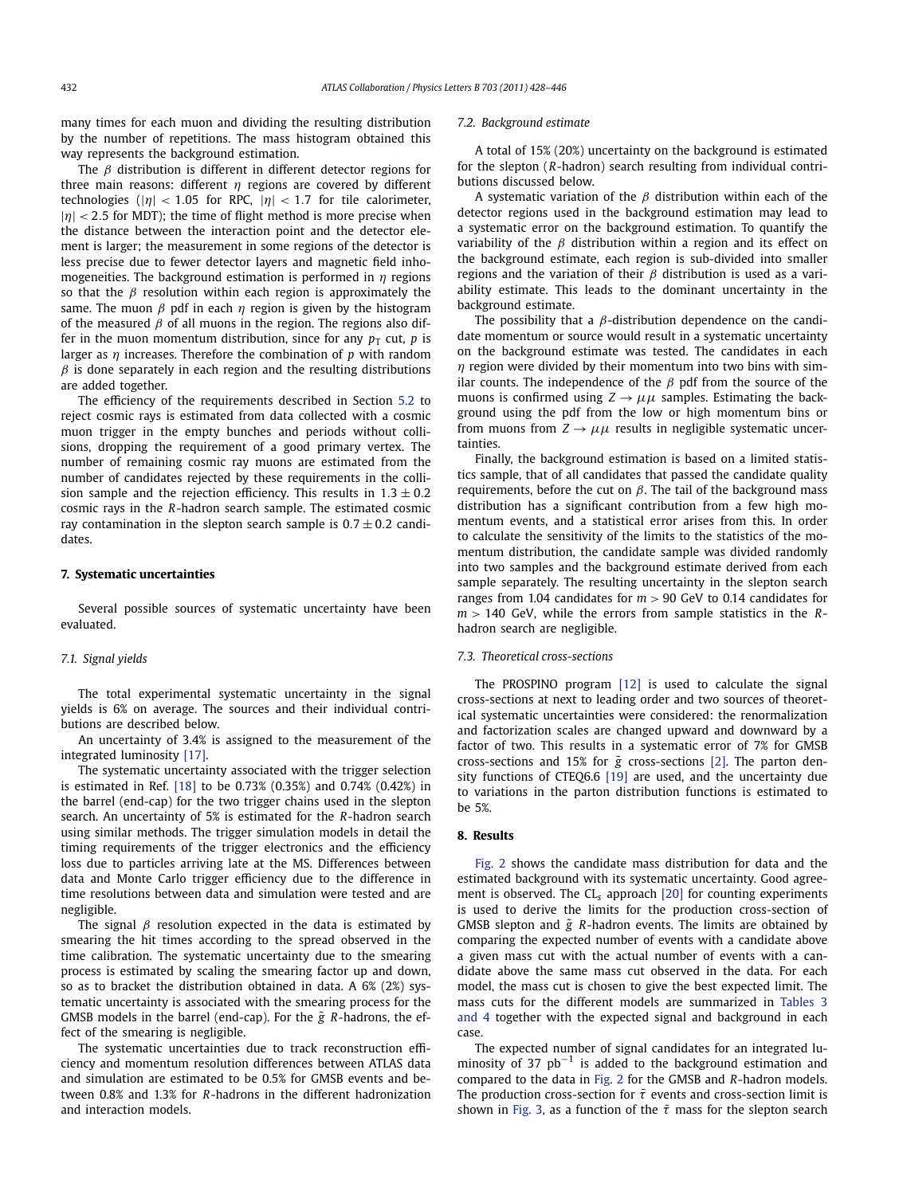many times for each muon and dividing the resulting distribution by the number of repetitions. The mass histogram obtained this way represents the background estimation.

The *β* distribution is different in different detector regions for three main reasons: different *η* regions are covered by different technologies ( $|\eta|$  < 1.05 for RPC,  $|\eta|$  < 1.7 for tile calorimeter,  $|\eta|$  < 2.5 for MDT); the time of flight method is more precise when the distance between the interaction point and the detector element is larger; the measurement in some regions of the detector is less precise due to fewer detector layers and magnetic field inhomogeneities. The background estimation is performed in *η* regions so that the  $\beta$  resolution within each region is approximately the same. The muon *β* pdf in each *η* region is given by the histogram of the measured *β* of all muons in the region. The regions also differ in the muon momentum distribution, since for any  $p<sub>T</sub>$  cut, *p* is larger as *η* increases. Therefore the combination of *p* with random  $\beta$  is done separately in each region and the resulting distributions are added together.

The efficiency of the requirements described in Section [5.2](#page-3-0) to reject cosmic rays is estimated from data collected with a cosmic muon trigger in the empty bunches and periods without collisions, dropping the requirement of a good primary vertex. The number of remaining cosmic ray muons are estimated from the number of candidates rejected by these requirements in the collision sample and the rejection efficiency. This results in  $1.3 \pm 0.2$ cosmic rays in the *R*-hadron search sample. The estimated cosmic ray contamination in the slepton search sample is  $0.7 \pm 0.2$  candidates.

#### **7. Systematic uncertainties**

Several possible sources of systematic uncertainty have been evaluated.

### *7.1. Signal yields*

The total experimental systematic uncertainty in the signal yields is 6% on average. The sources and their individual contributions are described below.

An uncertainty of 3.4% is assigned to the measurement of the integrated luminosity [\[17\].](#page-6-0)

The systematic uncertainty associated with the trigger selection is estimated in Ref. [\[18\]](#page-6-0) to be 0.73% (0.35%) and 0.74% (0.42%) in the barrel (end-cap) for the two trigger chains used in the slepton search. An uncertainty of 5% is estimated for the *R*-hadron search using similar methods. The trigger simulation models in detail the timing requirements of the trigger electronics and the efficiency loss due to particles arriving late at the MS. Differences between data and Monte Carlo trigger efficiency due to the difference in time resolutions between data and simulation were tested and are negligible.

The signal *β* resolution expected in the data is estimated by smearing the hit times according to the spread observed in the time calibration. The systematic uncertainty due to the smearing process is estimated by scaling the smearing factor up and down, so as to bracket the distribution obtained in data. A 6% (2%) systematic uncertainty is associated with the smearing process for the GMSB models in the barrel (end-cap). For the  $\tilde{g}$  R-hadrons, the effect of the smearing is negligible.

The systematic uncertainties due to track reconstruction efficiency and momentum resolution differences between ATLAS data and simulation are estimated to be 0.5% for GMSB events and between 0.8% and 1.3% for *R*-hadrons in the different hadronization and interaction models.

# *7.2. Background estimate*

A total of 15% (20%) uncertainty on the background is estimated for the slepton (*R*-hadron) search resulting from individual contributions discussed below.

A systematic variation of the *β* distribution within each of the detector regions used in the background estimation may lead to a systematic error on the background estimation. To quantify the variability of the *β* distribution within a region and its effect on the background estimate, each region is sub-divided into smaller regions and the variation of their *β* distribution is used as a variability estimate. This leads to the dominant uncertainty in the background estimate.

The possibility that a *β*-distribution dependence on the candidate momentum or source would result in a systematic uncertainty on the background estimate was tested. The candidates in each *η* region were divided by their momentum into two bins with similar counts. The independence of the *β* pdf from the source of the muons is confirmed using  $Z \rightarrow \mu\mu$  samples. Estimating the background using the pdf from the low or high momentum bins or from muons from  $Z \rightarrow \mu\mu$  results in negligible systematic uncertainties.

Finally, the background estimation is based on a limited statistics sample, that of all candidates that passed the candidate quality requirements, before the cut on *β*. The tail of the background mass distribution has a significant contribution from a few high momentum events, and a statistical error arises from this. In order to calculate the sensitivity of the limits to the statistics of the momentum distribution, the candidate sample was divided randomly into two samples and the background estimate derived from each sample separately. The resulting uncertainty in the slepton search ranges from 1.04 candidates for *m >* 90 GeV to 0.14 candidates for *m >* 140 GeV, while the errors from sample statistics in the *R*hadron search are negligible.

# *7.3. Theoretical cross-sections*

The PROSPINO program [\[12\]](#page-6-0) is used to calculate the signal cross-sections at next to leading order and two sources of theoretical systematic uncertainties were considered: the renormalization and factorization scales are changed upward and downward by a factor of two. This results in a systematic error of 7% for GMSB cross-sections and 15% for  $\tilde{g}$  cross-sections [\[2\].](#page-6-0) The parton density functions of CTEQ6.6 [\[19\]](#page-6-0) are used, and the uncertainty due to variations in the parton distribution functions is estimated to be 5%.

# **8. Results**

[Fig. 2](#page-5-0) shows the candidate mass distribution for data and the estimated background with its systematic uncertainty. Good agreement is observed. The CL*<sup>s</sup>* approach [\[20\]](#page-6-0) for counting experiments is used to derive the limits for the production cross-section of GMSB slepton and  $\tilde{g}$  R-hadron events. The limits are obtained by comparing the expected number of events with a candidate above a given mass cut with the actual number of events with a candidate above the same mass cut observed in the data. For each model, the mass cut is chosen to give the best expected limit. The mass cuts for the different models are summarized in [Tables 3](#page-5-0) [and 4](#page-5-0) together with the expected signal and background in each case.

The expected number of signal candidates for an integrated luminosity of 37 pb<sup>-1</sup> is added to the background estimation and compared to the data in [Fig. 2](#page-5-0) for the GMSB and *R*-hadron models. The production cross-section for  $\tilde{\tau}$  events and cross-section limit is shown in [Fig. 3,](#page-5-0) as a function of the  $\tilde{\tau}$  mass for the slepton search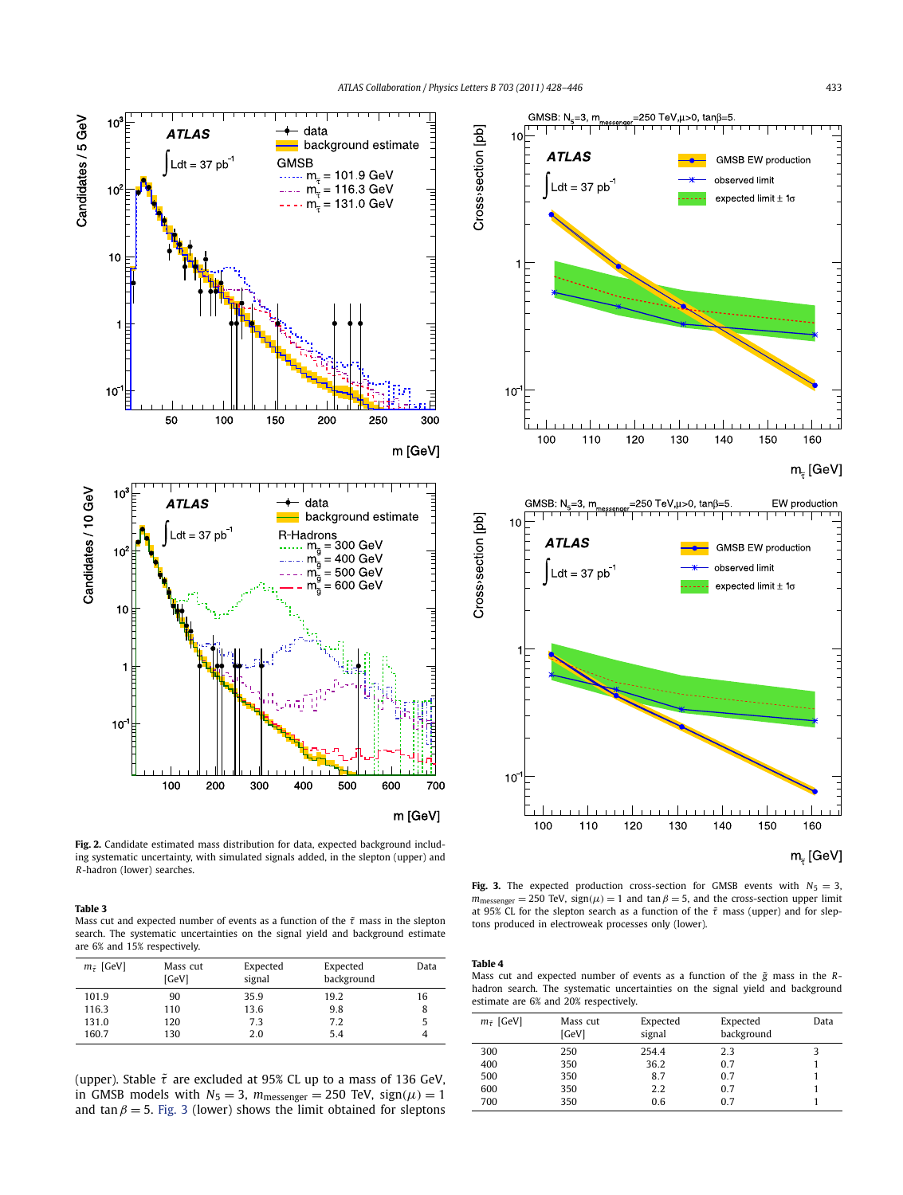



**Fig. 3.** The expected production cross-section for GMSB events with  $N_5 = 3$ , *m*<sub>messenger</sub> = 250 TeV, sign( $\mu$ ) = 1 and tan  $\beta$  = 5, and the cross-section upper limit at 95% CL for the slepton search as a function of the *τ*˜ mass (upper) and for sleptons produced in electroweak processes only (lower).



**Table 4**

| $m_{\tilde{\tau}}$ [GeV] | Mass cut<br>[GeV] | Expected<br>signal | Expected<br>background | Data |
|--------------------------|-------------------|--------------------|------------------------|------|
| 300                      | 250               | 254.4              | 2.3                    |      |
| 400                      | 350               | 36.2               | 0.7                    |      |
| 500                      | 350               | 8.7                | 0.7                    |      |
| 600                      | 350               | 2.2                | 0.7                    |      |
| 700                      | 350               | 0.6                | 0.7                    |      |

<span id="page-5-0"></span>

**Fig. 2.** Candidate estimated mass distribution for data, expected background including systematic uncertainty, with simulated signals added, in the slepton (upper) and *R*-hadron (lower) searches.

#### **Table 3**

Mass cut and expected number of events as a function of the  $\tilde{\tau}$  mass in the slepton search. The systematic uncertainties on the signal yield and background estimate are 6% and 15% respectively.

| $m_{\tilde{\tau}}$ [GeV] | Mass cut<br>[GeV] | Expected<br>signal | Expected<br>background | Data |
|--------------------------|-------------------|--------------------|------------------------|------|
| 101.9                    | 90                | 35.9               | 19.2                   | 16   |
| 116.3                    | 110               | 13.6               | 9.8                    | 8    |
| 131.0                    | 120               | 7.3                | 7.2                    |      |
| 160.7                    | 130               | 2.0                | 5.4                    |      |

(upper). Stable *τ*˜ are excluded at 95% CL up to a mass of 136 GeV, in GMSB models with  $N_5 = 3$ ,  $m_{\text{message}} = 250$  TeV,  $sign(\mu) = 1$ and tan  $\beta = 5$ . Fig. 3 (lower) shows the limit obtained for sleptons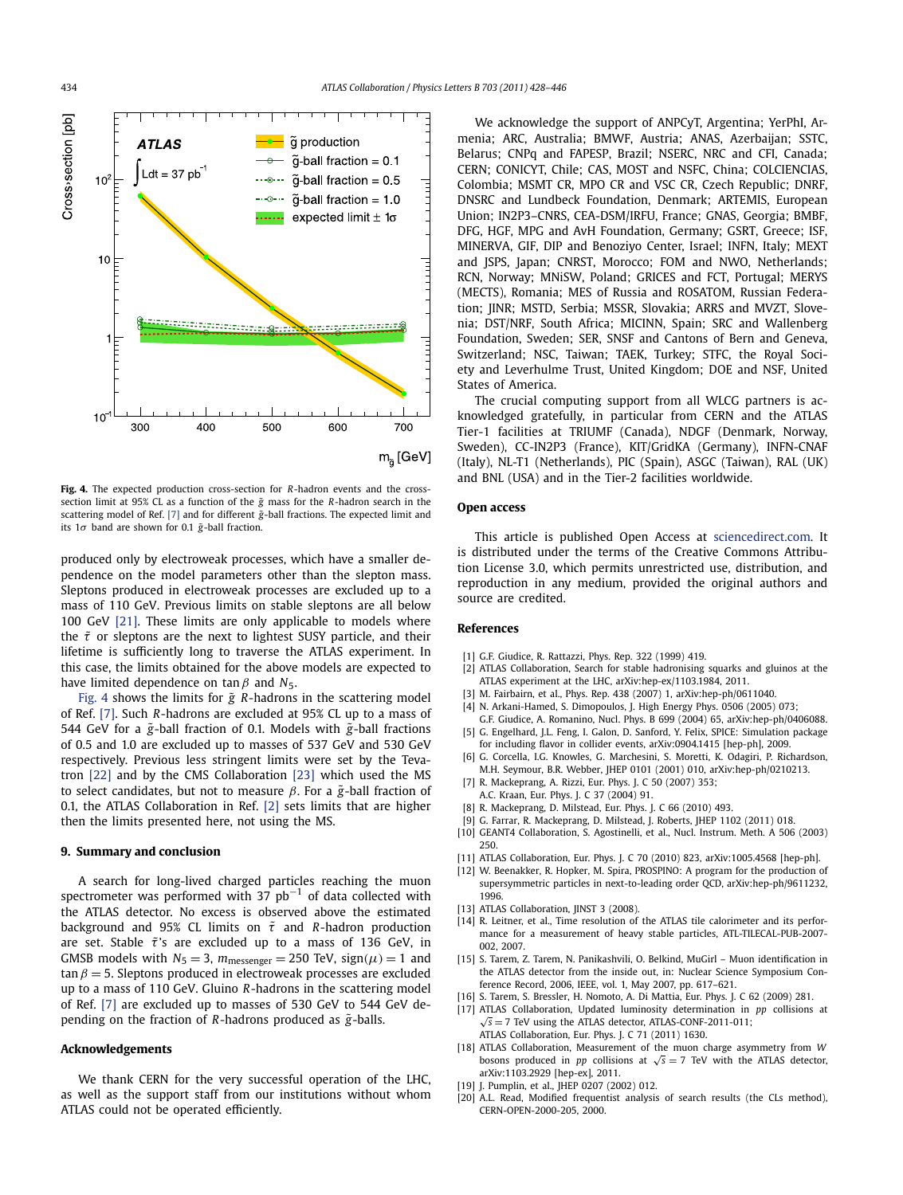<span id="page-6-0"></span>

**Fig. 4.** The expected production cross-section for *R*-hadron events and the crosssection limit at 95% CL as a function of the *g*˜ mass for the *R*-hadron search in the scattering model of Ref. [7] and for different  $\tilde{g}$ -ball fractions. The expected limit and its  $1\sigma$  band are shown for 0.1  $\tilde{g}$ -ball fraction.

produced only by electroweak processes, which have a smaller dependence on the model parameters other than the slepton mass. Sleptons produced in electroweak processes are excluded up to a mass of 110 GeV. Previous limits on stable sleptons are all below 100 GeV [\[21\].](#page-7-0) These limits are only applicable to models where the  $\tilde{\tau}$  or sleptons are the next to lightest SUSY particle, and their lifetime is sufficiently long to traverse the ATLAS experiment. In this case, the limits obtained for the above models are expected to have limited dependence on tan *β* and *N*5.

Fig. 4 shows the limits for  $\tilde{g}$  R-hadrons in the scattering model of Ref. [7]. Such *R*-hadrons are excluded at 95% CL up to a mass of 544 GeV for a  $\tilde{g}$ -ball fraction of 0.1. Models with  $\tilde{g}$ -ball fractions of 0.5 and 1.0 are excluded up to masses of 537 GeV and 530 GeV respectively. Previous less stringent limits were set by the Tevatron [\[22\]](#page-7-0) and by the CMS Collaboration [\[23\]](#page-7-0) which used the MS to select candidates, but not to measure *β*. For a  $\tilde{g}$ -ball fraction of 0.1, the ATLAS Collaboration in Ref. [2] sets limits that are higher then the limits presented here, not using the MS.

### **9. Summary and conclusion**

A search for long-lived charged particles reaching the muon spectrometer was performed with 37  $pb^{-1}$  of data collected with the ATLAS detector. No excess is observed above the estimated background and 95% CL limits on  $\tilde{\tau}$  and *R*-hadron production are set. Stable  $\tilde{\tau}$ 's are excluded up to a mass of 136 GeV, in GMSB models with  $N_5 = 3$ ,  $m_{\text{message}} = 250$  TeV, sign( $\mu$ ) = 1 and  $tan \beta = 5$ . Sleptons produced in electroweak processes are excluded up to a mass of 110 GeV. Gluino *R*-hadrons in the scattering model of Ref. [7] are excluded up to masses of 530 GeV to 544 GeV depending on the fraction of *R*-hadrons produced as *g*˜ -balls.

# **Acknowledgements**

We thank CERN for the very successful operation of the LHC, as well as the support staff from our institutions without whom ATLAS could not be operated efficiently.

We acknowledge the support of ANPCyT, Argentina; YerPhI, Armenia; ARC, Australia; BMWF, Austria; ANAS, Azerbaijan; SSTC, Belarus; CNPq and FAPESP, Brazil; NSERC, NRC and CFI, Canada; CERN; CONICYT, Chile; CAS, MOST and NSFC, China; COLCIENCIAS, Colombia; MSMT CR, MPO CR and VSC CR, Czech Republic; DNRF, DNSRC and Lundbeck Foundation, Denmark; ARTEMIS, European Union; IN2P3–CNRS, CEA-DSM/IRFU, France; GNAS, Georgia; BMBF, DFG, HGF, MPG and AvH Foundation, Germany; GSRT, Greece; ISF, MINERVA, GIF, DIP and Benoziyo Center, Israel; INFN, Italy; MEXT and JSPS, Japan; CNRST, Morocco; FOM and NWO, Netherlands; RCN, Norway; MNiSW, Poland; GRICES and FCT, Portugal; MERYS (MECTS), Romania; MES of Russia and ROSATOM, Russian Federation; JINR; MSTD, Serbia; MSSR, Slovakia; ARRS and MVZT, Slovenia; DST/NRF, South Africa; MICINN, Spain; SRC and Wallenberg Foundation, Sweden; SER, SNSF and Cantons of Bern and Geneva, Switzerland; NSC, Taiwan; TAEK, Turkey; STFC, the Royal Society and Leverhulme Trust, United Kingdom; DOE and NSF, United States of America.

The crucial computing support from all WLCG partners is acknowledged gratefully, in particular from CERN and the ATLAS Tier-1 facilities at TRIUMF (Canada), NDGF (Denmark, Norway, Sweden), CC-IN2P3 (France), KIT/GridKA (Germany), INFN-CNAF (Italy), NL-T1 (Netherlands), PIC (Spain), ASGC (Taiwan), RAL (UK) and BNL (USA) and in the Tier-2 facilities worldwide.

# **Open access**

This article is published Open Access at [sciencedirect.com](http://www.sciencedirect.com). It is distributed under the terms of the Creative Commons Attribution License 3.0, which permits unrestricted use, distribution, and reproduction in any medium, provided the original authors and source are credited.

### **References**

- [1] G.F. Giudice, R. Rattazzi, Phys. Rep. 322 (1999) 419.
- [2] ATLAS Collaboration, Search for stable hadronising squarks and gluinos at the ATLAS experiment at the LHC, arXiv:hep-ex/1103.1984, 2011.
- [3] M. Fairbairn, et al., Phys. Rep. 438 (2007) 1, arXiv:hep-ph/0611040.
- [4] N. Arkani-Hamed, S. Dimopoulos, J. High Energy Phys. 0506 (2005) 073;
- G.F. Giudice, A. Romanino, Nucl. Phys. B 699 (2004) 65, arXiv:hep-ph/0406088. [5] G. Engelhard, J.L. Feng, I. Galon, D. Sanford, Y. Felix, SPICE: Simulation package
- for including flavor in collider events, arXiv:0904.1415 [hep-ph], 2009. [6] G. Corcella, I.G. Knowles, G. Marchesini, S. Moretti, K. Odagiri, P. Richardson,
	- M.H. Seymour, B.R. Webber, JHEP 0101 (2001) 010, arXiv:hep-ph/0210213. [7] R. Mackeprang, A. Rizzi, Eur. Phys. J. C 50 (2007) 353;
	- A.C. Kraan, Eur. Phys. J. C 37 (2004) 91.
- [8] R. Mackeprang, D. Milstead, Eur. Phys. J. C 66 (2010) 493.
- [9] G. Farrar, R. Mackeprang, D. Milstead, J. Roberts, JHEP 1102 (2011) 018.
- [10] GEANT4 Collaboration, S. Agostinelli, et al., Nucl. Instrum. Meth. A 506 (2003) 250.
- [11] ATLAS Collaboration, Eur. Phys. J. C 70 (2010) 823, arXiv:1005.4568 [hep-ph].
- [12] W. Beenakker, R. Hopker, M. Spira, PROSPINO: A program for the production of supersymmetric particles in next-to-leading order QCD, arXiv:hep-ph/9611232, 1996.
- [13] ATLAS Collaboration, JINST 3 (2008).
- [14] R. Leitner, et al., Time resolution of the ATLAS tile calorimeter and its performance for a measurement of heavy stable particles, ATL-TILECAL-PUB-2007- 002, 2007.
- [15] S. Tarem, Z. Tarem, N. Panikashvili, O. Belkind, MuGirl Muon identification in the ATLAS detector from the inside out, in: Nuclear Science Symposium Conference Record, 2006, IEEE, vol. 1, May 2007, pp. 617–621.
- [16] S. Tarem, S. Bressler, H. Nomoto, A. Di Mattia, Eur. Phys. J. C 62 (2009) 281.
- [17] ATLAS Collaboration, Updated luminosity determination in *pp* collisions at  $\sqrt{s}$  = 7 TeV using the ATLAS detector, ATLAS-CONF-2011-011;
- ATLAS Collaboration, Eur. Phys. J. C 71 (2011) 1630.
- [18] ATLAS Collaboration, Measurement of the muon charge asymmetry from *W* bosons produced in *pp* collisions at  $\sqrt{s} = 7$  TeV with the ATLAS detector, arXiv:1103.2929 [hep-ex], 2011.
- [19] J. Pumplin, et al., JHEP 0207 (2002) 012.
- [20] A.L. Read, Modified frequentist analysis of search results (the CLs method), CERN-OPEN-2000-205, 2000.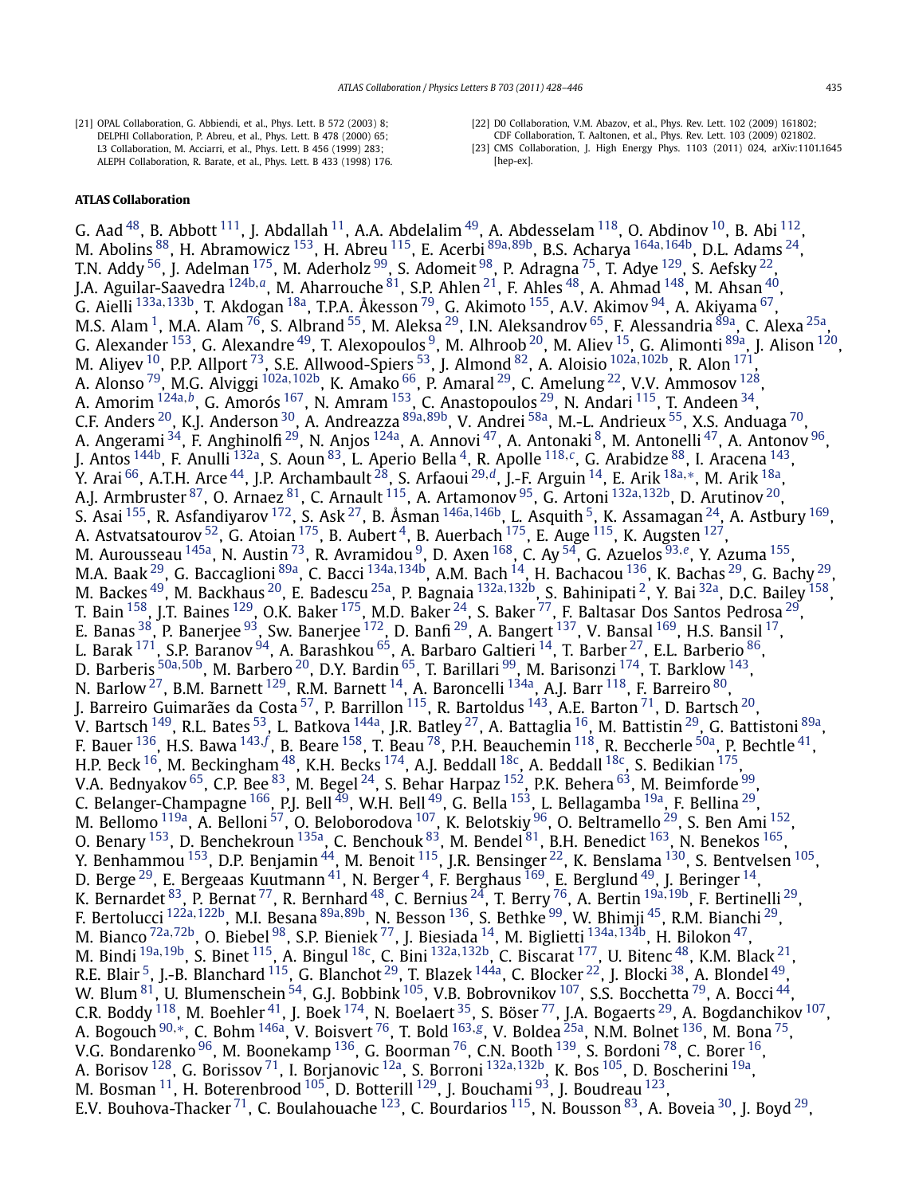- <span id="page-7-0"></span>[21] OPAL Collaboration, G. Abbiendi, et al., Phys. Lett. B 572 (2003) 8; DELPHI Collaboration, P. Abreu, et al., Phys. Lett. B 478 (2000) 65; L3 Collaboration, M. Acciarri, et al., Phys. Lett. B 456 (1999) 283; ALEPH Collaboration, R. Barate, et al., Phys. Lett. B 433 (1998) 176.
- [22] D0 Collaboration, V.M. Abazov, et al., Phys. Rev. Lett. 102 (2009) 161802;
- CDF Collaboration, T. Aaltonen, et al., Phys. Rev. Lett. 103 (2009) 021802. [23] CMS Collaboration, J. High Energy Phys. 1103 (2011) 024, arXiv:1101.1645 [hep-ex].

# **ATLAS Collaboration**

G. Aad <sup>48</sup>, B. Abbott <sup>111</sup>, J. Abdallah <sup>11</sup>, A.A. Abdelalim <sup>49</sup>, A. Abdesselam <sup>118</sup>, O. Abdinov <sup>10</sup>, B. Abi <sup>112</sup>, M. Abolins [88,](#page-17-0) H. Abramowicz [153,](#page-18-0) H. Abreu [115,](#page-17-0) E. Acerbi [89a](#page-17-0)*,*[89b,](#page-17-0) B.S. Acharya [164a](#page-18-0)*,*[164b,](#page-18-0) D.L. Adams [24](#page-16-0), T.N. Addy  $^{56}$ , J. Adelman  $^{175}$  $^{175}$  $^{175}$ , M. Aderholz  $^{99}$ , S. Adomeit  $^{98}$ , P. Adragna  $^{75}$  $^{75}$  $^{75}$ , T. Adye  $^{129}$ , S. Aefsky  $^{22}$ , J.A. Aguilar-Saavedra [124b](#page-17-0)*,[a](#page-18-0)*, M. Aharrouche [81,](#page-17-0) S.P. Ahlen [21,](#page-16-0) F. Ahles [48](#page-16-0), A. Ahmad [148,](#page-18-0) M. Ahsan [40,](#page-16-0) G. Aielli [133a](#page-17-0)*,*[133b,](#page-17-0) T. Akdogan [18a,](#page-16-0) T.P.A. Åkesson [79,](#page-17-0) G. Akimoto [155,](#page-18-0) A.V. Akimov [94](#page-17-0), A. Akiyama [67,](#page-17-0) M.S. Alam <sup>1</sup>, M.A. Alam <sup>76</sup>, S. Albrand <sup>[55](#page-16-0)</sup>, M. Aleksa <sup>29</sup>, I.N. Aleksandrov <sup>65</sup>, F. Alessandria <sup>89a</sup>, C. Alexa <sup>25a</sup>, G. Alexander  $^{153}$  $^{153}$  $^{153}$ , G. Alexandre  $^{49}$ , T. Alexopoulos  $^9$ , M. Alhroob  $^{20}$ , M. Aliev  $^{15}$ , G. Alimonti  $^{89a}$ , J. Alison  $^{120}$ , M. Aliyev [10,](#page-16-0) P.P. Allport [73,](#page-17-0) S.E. Allwood-Spiers [53,](#page-16-0) J. Almond [82,](#page-17-0) A. Aloisio [102a](#page-17-0)*,*[102b,](#page-17-0) R. Alon [171,](#page-18-0) A. Alonso [79](#page-17-0), M.G. Alviggi [102a](#page-17-0)*,*[102b,](#page-17-0) K. Amako [66,](#page-17-0) P. Amaral [29,](#page-16-0) C. Amelung [22,](#page-16-0) V.V. Ammosov [128,](#page-17-0) A. Amorim [124a](#page-17-0)*,[b](#page-18-0)*, G. Amorós [167,](#page-18-0) N. Amram [153,](#page-18-0) C. Anastopoulos [29,](#page-16-0) N. Andari [115](#page-17-0), T. Andeen [34,](#page-16-0) C.F. Anders [20,](#page-16-0) K.J. Anderson [30](#page-16-0), A. Andreazza [89a](#page-17-0)*,*[89b,](#page-17-0) V. Andrei [58a,](#page-16-0) M.-L. Andrieux [55,](#page-16-0) X.S. Anduaga [70,](#page-17-0) A. Angerami <sup>34</sup>, F. Anghinolfi<sup>29</sup>, N. Anjos <sup>[124a](#page-17-0)</sup>, A. Annovi <sup>[47](#page-16-0)</sup>, A. Antonaki <sup>[8](#page-16-0)</sup>, M. Antonelli <sup>47</sup>, A. Antonov <sup>96</sup>, J. Antos [144b](#page-18-0), F. Anulli [132a,](#page-17-0) S. Aoun [83,](#page-17-0) L. Aperio Bella [4,](#page-16-0) R. Apolle [118](#page-17-0)*,[c](#page-18-0)*, G. Arabidze [88,](#page-17-0) I. Aracena [143](#page-18-0), Y. Arai [66,](#page-17-0) A.T.H. Arce [44,](#page-16-0) J.P. Archambault [28,](#page-16-0) S. Arfaoui [29](#page-16-0)*,[d](#page-18-0)*, J.-F. Arguin [14,](#page-16-0) E. Arik [18a](#page-16-0)*,*[∗](#page-18-0), M. Arik [18a,](#page-16-0) A.J. Armbruster [87,](#page-17-0) O. Arnaez [81,](#page-17-0) C. Arnault [115,](#page-17-0) A. Artamonov [95,](#page-17-0) G. Artoni [132a](#page-17-0)*,*[132b,](#page-17-0) D. Arutinov [20](#page-16-0), S. Asai [155,](#page-18-0) R. Asfandiyarov [172,](#page-18-0) S. Ask [27,](#page-16-0) B. Åsman [146a](#page-18-0)*,*[146b,](#page-18-0) L. Asquith [5,](#page-16-0) K. Assamagan [24](#page-16-0), A. Astbury [169,](#page-18-0) A. Astvatsatourov  $52$ , G. Atoian  $175$ , B. Aubert  $4$ , B. Auerbach  $175$ , E. Auge  $115$ , K. Augsten  $127$ , M. Aurousseau [145a,](#page-18-0) N. Austin [73,](#page-17-0) R. Avramidou [9,](#page-16-0) D. Axen [168,](#page-18-0) C. Ay [54,](#page-16-0) G. Azuelos [93](#page-17-0)*,[e](#page-18-0)*, Y. Azuma [155,](#page-18-0) M.A. Baak <sup>29</sup>, G. Baccaglioni <sup>89a</sup>, C. Bacci <sup>[134a](#page-17-0), 134b</sup>, A.M. Bach <sup>14</sup>, H. Bachacou <sup>136</sup>, K. Bachas <sup>29</sup>, G. Bachy <sup>29</sup>, M. Backes [49,](#page-16-0) M. Backhaus [20,](#page-16-0) E. Badescu [25a,](#page-16-0) P. Bagnaia [132a](#page-17-0)*,*[132b,](#page-17-0) S. Bahinipati [2,](#page-16-0) Y. Bai [32a,](#page-16-0) D.C. Bailey [158,](#page-18-0) T. Bain  $^{158}$ , J.T. Baines  $^{129}$  $^{129}$  $^{129}$ , O.K. Baker  $^{175}$  $^{175}$  $^{175}$ , M.D. Baker  $^{24}$ , S. Baker  $^{77}$ , F. Baltasar Dos Santos Pedrosa  $^{29}$ , E. Banas  $^{38}$  $^{38}$  $^{38}$ , P. Banerjee  $^{93}$ , Sw. Banerjee  $^{172}$ , D. Banfi  $^{29}$ , A. Bangert  $^{137}$ , V. Bansal  $^{169}$ , H.S. Bansil  $^{17}$ , L. Barak  $^{171}$ , S.P. Baranov  $^{94}$ , A. Barashkou  $^{65}$ , A. Barbaro Galtieri  $^{14}$ , T. Barber  $^{27}$ , E.L. Barberio  $^{86},$ D. Barberis [50a](#page-16-0)*,*[50b,](#page-16-0) M. Barbero [20,](#page-16-0) D.Y. Bardin [65,](#page-16-0) T. Barillari [99](#page-17-0), M. Barisonzi [174,](#page-18-0) T. Barklow [143](#page-18-0), N. Barlow  $^{27}$ , B.M. Barnett  $^{129}$ , R.M. Barnett  $^{14}$ , A. Baroncelli  $^{134}$ a, A.J. Barr  $^{118}$ , F. Barreiro  $^{80}$  $^{80}$  $^{80}$ , J. Barreiro Guimarães da Costa <sup>57</sup>, P. Barrillon <sup>115</sup>, R. Bartoldus <sup>143</sup>, A.E. Barton <sup>71</sup>, D. Bartsch <sup>[20](#page-16-0)</sup>, V. Bartsch <sup>149</sup>, R.L. Bates <sup>[53](#page-16-0)</sup>, L. Batkova <sup>144a</sup>, J.R. Batley <sup>27</sup>, A. Battaglia <sup>16</sup>, M. Battistin <sup>29</sup>, G. Battistoni <sup>89a</sup>, F. Bauer <sup>136</sup>, H.S. Bawa <sup>[143](#page-18-0), [f](#page-18-0)</sup>, B. Beare <sup>158</sup>, T. Beau <sup>78</sup>, P.H. Beauchemin <sup>118</sup>, R. Beccherle <sup>[50a](#page-16-0)</sup>, P. Bechtle <sup>41</sup>, H.P. Beck <sup>16</sup>, M. Beckingham <sup>48</sup>, K.H. Becks <sup>174</sup>, A.J. Beddall <sup>18c</sup>, A. Beddall <sup>18c</sup>, S. Bedikian <sup>175</sup>, V.A. Bednyakov  $^{65}$ , C.P. Bee  $^{83}$ , M. Begel  $^{24}$ , S. Behar Harpaz  $^{152}$ , P.K. Behera  $^{63}$ , M. Beimforde  $^{99}$ , C. Belanger-Champagne <sup>166</sup>, P.J. Bell <sup>49</sup>, W.H. Bell <sup>49</sup>, G. Bella <sup>[153](#page-18-0)</sup>, L. Bellagamba <sup>[19a](#page-16-0)</sup>, F. Bellina <sup>29</sup>, M. Bellomo  $^{119$ a, A. Belloni  $^{57}$ , O. Beloborodova  $^{107}$ , K. Belotskiy  $^{96}$ , O. Beltramello  $^{29}$ , S. Ben Ami  $^{152}$ , O. Benary  $^{153}$ , D. Benchekroun  $^{135a}$ , C. Benchouk  $^{83}$ , M. Bendel  $^{81}$ , B.H. Benedict  $^{163}$  $^{163}$  $^{163}$ , N. Benekos  $^{165}$ , Y. Benhammou <sup>153</sup>, D.P. Benjamin <sup>44</sup>, M. Benoit <sup>115</sup>, J.R. Bensinger <sup>[22](#page-16-0)</sup>, K. Benslama <sup>130</sup>, S. Bentvelsen <sup>105</sup>, D. Berge  $^{29}$ , E. Bergeaas Kuutmann $^{41}$  $^{41}$  $^{41}$ , N. Berger  $^4$ , F. Berghaus  $^{169}$ , E. Berglund  $^{49}$ , J. Beringer  $^{14}$ , K. Bernardet [83,](#page-17-0) P. Bernat [77,](#page-17-0) R. Bernhard [48,](#page-16-0) C. Bernius [24,](#page-16-0) T. Berry [76,](#page-17-0) A. Bertin [19a](#page-16-0)*,*[19b,](#page-16-0) F. Bertinelli [29,](#page-16-0) F. Bertolucci [122a](#page-17-0)*,*[122b,](#page-17-0) M.I. Besana [89a](#page-17-0)*,*[89b,](#page-17-0) N. Besson [136](#page-17-0), S. Bethke [99,](#page-17-0) W. Bhimji [45,](#page-16-0) R.M. Bianchi [29,](#page-16-0) M. Bianco [72a](#page-17-0)*,*[72b,](#page-17-0) O. Biebel [98,](#page-17-0) S.P. Bieniek [77,](#page-17-0) J. Biesiada [14,](#page-16-0) M. Biglietti [134a](#page-17-0)*,*[134b](#page-17-0), H. Bilokon [47,](#page-16-0) M. Bindi [19a](#page-16-0)*,*[19b,](#page-16-0) S. Binet [115,](#page-17-0) A. Bingul [18c,](#page-16-0) C. Bini [132a](#page-17-0)*,*[132b,](#page-17-0) C. Biscarat [177,](#page-18-0) U. Bitenc [48,](#page-16-0) K.M. Black [21,](#page-16-0) R.E. Blair <sup>5</sup>, J.-B. Blanchard  $^{115}$ , G. Blanchot  $^{29}$  $^{29}$  $^{29}$ , T. Blazek  $^{144}$ , C. Blocker  $^{22}$ , J. Blocki  $^{38}$  $^{38}$  $^{38}$ , A. Blondel  $^{49}$ , W. Blum  $^{81}$ , U. Blumenschein  $^{54}$ , G.J. Bobbink  $^{105}$ , V.B. Bobrovnikov  $^{107}$ , S.S. Bocchetta  $^{79}$ , A. Bocci  $^{44}$ , C.R. Boddy  $^{118}$ , M. Boehler  $^{41}$ , J. Boek  $^{174}$  $^{174}$  $^{174}$ , N. Boelaert  $^{35}$ , S. Böser  $^{77}$ , J.A. Bogaerts  $^{29}$ , A. Bogdanchikov  $^{107}$  $^{107}$  $^{107}$ , A. Bogouch [90](#page-17-0)*,*[∗](#page-18-0), C. Bohm [146a](#page-18-0), V. Boisvert [76,](#page-17-0) T. Bold [163](#page-18-0)*,[g](#page-18-0)*, V. Boldea [25a,](#page-16-0) N.M. Bolnet [136,](#page-17-0) M. Bona [75,](#page-17-0) V.G. Bondarenko [96,](#page-17-0) M. Boonekamp [136,](#page-17-0) G. Boorman [76,](#page-17-0) C.N. Booth [139,](#page-17-0) S. Bordoni [78,](#page-17-0) C. Borer [16,](#page-16-0) A. Borisov [128,](#page-17-0) G. Borissov [71,](#page-17-0) I. Borjanovic [12a,](#page-16-0) S. Borroni [132a](#page-17-0)*,*[132b,](#page-17-0) K. Bos [105,](#page-17-0) D. Boscherini [19a,](#page-16-0) M. Bosman  $^{11}$ , H. Boterenbrood  $^{105}$ , D. Botterill  $^{129}$ , J. Bouchami  $^{93}$ , J. Boudreau  $^{123}$ , E.V. Bouhova-Thacker <sup>71</sup>, C. Boulahouache <sup>123</sup>, C. Bourdarios <sup>[115](#page-17-0)</sup>, N. Bousson <sup>83</sup>, A. Boveia <sup>30</sup>, J. Boyd <sup>29</sup>,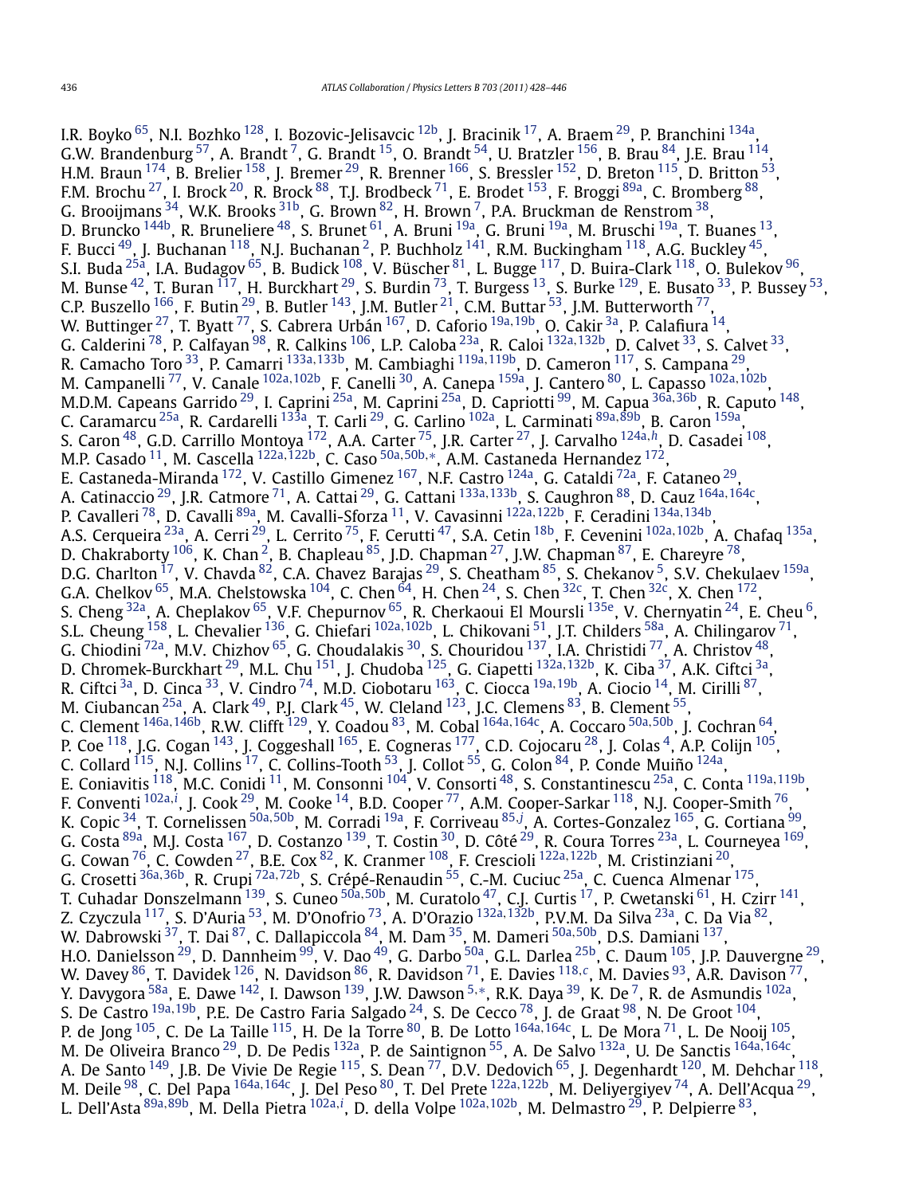I.R. Boyko <sup>65</sup>, N.I. Bozhko <sup>128</sup>, I. Bozovic-Jelisavcic <sup>[12b](#page-16-0)</sup>, J. Bracinik <sup>17</sup>, A. Braem <sup>29</sup>, P. Branchini <sup>134a</sup>, G.W. Brandenburg  $^{57}$ , A. Brandt  $^7$ , G. Brandt  $^{15}$ , O. Brandt  $^{54}$ , U. Bratzler  $^{156}$ , B. Brau  $^{84}$ , J.E. Brau  $^{114}$ , H.M. Braun <sup>174</sup>, B. Brelier <sup>[158](#page-18-0)</sup>, J. Bremer <sup>29</sup>, R. Brenner <sup>166</sup>, S. Bressler <sup>[152](#page-18-0)</sup>, D. Breton <sup>115</sup>, D. Britton <sup>53</sup>, F.M. Brochu<sup>27</sup>, I. Brock <sup>[20](#page-16-0)</sup>, R. Brock <sup>88</sup>, T.J. Brodbeck <sup>[71](#page-17-0)</sup>, E. Brodet <sup>153</sup>, F. Broggi <sup>89a</sup>, C. Bromberg <sup>88</sup>, G. Brooijmans  $^{34}$ , W.K. Brooks  $^{31\mathrm{b}}$ , G. Brown  $^{82}$ , H. Brown  $^7$ , P.A. Bruckman de Renstrom  $^{38}$ , D. Bruncko <sup>144b</sup>, R. Bruneliere <sup>48</sup>, S. Brunet <sup>[61](#page-16-0)</sup>, A. Bruni <sup>[19a](#page-16-0)</sup>, G. Bruni <sup>19a</sup>, M. Bruschi <sup>19a</sup>, T. Buanes <sup>13</sup>, F. Bucci  $^{49}$ , J. Buchanan  $^{118}$ , N.J. Buchanan  $^2$ , P. Buchholz  $^{141}$ , R.M. Buckingham  $^{118}$ , A.G. Buckley  $^{45}$ , S.I. Buda $^{25$ a, I.A. Budagov $^{65}$ , B. Budick  $^{108}$ , V. Büscher $^{81}$ , L. Bugge  $^{117}$  $^{117}$  $^{117}$ , D. Buira-Clark  $^{118}$ , O. Bulekov  $^{96}$ , M. Bunse  $^{42}$ , T. Buran  $^{117}$ , H. Burckhart  $^{29}$ , S. Burdin  $^{73}$ , T. Burgess  $^{13}$ , S. Burke  $^{129}$ , E. Busato  $^{33}$ , P. Bussey  $^{53}$ , C.P. Buszello  $^{166}$ , F. Butin  $^{29}$ , B. Butler  $^{143}$ , J.M. Butler  $^{21}$ , C.M. Buttar  $^{53}$ , J.M. Butterworth  $^{77}$ , W. Buttinger [27,](#page-16-0) T. Byatt [77,](#page-17-0) S. Cabrera Urbán [167](#page-18-0), D. Caforio [19a](#page-16-0)*,*[19b,](#page-16-0) O. Cakir [3a,](#page-16-0) P. Calafiura [14,](#page-16-0) G. Calderini [78,](#page-17-0) P. Calfayan [98,](#page-17-0) R. Calkins [106,](#page-17-0) L.P. Caloba [23a](#page-16-0), R. Caloi [132a](#page-17-0)*,*[132b,](#page-17-0) D. Calvet [33,](#page-16-0) S. Calvet [33](#page-16-0), R. Camacho Toro [33,](#page-16-0) P. Camarri [133a](#page-17-0)*,*[133b,](#page-17-0) M. Cambiaghi [119a](#page-17-0)*,*[119b,](#page-17-0) D. Cameron [117,](#page-17-0) S. Campana [29,](#page-16-0) M. Campanelli [77,](#page-17-0) V. Canale [102a](#page-17-0)*,*[102b,](#page-17-0) F. Canelli [30,](#page-16-0) A. Canepa [159a,](#page-18-0) J. Cantero [80,](#page-17-0) L. Capasso [102a](#page-17-0)*,*[102b,](#page-17-0) M.D.M. Capeans Garrido [29,](#page-16-0) I. Caprini [25a,](#page-16-0) M. Caprini [25a,](#page-16-0) D. Capriotti [99,](#page-17-0) M. Capua [36a](#page-16-0)*,*[36b,](#page-16-0) R. Caputo [148,](#page-18-0) C. Caramarcu [25a,](#page-16-0) R. Cardarelli [133a,](#page-17-0) T. Carli [29,](#page-16-0) G. Carlino [102a,](#page-17-0) L. Carminati [89a](#page-17-0)*,*[89b,](#page-17-0) B. Caron [159a,](#page-18-0) S. Caron [48,](#page-16-0) G.D. Carrillo Montoya [172,](#page-18-0) A.A. Carter [75](#page-17-0), J.R. Carter [27,](#page-16-0) J. Carvalho [124a](#page-17-0)*,[h](#page-18-0)*, D. Casadei [108,](#page-17-0) M.P. Casado [11,](#page-16-0) M. Cascella [122a](#page-17-0)*,*[122b,](#page-17-0) C. Caso [50a](#page-16-0)*,*[50b](#page-16-0)*,*[∗](#page-18-0), A.M. Castaneda Hernandez [172,](#page-18-0) E. Castaneda-Miranda <sup>172</sup>, V. Castillo Gimenez <sup>167</sup>, N.F. Castro <sup>124a</sup>, G. Cataldi <sup>72a</sup>, F. Cataneo <sup>29</sup>, A. Catinaccio [29](#page-16-0), J.R. Catmore [71](#page-17-0), A. Cattai [29,](#page-16-0) G. Cattani [133a](#page-17-0)*,*[133b,](#page-17-0) S. Caughron [88,](#page-17-0) D. Cauz [164a](#page-18-0)*,*[164c,](#page-18-0) P. Cavalleri [78,](#page-17-0) D. Cavalli [89a,](#page-17-0) M. Cavalli-Sforza [11,](#page-16-0) V. Cavasinni [122a](#page-17-0)*,*[122b,](#page-17-0) F. Ceradini [134a](#page-17-0)*,*[134b,](#page-17-0) A.S. Cerqueira [23a,](#page-16-0) A. Cerri [29,](#page-16-0) L. Cerrito [75,](#page-17-0) F. Cerutti [47,](#page-16-0) S.A. Cetin [18b,](#page-16-0) F. Cevenini [102a](#page-17-0)*,*[102b,](#page-17-0) A. Chafaq [135a](#page-17-0), D. Chakraborty <sup>106</sup>, K. Chan<sup>2</sup>, B. Chapleau <sup>85</sup>, J.D. Chapman <sup>27</sup>, J.W. Chapman <sup>87</sup>, E. Chareyre <sup>78</sup>, D.G. Charlton <sup>[17](#page-16-0)</sup>, V. Chavda <sup>82</sup>, C.A. Chavez Barajas <sup>[29](#page-16-0)</sup>, S. Cheatham <sup>85</sup>, S. Chekanov <sup>5</sup>, S.V. Chekulaev <sup>159a</sup>, G.A. Chelkov <sup>65</sup>, M.A. Chelstowska <sup>104</sup>, C. Chen <sup>64</sup>, H. Chen <sup>24</sup>, S. Chen <sup>32c</sup>, T. Chen <sup>32c</sup>, X. Chen <sup>172</sup>, S. Cheng <sup>32a</sup>, A. Cheplakov <sup>[65](#page-16-0)</sup>, V.F. Chepurnov <sup>65</sup>, R. Cherkaoui El Moursli<sup>135e</sup>, V. Chernyatin <sup>24</sup>, E. Cheu <sup>6</sup>, S.L. Cheung [158,](#page-18-0) L. Chevalier [136,](#page-17-0) G. Chiefari [102a](#page-17-0)*,*[102b,](#page-17-0) L. Chikovani [51,](#page-16-0) J.T. Childers [58a,](#page-16-0) A. Chilingarov [71,](#page-17-0) G. Chiodini <sup>72a</sup>, M.V. Chizhov <sup>65</sup>, G. Choudalakis <sup>30</sup>, S. Chouridou <sup>137</sup>, I.A. Christidi <sup>77</sup>, A. Christov <sup>48</sup>, D. Chromek-Burckhart [29,](#page-16-0) M.L. Chu [151,](#page-18-0) J. Chudoba [125,](#page-17-0) G. Ciapetti [132a](#page-17-0)*,*[132b,](#page-17-0) K. Ciba [37,](#page-16-0) A.K. Ciftci [3a,](#page-16-0) R. Ciftci [3a,](#page-16-0) D. Cinca [33,](#page-16-0) V. Cindro [74,](#page-17-0) M.D. Ciobotaru [163,](#page-18-0) C. Ciocca [19a](#page-16-0)*,*[19b,](#page-16-0) A. Ciocio [14,](#page-16-0) M. Cirilli [87,](#page-17-0) M. Ciubancan  $^{25a}$ , A. Clark  $^{49}$ , P.J. Clark  $^{45}$ , W. Cleland  $^{123}$ , J.C. Clemens  $^{83}$ , B. Clement  $^{55}$ , C. Clement [146a](#page-18-0)*,*[146b,](#page-18-0) R.W. Clifft [129,](#page-17-0) Y. Coadou [83](#page-17-0), M. Cobal [164a](#page-18-0)*,*[164c,](#page-18-0) A. Coccaro [50a](#page-16-0)*,*[50b,](#page-16-0) J. Cochran [64](#page-16-0), P. Coe <sup>118</sup>, J.G. Cogan <sup>143</sup>, J. Coggeshall <sup>165</sup>, E. Cogneras <sup>177</sup>, C.D. Cojocaru <sup>28</sup>, J. Colas <sup>4</sup>, A.P. Colijn <sup>[105](#page-17-0)</sup>, C. Collard  $^{115}$ , N.J. Collins  $^{17}$ , C. Collins-Tooth  $^{53}$  $^{53}$  $^{53}$ , J. Collot  $^{55}$ , G. Colon  $^{84}$ , P. Conde Muiño  $^{124a}$ , E. Coniavitis [118,](#page-17-0) M.C. Conidi [11,](#page-16-0) M. Consonni [104,](#page-17-0) V. Consorti [48,](#page-16-0) S. Constantinescu [25a,](#page-16-0) C. Conta [119a](#page-17-0)*,*[119b,](#page-17-0) F. Conventi <sup>[102a](#page-17-0),*[i](#page-18-0)*</sup>, J. Cook <sup>29</sup>, M. Cooke <sup>14</sup>, B.D. Cooper <sup>77</sup>, A.M. Cooper-Sarkar <sup>118</sup>, N.J. Cooper-Smith <sup>76</sup>, K. Copic [34,](#page-16-0) T. Cornelissen [50a](#page-16-0)*,*[50b,](#page-16-0) M. Corradi [19a,](#page-16-0) F. Corriveau [85](#page-17-0)*,[j](#page-18-0)* , A. Cortes-Gonzalez [165,](#page-18-0) G. Cortiana [99,](#page-17-0) G. Costa  $89a$ , M.J. Costa  $167$ , D. Costanzo  $139$ , T. Costin  $30$ , D. Côté  $29$ , R. Coura Torres  $23a$ , L. Courneyea  $169$ , G. Cowan [76](#page-17-0), C. Cowden [27,](#page-16-0) B.E. Cox [82,](#page-17-0) K. Cranmer [108,](#page-17-0) F. Crescioli [122a](#page-17-0)*,*[122b](#page-17-0), M. Cristinziani [20,](#page-16-0) G. Crosetti [36a](#page-16-0)*,*[36b](#page-16-0), R. Crupi [72a](#page-17-0)*,*[72b,](#page-17-0) S. Crépé-Renaudin [55,](#page-16-0) C.-M. Cuciuc [25a,](#page-16-0) C. Cuenca Almenar [175,](#page-18-0) T. Cuhadar Donszelmann [139,](#page-17-0) S. Cuneo [50a](#page-16-0)*,*[50b,](#page-16-0) M. Curatolo [47](#page-16-0), C.J. Curtis [17,](#page-16-0) P. Cwetanski [61,](#page-16-0) H. Czirr [141,](#page-17-0) Z. Czyczula [117,](#page-17-0) S. D'Auria [53,](#page-16-0) M. D'Onofrio [73](#page-17-0), A. D'Orazio [132a](#page-17-0)*,*[132b,](#page-17-0) P.V.M. Da Silva [23a,](#page-16-0) C. Da Via [82,](#page-17-0) W. Dabrowski [37,](#page-16-0) T. Dai [87,](#page-17-0) C. Dallapiccola [84,](#page-17-0) M. Dam [35,](#page-16-0) M. Dameri [50a](#page-16-0)*,*[50b,](#page-16-0) D.S. Damiani [137,](#page-17-0) H.O. Danielsson  $^{29}$ , D. Dannheim  $^{99}$ , V. Dao  $^{49}$ , G. Darbo  $^{50a}$ , G.L. Darlea  $^{25b}$  $^{25b}$  $^{25b}$ , C. Daum  $^{105}$ , J.P. Dauvergne  $^{29}$ , W. Davey [86,](#page-17-0) T. Davidek [126,](#page-17-0) N. Davidson [86,](#page-17-0) R. Davidson [71,](#page-17-0) E. Davies [118](#page-17-0)*,[c](#page-18-0)* , M. Davies [93,](#page-17-0) A.R. Davison [77,](#page-17-0) Y. Davygora [58a,](#page-16-0) E. Dawe [142](#page-18-0), I. Dawson [139,](#page-17-0) J.W. Dawson [5](#page-16-0)*,*[∗](#page-18-0), R.K. Daya [39,](#page-16-0) K. De [7,](#page-16-0) R. de Asmundis [102a,](#page-17-0) S. De Castro [19a](#page-16-0)*,*[19b,](#page-16-0) P.E. De Castro Faria Salgado [24,](#page-16-0) S. De Cecco [78,](#page-17-0) J. de Graat [98,](#page-17-0) N. De Groot [104,](#page-17-0) P. de Jong [105,](#page-17-0) C. De La Taille [115,](#page-17-0) H. De la Torre [80,](#page-17-0) B. De Lotto [164a](#page-18-0)*,*[164c,](#page-18-0) L. De Mora [71,](#page-17-0) L. De Nooij [105,](#page-17-0) M. De Oliveira Branco [29,](#page-16-0) D. De Pedis [132a,](#page-17-0) P. de Saintignon [55,](#page-16-0) A. De Salvo [132a](#page-17-0), U. De Sanctis [164a](#page-18-0)*,*[164c,](#page-18-0) A. De Santo  $^{149}$ , J.B. De Vivie De Regie  $^{115}$ , S. Dean  $^{77}$ , D.V. Dedovich  $^{65}$ , J. Degenhardt  $^{120}$ , M. Dehchar  $^{118}$ , M. Deile [98,](#page-17-0) C. Del Papa [164a](#page-18-0)*,*[164c,](#page-18-0) J. Del Peso [80](#page-17-0), T. Del Prete [122a](#page-17-0)*,*[122b](#page-17-0), M. Deliyergiyev [74,](#page-17-0) A. Dell'Acqua [29,](#page-16-0) L. Dell'Asta [89a](#page-17-0)*,*[89b,](#page-17-0) M. Della Pietra [102a](#page-17-0)*,[i](#page-18-0)* , D. della Volpe [102a](#page-17-0)*,*[102b,](#page-17-0) M. Delmastro [29,](#page-16-0) P. Delpierre [83,](#page-17-0)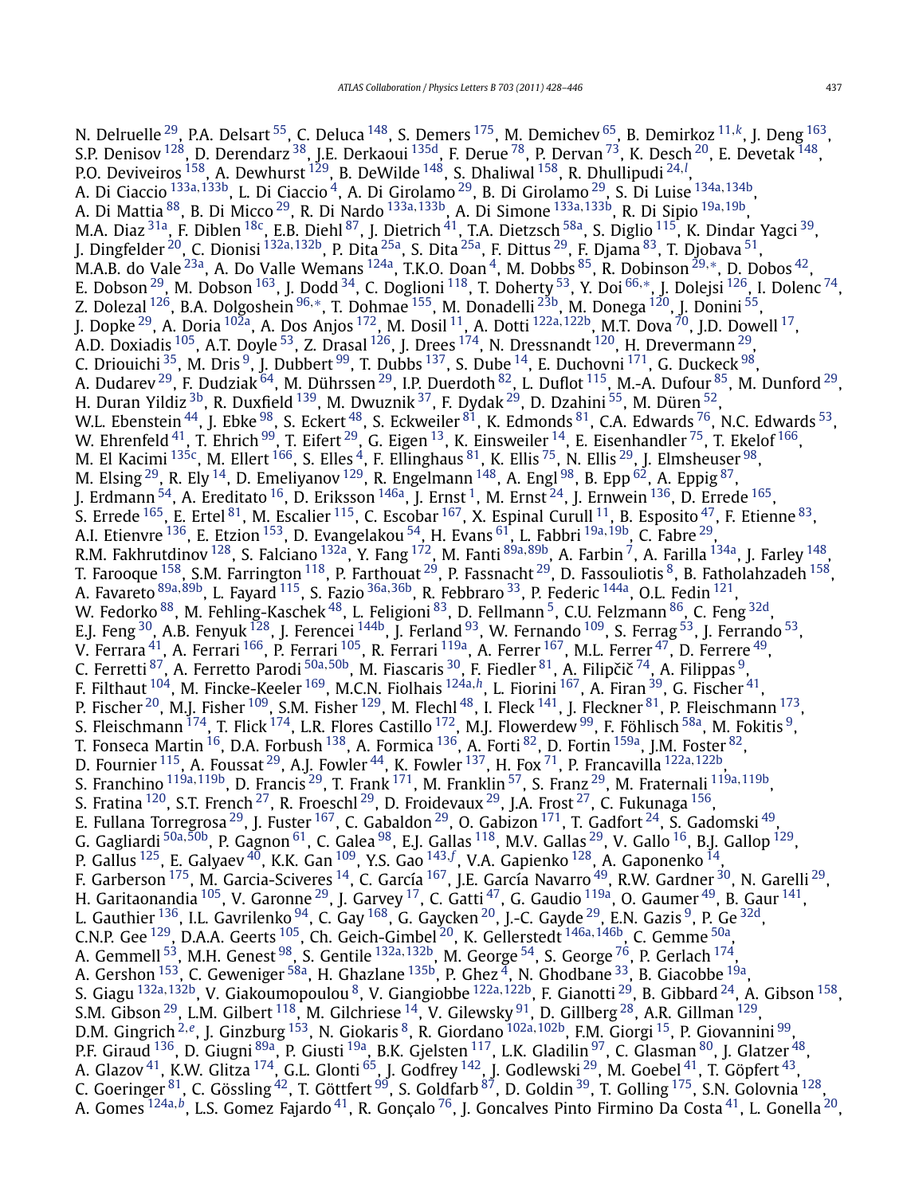N. Delruelle [29,](#page-16-0) P.A. Delsart [55,](#page-16-0) C. Deluca [148](#page-18-0), S. Demers [175,](#page-18-0) M. Demichev [65](#page-16-0), B. Demirkoz [11](#page-16-0)*,[k](#page-18-0)*, J. Deng [163,](#page-18-0) S.P. Denisov [128,](#page-17-0) D. Derendarz [38,](#page-16-0) J.E. Derkaoui [135d,](#page-17-0) F. Derue [78,](#page-17-0) P. Dervan [73,](#page-17-0) K. Desch [20,](#page-16-0) E. Devetak [148,](#page-18-0) P.O. Deviveiros [158,](#page-18-0) A. Dewhurst [129](#page-17-0), B. DeWilde [148,](#page-18-0) S. Dhaliwal [158,](#page-18-0) R. Dhullipudi [24](#page-16-0)*,[l](#page-18-0)* , A. Di Ciaccio [133a](#page-17-0)*,*[133b,](#page-17-0) L. Di Ciaccio [4,](#page-16-0) A. Di Girolamo [29,](#page-16-0) B. Di Girolamo [29,](#page-16-0) S. Di Luise [134a](#page-17-0)*,*[134b,](#page-17-0) A. Di Mattia [88,](#page-17-0) B. Di Micco [29,](#page-16-0) R. Di Nardo [133a](#page-17-0)*,*[133b](#page-17-0), A. Di Simone [133a](#page-17-0)*,*[133b,](#page-17-0) R. Di Sipio [19a](#page-16-0)*,*[19b,](#page-16-0) M.A. Diaz $^{31$ a, F. Diblen  $^{18}$ c, E.B. Diehl $^{87}$ , J. Dietrich $^{41}$ , T.A. Dietzsch $^{58}$ a, S. Diglio $^{115}$ , K. Dindar Yagci $^{39}$ , J. Dingfelder [20](#page-16-0), C. Dionisi [132a](#page-17-0)*,*[132b,](#page-17-0) P. Dita [25a,](#page-16-0) S. Dita [25a,](#page-16-0) F. Dittus [29,](#page-16-0) F. Djama [83,](#page-17-0) T. Djobava [51,](#page-16-0) M.A.B. do Vale<sup>23a</sup>, A. Do Valle Wemans <sup>124a</sup>, T.K.O. Doan<sup>4</sup>, M. Dobbs <sup>85</sup>, R. Dobinson <sup>[29](#page-16-0),</sup>\*, D. Dobos <sup>42</sup>, E. Dobson [29,](#page-16-0) M. Dobson [163](#page-18-0), J. Dodd [34,](#page-16-0) C. Doglioni [118,](#page-17-0) T. Doherty [53,](#page-16-0) Y. Doi [66](#page-17-0)*,*[∗](#page-18-0), J. Dolejsi [126,](#page-17-0) I. Dolenc [74,](#page-17-0) Z. Dolezal [126,](#page-17-0) B.A. Dolgoshein [96](#page-17-0)*,*[∗](#page-18-0), T. Dohmae [155,](#page-18-0) M. Donadelli [23b,](#page-16-0) M. Donega [120](#page-17-0), J. Donini [55,](#page-16-0) J. Dopke [29,](#page-16-0) A. Doria [102a,](#page-17-0) A. Dos Anjos [172,](#page-18-0) M. Dosil [11,](#page-16-0) A. Dotti [122a](#page-17-0)*,*[122b,](#page-17-0) M.T. Dova [70](#page-17-0), J.D. Dowell [17,](#page-16-0) A.D. Doxiadis <sup>105</sup>, A.T. Doyle <sup>53</sup>, Z. Drasal <sup>126</sup>, J. Drees <sup>174</sup>, N. Dressnandt <sup>120</sup>, H. Drevermann <sup>29</sup>, C. Driouichi <sup>[35](#page-16-0)</sup>, M. Dris <sup>9</sup>, J. Dubbert <sup>99</sup>, T. Dubbs <sup>137</sup>, S. Dube <sup>14</sup>, E. Duchovni <sup>171</sup>, G. Duckeck <sup>[98](#page-17-0)</sup>, A. Dudarev <sup>[29](#page-16-0)</sup>, F. Dudziak <sup>64</sup>, M. Dührssen <sup>29</sup>, I.P. Duerdoth <sup>82</sup>, L. Duflot <sup>115</sup>, M.-A. Dufour <sup>85</sup>, M. Dunford <sup>29</sup>, H. Duran Yildiz <sup>3b</sup>, R. Duxfield <sup>139</sup>, M. Dwuznik <sup>37</sup>, F. Dydak <sup>29</sup>, D. Dzahini <sup>55</sup>, M. Düren <sup>52</sup>, W.L. Ebenstein <sup>44</sup>, J. Ebke <sup>98</sup>, S. Eckert <sup>48</sup>, S. Eckweiler <sup>81</sup>, K. Edmonds <sup>81</sup>, C.A. Edwards <sup>76</sup>, N.C. Edwards <sup>53</sup>, W. Ehrenfeld  $^{41}$ , T. Ehrich  $^{99}$ , T. Eifert  $^{29}$ , G. Eigen  $^{13}$ , K. Einsweiler  $^{14}$ , E. Eisenhandler  $^{75}$  $^{75}$  $^{75}$ , T. Ekelof  $^{166},$ M. El Kacimi  $^{135c}$ , M. Ellert  $^{166}$ , S. Elles  $^4$ , F. Ellinghaus  $^{81}$ , K. Ellis  $^{75}$  $^{75}$  $^{75}$ , N. Ellis  $^{29}$ , J. Elmsheuser  $^{98}$ , M. Elsing  $^{29}$ , R. Ely  $^{14}$ , D. Emeliyanov  $^{129}$ , R. Engelmann  $^{148}$ , A. Engl  $^{98}$ , B. Epp  $^{62}$ , A. Eppig  $^{87}$ , J. Erdmann  $54$ , A. Ereditato  $16$ , D. Eriksson  $146a$ , J. Ernst  $1$ , M. Ernst  $24$ , J. Ernwein  $136$ , D. Errede  $165$ , S. Errede <sup>165</sup>, E. Ertel <sup>[81](#page-17-0)</sup>, M. Escalier <sup>115</sup>, C. Escobar <sup>167</sup>, X. Espinal Curull <sup>11</sup>, B. Esposito <sup>47</sup>, F. Etienne <sup>83</sup>, A.I. Etienvre [136,](#page-17-0) E. Etzion [153,](#page-18-0) D. Evangelakou [54,](#page-16-0) H. Evans [61,](#page-16-0) L. Fabbri [19a](#page-16-0)*,*[19b,](#page-16-0) C. Fabre [29,](#page-16-0) R.M. Fakhrutdinov [128,](#page-17-0) S. Falciano [132a,](#page-17-0) Y. Fang [172,](#page-18-0) M. Fanti [89a](#page-17-0)*,*[89b,](#page-17-0) A. Farbin [7,](#page-16-0) A. Farilla [134a,](#page-17-0) J. Farley [148,](#page-18-0) T. Farooque <sup>158</sup>, S.M. Farrington <sup>118</sup>, P. Farthouat <sup>29</sup>, P. Fassnacht <sup>29</sup>, D. Fassouliotis <sup>8</sup>, B. Fatholahzadeh <sup>158</sup>, A. Favareto [89a](#page-17-0)*,*[89b,](#page-17-0) L. Fayard [115,](#page-17-0) S. Fazio [36a](#page-16-0)*,*[36b,](#page-16-0) R. Febbraro [33,](#page-16-0) P. Federic [144a,](#page-18-0) O.L. Fedin [121,](#page-17-0) W. Fedorko  $^{88}$  $^{88}$  $^{88}$ , M. Fehling-Kaschek  $^{48}$ , L. Feligioni  $^{83}$ , D. Fellmann  $^5$ , C.U. Felzmann  $^{86}$ , C. Feng  $^{32\mathrm{d}}$ , E.J. Feng <sup>30</sup>, A.B. Fenyuk <sup>128</sup>, J. Ferencei <sup>144b</sup>, J. Ferland <sup>93</sup>, W. Fernando <sup>109</sup>, S. Ferrag <sup>53</sup>, J. Ferrando <sup>53</sup>, V. Ferrara $^{41}$  $^{41}$  $^{41}$ , A. Ferrari  $^{166}$ , P. Ferrari  $^{105}$ , R. Ferrari  $^{119}$ , A. Ferrer  $^{167}$ , M.L. Ferrer  $^{47}$ , D. Ferrere  $^{49}$ , C. Ferretti <sup>87</sup>, A. Ferretto Parodi <sup>[50a](#page-16-0), 50b</sup>, M. Fiascaris <sup>30</sup>, F. Fiedler <sup>81</sup>, A. Filipčič <sup>74</sup>, A. Filippas <sup>9</sup>, F. Filthaut [104,](#page-17-0) M. Fincke-Keeler [169,](#page-18-0) M.C.N. Fiolhais [124a](#page-17-0)*,[h](#page-18-0)*, L. Fiorini [167,](#page-18-0) A. Firan [39,](#page-16-0) G. Fischer [41,](#page-16-0) P. Fischer <sup>20</sup>, M.J. Fisher  $^{109}$  $^{109}$  $^{109}$ , S.M. Fisher  $^{129}$ , M. Flechl  $^{48}$ , I. Fleck  $^{141}$ , J. Fleckner  $^{81}$ , P. Fleischmann  $^{173}$ , S. Fleischmann  $^{174}$ , T. Flick  $^{174}$ , L.R. Flores Castillo  $^{172}$ , M.J. Flowerdew  $^{99}$ , F. Föhlisch  $^{58\text{a}}$ , M. Fokitis  $^9$ , T. Fonseca Martin  $^{16}$ , D.A. Forbush  $^{138}$ , A. Formica  $^{136}$ , A. Forti  $^{82}$ , D. Fortin  $^{159\text{a}}$ , J.M. Foster  $^{82}$ , D. Fournier [115,](#page-17-0) A. Foussat [29,](#page-16-0) A.J. Fowler [44,](#page-16-0) K. Fowler [137,](#page-17-0) H. Fox [71,](#page-17-0) P. Francavilla [122a](#page-17-0)*,*[122b,](#page-17-0) S. Franchino [119a](#page-17-0)*,*[119b,](#page-17-0) D. Francis [29,](#page-16-0) T. Frank [171](#page-18-0), M. Franklin [57](#page-16-0), S. Franz [29,](#page-16-0) M. Fraternali [119a](#page-17-0)*,*[119b,](#page-17-0) S. Fratina  $^{120}$ , S.T. French  $^{27}$ , R. Froeschl  $^{29}$  $^{29}$  $^{29}$ , D. Froidevaux  $^{29}$ , J.A. Frost  $^{27}$ , C. Fukunaga  $^{156}$ , E. Fullana Torregrosa $^{29}$  $^{29}$  $^{29}$ , J. Fuster  $^{167}$ , C. Gabaldon $^{29}$ , O. Gabizon  $^{171}$ , T. Gadfort  $^{24}$ , S. Gadomski  $^{49}$ , G. Gagliardi [50a](#page-16-0)*,*[50b,](#page-16-0) P. Gagnon [61,](#page-16-0) C. Galea [98,](#page-17-0) E.J. Gallas [118,](#page-17-0) M.V. Gallas [29](#page-16-0), V. Gallo [16,](#page-16-0) B.J. Gallop [129,](#page-17-0) P. Gallus <sup>125</sup>, E. Galyaev <sup>40</sup>, K.K. Gan <sup>109</sup>, Y.S. Gao <sup>[143](#page-18-0), [f](#page-18-0)</sup>, V.A. Gapienko <sup>128</sup>, A. Gaponenko <sup>14</sup>, F. Garberson <sup>175</sup>, M. Garcia-Sciveres <sup>14</sup>, C. García <sup>[167](#page-18-0)</sup>, J.E. García Navarro <sup>49</sup>, R.W. Gardner <sup>30</sup>, N. Garelli <sup>29</sup>, H. Garitaonandia  $^{105}$  $^{105}$  $^{105}$ , V. Garonne  $^{29}$ , J. Garvey  $^{17}$ , C. Gatti  $^{47}$ , G. Gaudio  $^{119$ a, O. Gaumer  $^{49}$ , B. Gaur  $^{141}$ , L. Gauthier  $^{136}$  $^{136}$  $^{136}$ , I.L. Gavrilenko  $^{94}$ , C. Gay  $^{168}$ , G. Gaycken  $^{20}$ , J.-C. Gayde  $^{29}$  $^{29}$  $^{29}$ , E.N. Gazis  $^{9}$ , P. Ge  $^{32\mathrm{d}}$ , C.N.P. Gee [129,](#page-17-0) D.A.A. Geerts [105,](#page-17-0) Ch. Geich-Gimbel [20,](#page-16-0) K. Gellerstedt [146a](#page-18-0)*,*[146b,](#page-18-0) C. Gemme [50a,](#page-16-0) A. Gemmell <sup>53</sup>, M.H. Genest <sup>98</sup>, S. Gentile <sup>[132a](#page-17-0), 132b</sup>, M. George <sup>54</sup>, S. George <sup>76</sup>, P. Gerlach <sup>174</sup>, A. Gershon  $^{153}$ , C. Geweniger  $^{58a}$ , H. Ghazlane  $^{135b}$ , P. Ghez  $^4$ , N. Ghodbane  $^{33}$ , B. Giacobbe  $^{19a}$ , S. Giagu [132a](#page-17-0)*,*[132b,](#page-17-0) V. Giakoumopoulou [8,](#page-16-0) V. Giangiobbe [122a](#page-17-0)*,*[122b,](#page-17-0) F. Gianotti [29,](#page-16-0) B. Gibbard [24,](#page-16-0) A. Gibson [158,](#page-18-0) S.M. Gibson  $^{29}$ , L.M. Gilbert  $^{118}$ , M. Gilchriese  $^{14}$ , V. Gilewsky  $^{91}$ , D. Gillberg  $^{28}$ , A.R. Gillman  $^{129}$ , D.M. Gingrich [2](#page-16-0)*,[e](#page-18-0)*, J. Ginzburg [153,](#page-18-0) N. Giokaris [8,](#page-16-0) R. Giordano [102a](#page-17-0)*,*[102b](#page-17-0), F.M. Giorgi [15,](#page-16-0) P. Giovannini [99,](#page-17-0) P.F. Giraud <sup>136</sup>, D. Giugni <sup>89a</sup>, P. Giusti <sup>19a</sup>, B.K. Gjelsten <sup>117</sup>, L.K. Gladilin <sup>97</sup>, C. Glasman <sup>80</sup>, J. Glatzer <sup>48</sup>, A. Glazov $^{41}$ , K.W. Glitza  $^{174}$ , G.L. Glonti  $^{65}$ , J. Godfrey  $^{142}$ , J. Godlewski  $^{29}$  $^{29}$  $^{29}$ , M. Goebel  $^{41}$ , T. Göpfert  $^{43}$ , C. Goeringer  $^{81}$ , C. Gössling  $^{42}$ , T. Göttfert  $^{99}$ , S. Goldfarb  $^{87}$ , D. Goldin  $^{39}$  $^{39}$  $^{39}$ , T. Golling  $^{175}$ , S.N. Golovnia  $^{128}$ , A. Gomes <sup>[124a](#page-17-0),*[b](#page-18-0)*</sup>, L.S. Gomez Fajardo <sup>41</sup>, R. Gonçalo <sup>76</sup>, J. Goncalves Pinto Firmino Da Costa <sup>41</sup>, L. Gonella <sup>20</sup>,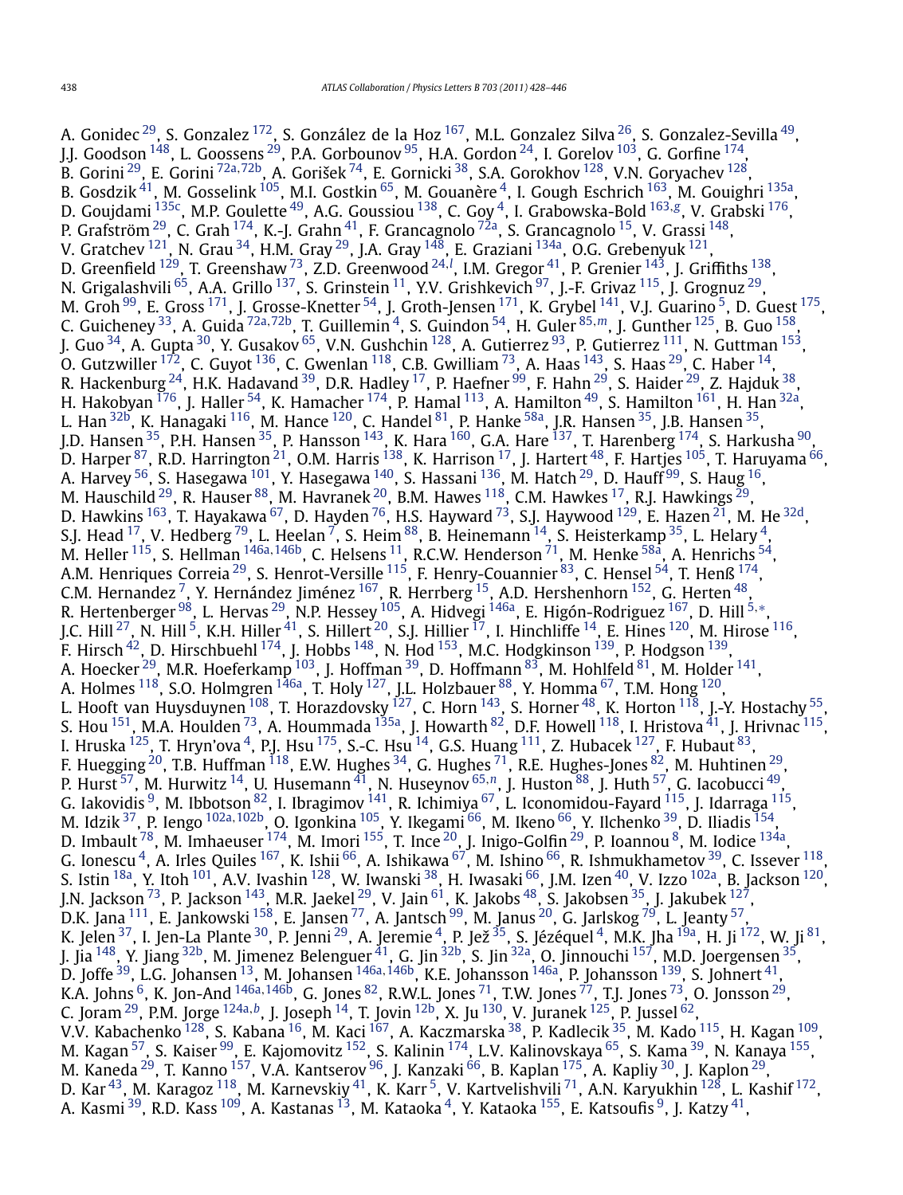A. Gonidec  $^{29}$ , S. Gonzalez  $^{172}$ , S. González de la Hoz  $^{167}$ , M.L. Gonzalez Silva  $^{26}$ , S. Gonzalez-Sevilla  $^{49}$ , J.J. Goodson  $^{148}$ , L. Goossens  $^{29}$ , P.A. Gorbounov  $^{95}$ , H.A. Gordon  $^{24}$ , I. Gorelov  $^{103}$ , G. Gorfine  $^{174}$ , B. Gorini [29,](#page-16-0) E. Gorini [72a](#page-17-0)*,*[72b,](#page-17-0) A. Gorišek [74](#page-17-0), E. Gornicki [38,](#page-16-0) S.A. Gorokhov [128,](#page-17-0) V.N. Goryachev [128,](#page-17-0) B. Gosdzik <sup>41</sup>, M. Gosselink <sup>105</sup>, M.I. Gostkin <sup>65</sup>, M. Gouanère <sup>4</sup>, I. Gough Eschrich <sup>163</sup>, M. Gouighri <sup>135a</sup>, D. Goujdami [135c,](#page-17-0) M.P. Goulette [49,](#page-16-0) A.G. Goussiou [138,](#page-17-0) C. Goy [4,](#page-16-0) I. Grabowska-Bold [163](#page-18-0)*,[g](#page-18-0)*, V. Grabski [176,](#page-18-0) P. Grafström  $^{29}$ , C. Grah  $^{174}$ , K.-J. Grahn  $^{41}$  $^{41}$  $^{41}$ , F. Grancagnolo  $^{72}$ a, S. Grancagnolo  $^{15}$ , V. Grassi  $^{148},$ V. Gratchev  $^{121}$  $^{121}$  $^{121}$ , N. Grau  $^{34}$ , H.M. Gray  $^{29}$ , J.A. Gray  $^{148}$ , E. Graziani  $^{134}$ , O.G. Grebenyuk  $^{121}$ , D. Greenfield <sup>129</sup>, T. Greenshaw <sup>73</sup>, Z.D. Greenwood <sup>[24](#page-16-0), !</sup>, I.M. Gregor <sup>41</sup>, P. Grenier <sup>143</sup>, J. Griffiths <sup>138</sup>, N. Grigalashvili <sup>65</sup>, A.A. Grillo <sup>137</sup>, S. Grinstein <sup>11</sup>, Y.V. Grishkevich <sup>97</sup>, J.-F. Grivaz <sup>115</sup>, J. Grognuz <sup>29</sup>, M. Groh<sup>99</sup>, E. Gross<sup>171</sup>, J. Grosse-Knetter <sup>[5](#page-16-0)4</sup>, J. Groth-Jensen<sup>171</sup>, K. Grybel<sup>141</sup>, V.J. Guarino <sup>5</sup>, D. Guest<sup>175</sup>, C. Guicheney [33,](#page-16-0) A. Guida [72a](#page-17-0)*,*[72b,](#page-17-0) T. Guillemin [4](#page-16-0), S. Guindon [54](#page-16-0), H. Guler [85](#page-17-0)*,[m](#page-18-0)*, J. Gunther [125,](#page-17-0) B. Guo [158,](#page-18-0) J. Guo <sup>34</sup>, A. Gupta <sup>30</sup>, Y. Gusakov <sup>65</sup>, V.N. Gushchin <sup>128</sup>, A. Gutierrez <sup>93</sup>, P. Gutierrez <sup>111</sup>, N. Guttman <sup>153</sup>, O. Gutzwiller  $^{172}$ , C. Guyot  $^{136}$ , C. Gwenlan  $^{118}$ , C.B. Gwilliam  $^{73}$ , A. Haas  $^{143}$  $^{143}$  $^{143}$ , S. Haas  $^{29}$ , C. Haber  $^{14}$ , R. Hackenburg  $^{24}$ , H.K. Hadavand  $^{39}$ , D.R. Hadley  $^{17}$ , P. Haefner  $^{99}$ , F. Hahn  $^{29}$  $^{29}$  $^{29}$ , S. Haider  $^{29}$ , Z. Hajduk  $^{38}$ , H. Hakobyan  $^{176}$ , J. Haller  $^{54}$  $^{54}$  $^{54}$ , K. Hamacher  $^{174}$ , P. Hamal  $^{113}$ , A. Hamilton  $^{49}$ , S. Hamilton  $^{161}$ , H. Han  $^{32a}$  $^{32a}$  $^{32a}$ , L. Han  $32b$ , K. Hanagaki  $116$ , M. Hance  $120$ , C. Handel  $81$ , P. Hanke  $58a$ , J.R. Hansen  $35$ , J.B. Hansen  $35$ , J.D. Hansen <sup>35</sup>, P.H. Hansen <sup>35</sup>, P. Hansson <sup>143</sup>, K. Hara <sup>[160](#page-18-0)</sup>, G.A. Hare <sup>137</sup>, T. Harenberg <sup>174</sup>, S. Harkusha <sup>90</sup>, D. Harper  $^{87}$ , R.D. Harrington  $^{21}$ , O.M. Harris  $^{138}$ , K. Harrison  $^{17}$ , J. Hartert  $^{48}$ , F. Hartjes  $^{105}$ , T. Haruyama  $^{66}$ , A. Harvey  $^{56}$ , S. Hasegawa  $^{101}$ , Y. Hasegawa  $^{140}$ , S. Hassani  $^{136}$ , M. Hatch  $^{29}$ , D. Hauff  $^{99}$  $^{99}$  $^{99}$ , S. Haug  $^{16}$ , M. Hauschild  $^{29}$ , R. Hauser  $^{88}$  $^{88}$  $^{88}$ , M. Havranek  $^{20}$ , B.M. Hawes  $^{118}$ , C.M. Hawkes  $^{17}$ , R.J. Hawkings  $^{29}$ , D. Hawkins  $^{163}$ , T. Hayakawa  $^{67}$ , D. Hayden  $^{76}$ , H.S. Hayward  $^{73}$ , S.J. Haywood  $^{129}$  $^{129}$  $^{129}$ , E. Hazen  $^{21}$ , M. He  $^{32d}$ , S.J. Head  $^{17}$ , V. Hedberg  $^{79}$ , L. Heelan  $^7$ , S. Heim  $^{88}$ , B. Heinemann  $^{14}$  $^{14}$  $^{14}$ , S. Heisterkamp  $^{35}$ , L. Helary  $^4$ , M. Heller [115,](#page-17-0) S. Hellman [146a](#page-18-0)*,*[146b,](#page-18-0) C. Helsens [11,](#page-16-0) R.C.W. Henderson [71](#page-17-0), M. Henke [58a,](#page-16-0) A. Henrichs [54,](#page-16-0) A.M. Henriques Correia $^{29}$ , S. Henrot-Versille  $^{115}$ , F. Henry-Couannier  $^{83}$ , C. Hensel  $^{54}$ , T. Henß  $^{174}$ , C.M. Hernandez  $^7$ , Y. Hernández Jiménez  $^{167}$ , R. Herrberg  $^{15}$ , A.D. Hershenhorn  $^{152}$ , G. Herten  $^{48}$ , R. Hertenberger [98,](#page-17-0) L. Hervas [29,](#page-16-0) N.P. Hessey [105,](#page-17-0) A. Hidvegi [146a,](#page-18-0) E. Higón-Rodriguez [167,](#page-18-0) D. Hill [5](#page-16-0)*,*[∗](#page-18-0), J.C. Hill <sup>27</sup>, N. Hill <sup>5</sup>, K.H. Hiller <sup>41</sup>, S. Hillert <sup>20</sup>, S.J. Hillier <sup>17</sup>, I. Hinchliffe <sup>14</sup>, E. Hines <sup>120</sup>, M. Hirose <sup>116</sup>, F. Hirsch  $^{42}$ , D. Hirschbuehl  $^{174}$ , J. Hobbs  $^{148}$ , N. Hod  $^{153}$ , M.C. Hodgkinson  $^{139}$ , P. Hodgson  $^{139}$ , A. Hoecker  $^{29}$ , M.R. Hoeferkamp  $^{103}$ , J. Hoffman  $^{39}$ , D. Hoffmann  $^{83}$ , M. Hohlfeld  $^{81}$ , M. Holder  $^{141}$ , A. Holmes  $^{118}$ , S.O. Holmgren  $^{146}$ , T. Holy  $^{127}$  $^{127}$  $^{127}$ , J.L. Holzbauer  $^{88}$ , Y. Homma  $^{67}$ , T.M. Hong  $^{120}$ , L. Hooft van Huysduynen  $^{108}$ , T. Horazdovsky  $^{127}$ , C. Horn  $^{143}$ , S. Horner  $^{48}$ , K. Horton  $^{118}$ , J.-Y. Hostachy  $^{55}$ , S. Hou  $^{151}$ , M.A. Houlden  $^{73}$ , A. Hoummada  $^{135$ a, J. Howarth  $^{82}$  $^{82}$  $^{82}$ , D.F. Howell  $^{118}$ , I. Hristova  $^{41}$ , J. Hrivnac  $^{115}$ , I. Hruska  $^{125}$ , T. Hryn'ova  $^4$  $^4$ , P.J. Hsu  $^{175}$ , S.-C. Hsu  $^{14}$ , G.S. Huang  $^{111}$  $^{111}$  $^{111}$ , Z. Hubacek  $^{127}$ , F. Hubaut  $^{83}$ , F. Huegging <sup>[20](#page-16-0)</sup>, T.B. Huffman  $^{118}$ , E.W. Hughes  $^{34}$ , G. Hughes  $^{71}$ , R.E. Hughes-Jones  $^{82}$ , M. Huhtinen  $^{29}$ , P. Hurst [57,](#page-16-0) M. Hurwitz [14,](#page-16-0) U. Husemann [41,](#page-16-0) N. Huseynov [65](#page-16-0)*,[n](#page-18-0)*, J. Huston [88,](#page-17-0) J. Huth [57](#page-16-0), G. Iacobucci [49,](#page-16-0) G. Iakovidis  $^9$ , M. Ibbotson  $^{82}$ , I. Ibragimov  $^{141}$  $^{141}$  $^{141}$ , R. Ichimiya  $^{67}$ , L. Iconomidou-Fayard  $^{115}$ , J. Idarraga  $^{115}$ , M. Idzik [37,](#page-16-0) P. Iengo [102a](#page-17-0)*,*[102b,](#page-17-0) O. Igonkina [105,](#page-17-0) Y. Ikegami [66,](#page-17-0) M. Ikeno [66,](#page-17-0) Y. Ilchenko [39,](#page-16-0) D. Iliadis [154,](#page-18-0) D. Imbault  $^{78}$ , M. Imhaeuser  $^{174}$ , M. Imori  $^{155}$ , T. Ince  $^{20}$  $^{20}$  $^{20}$ , J. Inigo-Golfin  $^{29}$ , P. Ioannou  $^8$ , M. Iodice  $^{134}$ , G. Ionescu  $^4$ , A. Irles Quiles  $^{167}$ , K. Ishii  $^{66}$ , A. Ishikawa  $^{67}$ , M. Ishino  $^{66}$ , R. Ishmukhametov  $^{39}$ , C. Issever  $^{118}$ , S. Istin  $^{18a}$ , Y. Itoh  $^{101}$  $^{101}$  $^{101}$ , A.V. Ivashin  $^{128}$ , W. Iwanski  $^{38}$ , H. Iwasaki  $^{66}$ , J.M. Izen  $^{40}$ , V. Izzo  $^{102a}$ , B. Jackson  $^{120}$ , J.N. Jackson  $^{73}$ , P. Jackson  $^{143}$ , M.R. Jaekel  $^{29}$ , V. Jain  $^{61}$ , K. Jakobs  $^{48}$ , S. Jakobsen  $^{35}$ , J. Jakubek  $^{127}$ , D.K. Jana  $^{111}$ , E. Jankowski  $^{158}$ , E. Jansen  $^{77}$ , A. Jantsch  $^{99}$ , M. Janus  $^{20}$ , G. Jarlskog  $^{79}$ , L. Jeanty  $^{57}$ , K. Jelen $^{37}$ , I. Jen-La Plante $^{30}$ , P. Jenni $^{29}$ , A. Jeremie $^4$ , P. Jež $^{35}$ , S. Jézéquel $^4$ , M.K. Jha $^{19a}$ , H. Ji $^{172}$ , W. Ji $^{81}$ , J. Jia <sup>148</sup>, Y. Jiang <sup>32b</sup>, M. Jimenez Belenguer <sup>41</sup>, G. Jin <sup>32b</sup>, S. Jin <sup>32a</sup>, O. Jinnouchi <sup>157</sup>, M.D. Joergensen <sup>35</sup>, D. Joffe [39,](#page-16-0) L.G. Johansen [13](#page-16-0), M. Johansen [146a](#page-18-0)*,*[146b,](#page-18-0) K.E. Johansson [146a,](#page-18-0) P. Johansson [139](#page-17-0), S. Johnert [41,](#page-16-0) K.A. Johns <sup>6</sup>, K. Jon-And <sup>[146a](#page-18-0), 146b</sup>, G. Jones <sup>82</sup>, R.W.L. Jones <sup>71</sup>, T.W. Jones <sup>77</sup>, T.J. Jones <sup>73</sup>, O. Jonsson <sup>[29](#page-16-0)</sup>, C. Joram [29,](#page-16-0) P.M. Jorge [124a](#page-17-0)*,[b](#page-18-0)*, J. Joseph [14,](#page-16-0) T. Jovin [12b,](#page-16-0) X. Ju [130,](#page-17-0) V. Juranek [125,](#page-17-0) P. Jussel [62,](#page-16-0) V.V. Kabachenko <sup>128</sup>, S. Kabana <sup>16</sup>, M. Kaci <sup>[167](#page-18-0)</sup>, A. Kaczmarska <sup>38</sup>, P. Kadlecik <sup>35</sup>, M. Kado <sup>115</sup>, H. Kagan <sup>109</sup>, M. Kagan <sup>57</sup>, S. Kaiser <sup>99</sup>, E. Kajomovitz <sup>152</sup>, S. Kalinin <sup>174</sup>, L.V. Kalinovskaya <sup>65</sup>, S. Kama <sup>39</sup>, N. Kanaya <sup>155</sup>, M. Kaneda  $^{29}$ , T. Kanno  $^{157}$ , V.A. Kantserov  $^{96}$ , J. Kanzaki  $^{66}$ , B. Kaplan  $^{175}$  $^{175}$  $^{175}$ , A. Kapliy  $^{30}$ , J. Kaplon  $^{29}$ , D. Kar $^{43}$  $^{43}$  $^{43}$ , M. Karagoz  $^{118}$ , M. Karnevskiy  $^{41}$ , K. Karr $^5$ , V. Kartvelishvili  $^{71}$ , A.N. Karyukhin  $^{128}$  $^{128}$  $^{128}$ , L. Kashif  $^{172}$ , A. Kasmi <sup>39</sup>, R.D. Kass <sup>109</sup>, A. Kastanas <sup>13</sup>, M. Kataoka <sup>4</sup>, Y. Kataoka <sup>[155](#page-18-0)</sup>, E. Katsoufis <sup>9</sup>, J. Katzy <sup>41</sup>,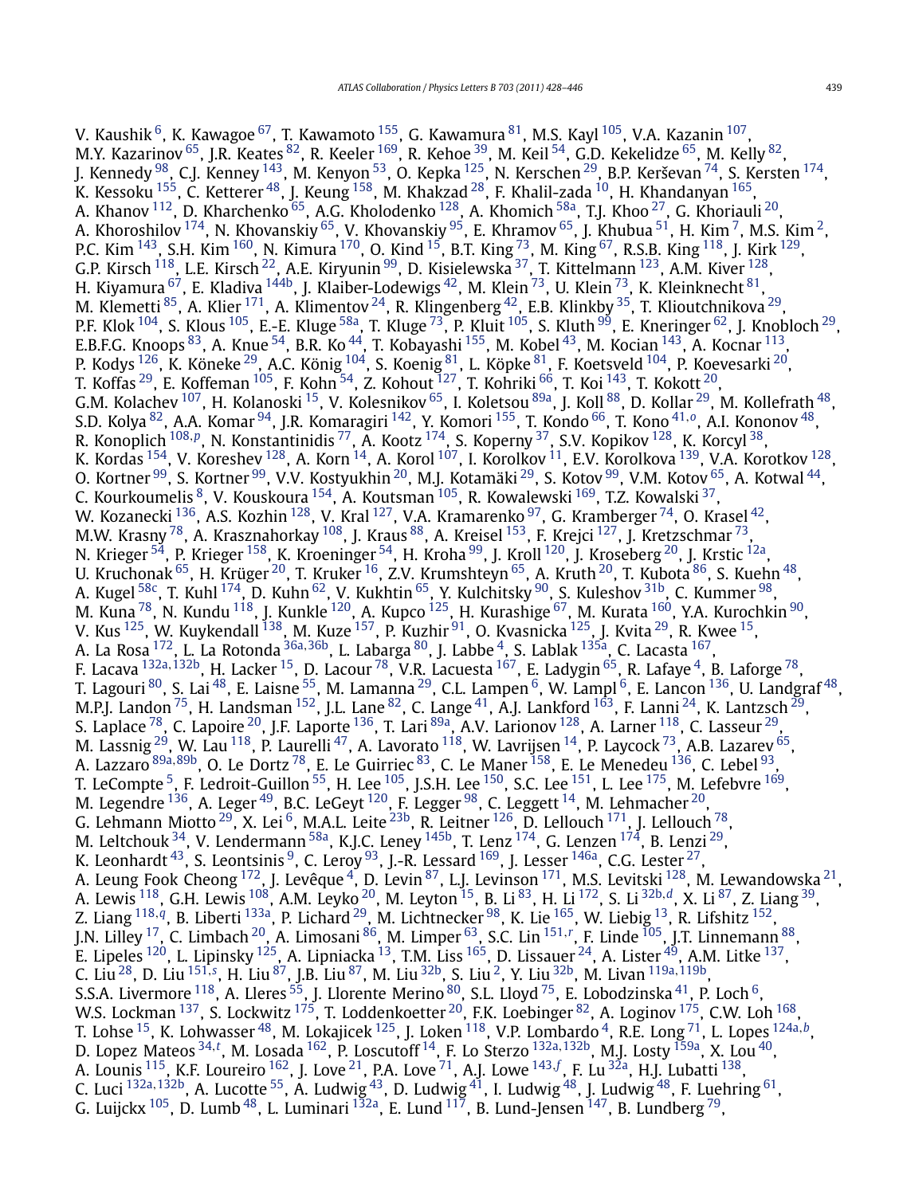V. Kaushik <sup>6</sup>, K. Kawagoe <sup>67</sup>, T. Kawamoto <sup>155</sup>, G. Kawamura <sup>[81](#page-17-0)</sup>, M.S. Kayl <sup>105</sup>, V.A. Kazanin <sup>107</sup>, M.Y. Kazarinov  $^{65}$ , J.R. Keates  $^{82}$ , R. Keeler  $^{169}$ , R. Kehoe  $^{39}$ , M. Keil  $^{54}$ , G.D. Kekelidze  $^{65}$ , M. Kelly  $^{82}$ , J. Kennedy  $^{98}$ , C.J. Kenney  $^{143}$ , M. Kenyon  $^{53}$ , O. Kepka  $^{125}$ , N. Kerschen  $^{29}$ , B.P. Kerševan  $^{74}$  $^{74}$  $^{74}$ , S. Kersten  $^{174}$ , K. Kessoku  $^{155}$ , C. Ketterer  $^{48}$  $^{48}$  $^{48}$ , J. Keung  $^{158}$ , M. Khakzad  $^{28}$ , F. Khalil-zada  $^{10}$ , H. Khandanyan  $^{165},$  $^{165},$  $^{165},$ A. Khanov  $^{112}$  $^{112}$  $^{112}$ , D. Kharchenko  $^{65}$ , A.G. Kholodenko  $^{128}$ , A. Khomich  $^{58\mathrm{a}}$ , T.J. Khoo  $^{27}$ , G. Khoriauli  $^{20}$ , A. Khoroshilov  $^{174}$ , N. Khovanskiy  $^{65}$ , V. Khovanskiy  $^{95}$ , E. Khramov  $^{65}$ , J. Khubua  $^{51}$ , H. Kim  $^7$ , M.S. Kim  $^2$ , P.C. Kim <sup>143</sup>, S.H. Kim <sup>160</sup>, N. Kimura <sup>170</sup>, O. Kind <sup>15</sup>, B.T. King <sup>73</sup>, M. King <sup>67</sup>, R.S.B. King <sup>118</sup>, J. Kirk <sup>129</sup>, G.P. Kirsch  $^{118}$ , L.E. Kirsch  $^{22}$  $^{22}$  $^{22}$ , A.E. Kiryunin  $^{99}$ , D. Kisielewska  $^{37}$ , T. Kittelmann  $^{123}$ , A.M. Kiver  $^{128}$ , H. Kiyamura <sup>67</sup>, E. Kladiva <sup>144b</sup>, J. Klaiber-Lodewigs <sup>42</sup>, M. Klein <sup>73</sup>, U. Klein <sup>73</sup>, K. Kleinknecht <sup>81</sup>, M. Klemetti $^{85}$ , A. Klier  $^{171}$ , A. Klimentov  $^{24}$ , R. Klingenberg  $^{42}$ , E.B. Klinkby  $^{35}$ , T. Klioutchnikova  $^{29}$  $^{29}$  $^{29}$ , P.F. Klok <sup>104</sup>, S. Klous <sup>105</sup>, E.-E. Kluge <sup>58a</sup>, T. Kluge <sup>73</sup>, P. Kluit <sup>105</sup>, S. Kluth <sup>99</sup>, E. Kneringer <sup>62</sup>, J. Knobloch <sup>29</sup>, E.B.F.G. Knoops  $^{83}$ , A. Knue  $^{54}$ , B.R. Ko  $^{44}$ , T. Kobayashi  $^{155}$ , M. Kobel  $^{43}$ , M. Kocian  $^{143}$ , A. Kocnar  $^{113}$ , P. Kodys <sup>126</sup>, K. Köneke <sup>29</sup>, A.C. König <sup>104</sup>, S. Koenig <sup>81</sup>, L. Köpke <sup>81</sup>, F. Koetsveld <sup>104</sup>, P. Koevesarki <sup>[20](#page-16-0)</sup>, T. Koffas  $^{29}$ , E. Koffeman  $^{105}$ , F. Kohn  $^{54}$ , Z. Kohout  $^{127}$ , T. Kohriki  $^{66}$  $^{66}$  $^{66}$ , T. Koi  $^{143}$ , T. Kokott  $^{20}$ , G.M. Kolachev <sup>107</sup>, H. Kolanoski <sup>15</sup>, V. Kolesnikov <sup>65</sup>, I. Koletsou <sup>89a</sup>, J. Koll <sup>88</sup>, D. Kollar <sup>29</sup>, M. Kollefrath <sup>48</sup>, S.D. Kolya [82,](#page-17-0) A.A. Komar [94](#page-17-0), J.R. Komaragiri [142,](#page-18-0) Y. Komori [155,](#page-18-0) T. Kondo [66,](#page-17-0) T. Kono [41](#page-16-0)*,[o](#page-18-0)*, A.I. Kononov [48,](#page-16-0) R. Konoplich [108](#page-17-0)*,[p](#page-18-0)*, N. Konstantinidis [77,](#page-17-0) A. Kootz [174,](#page-18-0) S. Koperny [37,](#page-16-0) S.V. Kopikov [128,](#page-17-0) K. Korcyl [38,](#page-16-0) K. Kordas  $^{154}$ , V. Koreshev  $^{128}$ , A. Korn  $^{14}$ , A. Korol  $^{107}$ , I. Korolkov  $^{11}$ , E.V. Korolkova  $^{139}$ , V.A. Korotkov  $^{128},$ O. Kortner <sup>99</sup>, S. Kortner <sup>99</sup>, V.V. Kostyukhin <sup>20</sup>, M.J. Kotamäki <sup>29</sup>, S. Kotov <sup>99</sup>, V.M. Kotov <sup>65</sup>, A. Kotwal <sup>44</sup>, C. Kourkoumelis <sup>8</sup>, V. Kouskoura <sup>154</sup>, A. Koutsman <sup>105</sup>, R. Kowalewski <sup>169</sup>, T.Z. Kowalski <sup>37</sup>, W. Kozanecki  $^{136}$ , A.S. Kozhin  $^{128}$ , V. Kral  $^{127}$ , V.A. Kramarenko  $^{97}$ , G. Kramberger  $^{74}$ , O. Krasel  $^{42}$ , M.W. Krasny  $^{78}$ , A. Krasznahorkay  $^{108}$ , J. Kraus  $^{88}$ , A. Kreisel  $^{153}$ , F. Krejci  $^{127}$ , J. Kretzschmar  $^{73},$ N. Krieger <sup>54</sup>, P. Krieger <sup>[158](#page-18-0)</sup>, K. Kroeninger <sup>54</sup>, H. Kroha <sup>99</sup>, J. Kroll <sup>[120](#page-17-0)</sup>, J. Kroseberg <sup>20</sup>, J. Krstic <sup>12a</sup>, U. Kruchonak  $^{65}$ , H. Krüger  $^{20}$ , T. Kruker  $^{16}$ , Z.V. Krumshteyn  $^{65}$ , A. Kruth  $^{20}$ , T. Kubota  $^{86}$ , S. Kuehn  $^{48}$ , A. Kugel <sup>58c</sup>, T. Kuhl <sup>174</sup>, D. Kuhn <sup>62</sup>, V. Kukhtin <sup>65</sup>, Y. Kulchitsky <sup>[90](#page-17-0)</sup>, S. Kuleshov <sup>31b</sup>, C. Kummer <sup>98</sup>, M. Kuna  $^{78}$ , N. Kundu  $^{118}$ , J. Kunkle  $^{120}$  $^{120}$  $^{120}$ , A. Kupco  $^{125}$ , H. Kurashige  $^{67}$ , M. Kurata  $^{160}$ , Y.A. Kurochkin  $^{90}$  $^{90}$  $^{90}$ , V. Kus  $^{125}$ , W. Kuykendall  $^{138}$ , M. Kuze  $^{157}$  $^{157}$  $^{157}$ , P. Kuzhir  $^{91}$ , O. Kvasnicka  $^{125}$ , J. Kvita  $^{29}$ , R. Kwee  $^{15}$ , A. La Rosa [172,](#page-18-0) L. La Rotonda [36a](#page-16-0)*,*[36b,](#page-16-0) L. Labarga [80,](#page-17-0) J. Labbe [4,](#page-16-0) S. Lablak [135a,](#page-17-0) C. Lacasta [167,](#page-18-0) F. Lacava [132a](#page-17-0)*,*[132b,](#page-17-0) H. Lacker [15,](#page-16-0) D. Lacour [78,](#page-17-0) V.R. Lacuesta [167,](#page-18-0) E. Ladygin [65,](#page-16-0) R. Lafaye [4,](#page-16-0) B. Laforge [78,](#page-17-0) T. Lagouri  $^{80}$ , S. Lai  $^{48}$ , E. Laisne  $^{55}$ , M. Lamanna  $^{29}$ , C.L. Lampen  $^6$  $^6$ , W. Lampl  $^6$ , E. Lancon  $^{136}$ , U. Landgraf  $^{48}$ , M.P.J. Landon  $^{75}$ , H. Landsman  $^{152}$ , J.L. Lane  $^{82}$ , C. Lange  $^{41}$ , A.J. Lankford  $^{163}$ , F. Lanni  $^{24}$  $^{24}$  $^{24}$ , K. Lantzsch  $^{29}$ , M.P.J. Landon  $^{75}$ , H. Landsman  $^{152}$ , J.L. Lane  $^{82}$ , C. Lange  $^{41}$ , A.J. S. Laplace <sup>78</sup>, C. Lapoire <sup>20</sup>, J.F. Laporte <sup>136</sup>, T. Lari <sup>89a</sup>, A.V. Larionov <sup>128</sup>, A. Larner <sup>118</sup>, C. Lasseur <sup>29</sup>, M. Lassnig  $^{29}$ , W. Lau  $^{118}$ , P. Laurelli  $^{47}$ , A. Lavorato  $^{118}$ , W. Lavrijsen  $^{14}$ , P. Laycock  $^{73}$ , A.B. Lazarev  $^{65}$ , A. Lazzaro [89a](#page-17-0)*,*[89b,](#page-17-0) O. Le Dortz [78,](#page-17-0) E. Le Guirriec [83,](#page-17-0) C. Le Maner [158,](#page-18-0) E. Le Menedeu [136,](#page-17-0) C. Lebel [93,](#page-17-0) T. LeCompte <sup>5</sup>, F. Ledroit-Guillon  $^{55}$ , H. Lee  $^{105}$ , J.S.H. Lee  $^{150}$ , S.C. Lee  $^{151}$ , L. Lee  $^{175}$  $^{175}$  $^{175}$ , M. Lefebvre  $^{169}$  $^{169}$  $^{169}$ , M. Legendre  $^{136}$ , A. Leger  $^{49}$ , B.C. LeGeyt  $^{120}$ , F. Legger  $^{98}$  $^{98}$  $^{98}$ , C. Leggett  $^{14}$ , M. Lehmacher  $^{20}$ , G. Lehmann Miotto  $^{29}$ , X. Lei  $^6$ , M.A.L. Leite  $^{23\mathsf{b}}$ , R. Leitner  $^{126}$ , D. Lellouch  $^{171}$ , J. Lellouch  $^{78}$ , M. Leltchouk  $^{34}$ , V. Lendermann <sup>58a</sup>, K.J.C. Leney <sup>145b</sup>, T. Lenz <sup>174</sup>, G. Lenzen <sup>174</sup>, B. Lenzi <sup>29</sup>, K. Leonhardt  $^{43}$ , S. Leontsinis  $^9$ , C. Leroy  $^{93}$ , J.-R. Lessard  $^{169}$ , J. Lesser  $^{146}$ , C.G. Lester  $^{27}$ , A. Leung Fook Cheong <sup>172</sup>, J. Levêque <sup>4</sup>, D. Levin <sup>87</sup>, L.J. Levinson <sup>[171](#page-18-0)</sup>, M.S. Levitski <sup>128</sup>, M. Lewandowska <sup>21</sup>, A. Lewis [118](#page-17-0), G.H. Lewis [108,](#page-17-0) A.M. Leyko [20,](#page-16-0) M. Leyton [15,](#page-16-0) B. Li [83,](#page-17-0) H. Li [172](#page-18-0), S. Li [32b](#page-16-0)*,[d](#page-18-0)*, X. Li [87,](#page-17-0) Z. Liang [39,](#page-16-0) Z. Liang [118](#page-17-0)*,[q](#page-18-0)*, B. Liberti [133a,](#page-17-0) P. Lichard [29,](#page-16-0) M. Lichtnecker [98,](#page-17-0) K. Lie [165,](#page-18-0) W. Liebig [13,](#page-16-0) R. Lifshitz [152,](#page-18-0) J.N. Lilley [17,](#page-16-0) C. Limbach [20](#page-16-0), A. Limosani [86,](#page-17-0) M. Limper [63,](#page-16-0) S.C. Lin [151](#page-18-0)*,[r](#page-18-0)* , F. Linde [105,](#page-17-0) J.T. Linnemann [88,](#page-17-0) E. Lipeles  $^{120}$ , L. Lipinsky  $^{125}$ , A. Lipniacka  $^{13}$ , T.M. Liss  $^{165}$ , D. Lissauer  $^{24}$ , A. Lister  $^{49}$ , A.M. Litke  $^{137},$ C. Liu<sup>28</sup>, D. Liu<sup>[151](#page-18-0),[s](#page-18-0)</sup>, H. Liu<sup>87</sup>, J.B. Liu<sup>87</sup>, M. Liu<sup>[32b](#page-16-0)</sup>, S. Liu<sup>2</sup>, Y. Liu<sup>32b</sup>, M. Livan <sup>[119a](#page-17-0), 119b</sup>, S.S.A. Livermore  $^{118}$ , A. Lleres  $^{55}$ , J. Llorente Merino  $^{80}$ , S.L. Lloyd  $^{75}$ , E. Lobodzinska  $^{41}$ , P. Loch  $^6$ , W.S. Lockman  $^{137}$ , S. Lockwitz  $^{175}$ , T. Loddenkoetter  $^{20}$ , F.K. Loebinger  $^{82}$  $^{82}$  $^{82}$ , A. Loginov  $^{175}$ , C.W. Loh  $^{168}$ , T. Lohse [15,](#page-16-0) K. Lohwasser [48,](#page-16-0) M. Lokajicek [125,](#page-17-0) J. Loken [118,](#page-17-0) V.P. Lombardo [4,](#page-16-0) R.E. Long [71,](#page-17-0) L. Lopes [124a](#page-17-0)*,[b](#page-18-0)*, D. Lopez Mateos [34](#page-16-0)*,[t](#page-18-0)* , M. Losada [162,](#page-18-0) P. Loscutoff [14,](#page-16-0) F. Lo Sterzo [132a](#page-17-0)*,*[132b,](#page-17-0) M.J. Losty [159a,](#page-18-0) X. Lou [40,](#page-16-0) A. Lounis <sup>115</sup>, K.F. Loureiro <sup>[162](#page-18-0)</sup>, J. Love <sup>21</sup>, P.A. Love <sup>71</sup>, A.J. Lowe <sup>[143](#page-18-0), [f](#page-18-0)</sup>, F. Lu <sup>32a</sup>, H.J. Lubatti <sup>138</sup>, C. Luci <sup>[132a](#page-17-0), 132b</sup>, A. Lucotte <sup>55</sup>, A. Ludwig <sup>43</sup>, D. Ludwig <sup>41</sup>, I. Ludwig <sup>48</sup>, J. Ludwig <sup>48</sup>, F. Luehring <sup>[61](#page-16-0)</sup>, G. Luijckx  $^{105}$ , D. Lumb $^{48}$ , L. Luminari  $^{132}$ , E. Lund  $^{117}$  $^{117}$  $^{117}$ , B. Lund-Jensen  $^{147}$  $^{147}$  $^{147}$ , B. Lundberg  $^{79}$ ,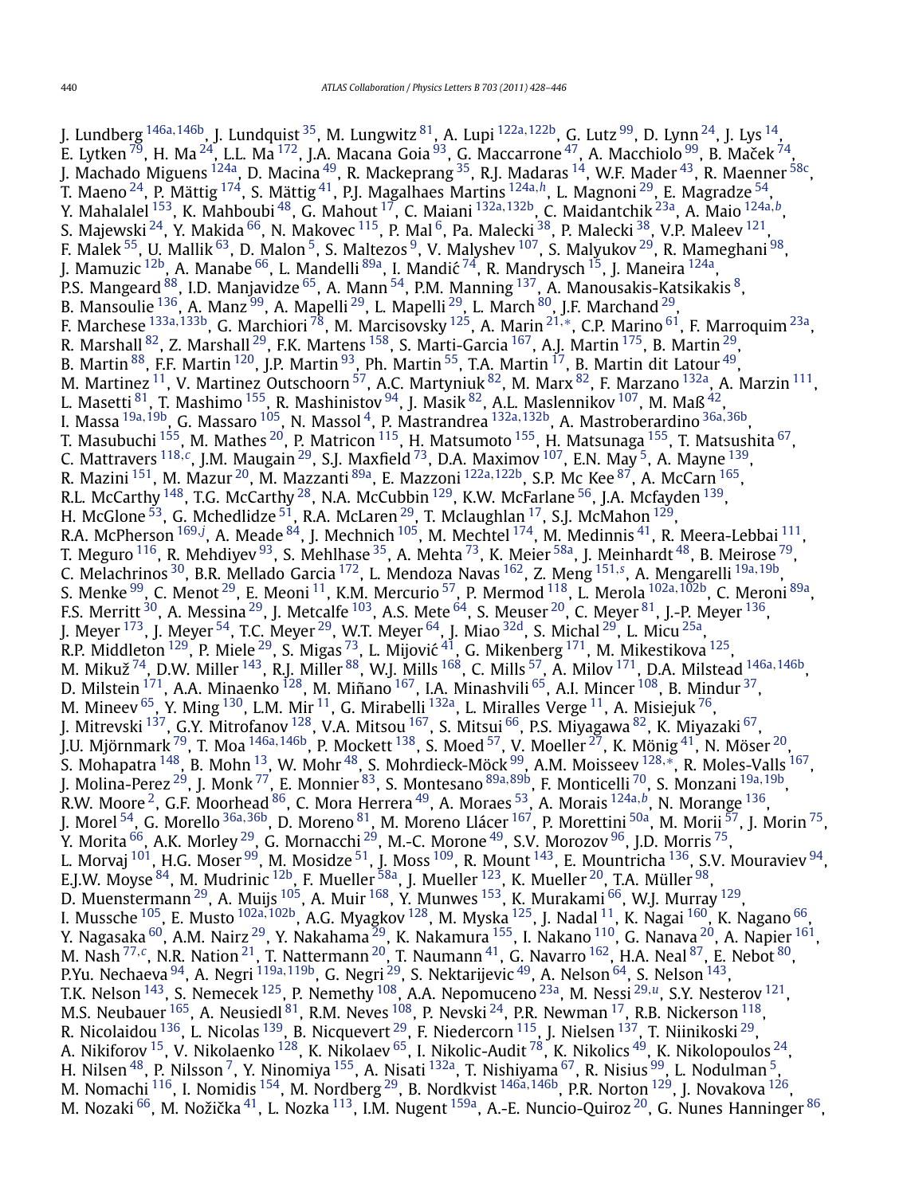J. Lundberg [146a](#page-18-0)*,*[146b,](#page-18-0) J. Lundquist [35,](#page-16-0) M. Lungwitz [81,](#page-17-0) A. Lupi [122a](#page-17-0)*,*[122b,](#page-17-0) G. Lutz [99,](#page-17-0) D. Lynn [24](#page-16-0), J. Lys [14,](#page-16-0) E. Lytken  $^{79}$  $^{79}$  $^{79}$ , H. Ma  $^{24}$ , L.L. Ma  $^{172}$  $^{172}$  $^{172}$ , J.A. Macana Goia  $^{93}$  $^{93}$  $^{93}$ , G. Maccarrone  $^{47}$ , A. Macchiolo  $^{99}$ , B. Maček  $^{74}$ , J. Machado Miguens <sup>124a</sup>, D. Macina <sup>49</sup>, R. Mackeprang <sup>35</sup>, R.J. Madaras <sup>14</sup>, W.F. Mader <sup>43</sup>, R. Maenner <sup>58c</sup>, T. Maeno [24,](#page-16-0) P. Mättig [174,](#page-18-0) S. Mättig [41,](#page-16-0) P.J. Magalhaes Martins [124a](#page-17-0)*,[h](#page-18-0)*, L. Magnoni [29,](#page-16-0) E. Magradze [54,](#page-16-0) Y. Mahalalel [153,](#page-18-0) K. Mahboubi [48,](#page-16-0) G. Mahout [17,](#page-16-0) C. Maiani [132a](#page-17-0)*,*[132b](#page-17-0), C. Maidantchik [23a,](#page-16-0) A. Maio [124a](#page-17-0)*,[b](#page-18-0)*, S. Majewski  $^{24}$ , Y. Makida  $^{66}$ , N. Makovec  $^{115}$ , P. Mal  $^6$ , Pa. Malecki  $^{38}$ , P. Malecki  $^{38}$ , V.P. Maleev  $^{121}$ , F. Malek  $^{55}$ , U. Mallik  $^{63}$ , D. Malon  $^5$ , S. Maltezos  $^9$ , V. Malyshev  $^{107}$ , S. Malyukov  $^{29}$ , R. Mameghani  $^{98}$ , J. Mamuzic <sup>12b</sup>, A. Manabe <sup>66</sup>, L. Mandelli <sup>89a</sup>, I. Mandić <sup>[74](#page-17-0)</sup>, R. Mandrysch <sup>[15](#page-16-0)</sup>, J. Maneira <sup>124a</sup>, P.S. Mangeard <sup>88</sup>, I.D. Manjavidze <sup>65</sup>, A. Mann <sup>54</sup>, P.M. Manning <sup>137</sup>, A. Manousakis-Katsikakis <sup>8</sup>, B. Mansoulie <sup>136</sup>, A. Manz <sup>[99](#page-17-0)</sup>, A. Mapelli <sup>[29](#page-16-0)</sup>, L. Mapelli <sup>29</sup>, L. March <sup>80</sup>, J.F. Marchand <sup>29</sup>, F. Marchese [133a](#page-17-0)*,*[133b,](#page-17-0) G. Marchiori [78,](#page-17-0) M. Marcisovsky [125,](#page-17-0) A. Marin [21](#page-16-0)*,*[∗](#page-18-0), C.P. Marino [61,](#page-16-0) F. Marroquim [23a,](#page-16-0) R. Marshall [82,](#page-17-0) Z. Marshall [29,](#page-16-0) F.K. Martens [158](#page-18-0), S. Marti-Garcia [167,](#page-18-0) A.J. Martin [175,](#page-18-0) B. Martin [29,](#page-16-0) B. Martin  $^{88}$ , F.F. Martin  $^{120}$ , J.P. Martin  $^{93}$ , Ph. Martin  $^{55}$ , T.A. Martin  $^{17}$ , B. Martin dit Latour  $^{49}$ , M. Martinez <sup>11</sup>, V. Martinez Outschoorn  $^{57}$ , A.C. Martyniuk  $^{82}$ , M. Marx  $^{82}$ , F. Marzano  $^{132a}$ , A. Marzin  $^{111}$ , L. Masetti $^{\mathrm{81}}$ , T. Mashimo  $^{\mathrm{155}}$ , R. Mashinistov  $^{\mathrm{94}}$ , J. Masik  $^{\mathrm{82}}$  $^{\mathrm{82}}$  $^{\mathrm{82}}$ , A.L. Maslennikov  $^{\mathrm{107}}$  $^{\mathrm{107}}$  $^{\mathrm{107}}$ , M. Maß  $^{\mathrm{42}}$ , I. Massa [19a](#page-16-0)*,*[19b,](#page-16-0) G. Massaro [105,](#page-17-0) N. Massol [4,](#page-16-0) P. Mastrandrea [132a](#page-17-0)*,*[132b,](#page-17-0) A. Mastroberardino [36a](#page-16-0)*,*[36b,](#page-16-0) T. Masubuchi <sup>[155](#page-18-0)</sup>, M. Mathes <sup>20</sup>, P. Matricon <sup>115</sup>, H. Matsumoto <sup>155</sup>, H. Matsunaga <sup>155</sup>, T. Matsushita <sup>67</sup>, C. Mattravers [118](#page-17-0)*,[c](#page-18-0)*, J.M. Maugain [29,](#page-16-0) S.J. Maxfield [73,](#page-17-0) D.A. Maximov [107,](#page-17-0) E.N. May [5,](#page-16-0) A. Mayne [139,](#page-17-0) R. Mazini <sup>151</sup>, M. Mazur<sup>20</sup>, M. Mazzanti <sup>[89a](#page-17-0)</sup>, E. Mazzoni <sup>[122a](#page-17-0), 122b</sup>, S.P. Mc Kee <sup>87</sup>, A. McCarn <sup>165</sup>, R.L. McCarthy <sup>148</sup>, T.G. McCarthy <sup>[28](#page-16-0)</sup>, N.A. McCubbin <sup>129</sup>, K.W. McFarlane <sup>56</sup>, J.A. Mcfayden <sup>139</sup>, H. McGlone  $^{53}$ , G. Mchedlidze  $^{51}$ , R.A. McLaren  $^{29}$ , T. Mclaughlan  $^{17}$ , S.J. McMahon  $^{129}$ , R.A. McPherson <sup>[169](#page-18-0),[j](#page-18-0)</sup>, A. Meade <sup>84</sup>, J. Mechnich <sup>105</sup>, M. Mechtel <sup>174</sup>, M. Medinnis <sup>41</sup>, R. Meera-Lebbai <sup>111</sup>, T. Meguro  $^{116}$ , R. Mehdiyev  $^{93}$ , S. Mehlhase  $^{35}$ , A. Mehta  $^{73}$  $^{73}$  $^{73}$ , K. Meier  $^{58a}$ , J. Meinhardt  $^{48}$ , B. Meirose  $^{79}$ , C. Melachrinos [30,](#page-16-0) B.R. Mellado Garcia [172,](#page-18-0) L. Mendoza Navas [162](#page-18-0), Z. Meng [151](#page-18-0)*,[s](#page-18-0)* , A. Mengarelli [19a](#page-16-0)*,*[19b,](#page-16-0) S. Menke [99,](#page-17-0) C. Menot [29,](#page-16-0) E. Meoni [11,](#page-16-0) K.M. Mercurio [57,](#page-16-0) P. Mermod [118,](#page-17-0) L. Merola [102a](#page-17-0)*,*[102b,](#page-17-0) C. Meroni [89a,](#page-17-0) F.S. Merritt  $^{30}$ , A. Messina  $^{29}$ , J. Metcalfe  $^{103}$ , A.S. Mete  $^{64}$ , S. Meuser  $^{20}$ , C. Meyer  $^{81}$ , J.-P. Meyer  $^{136}$ , J. Meyer  $^{173}$ , J. Meyer  $^{54}$ , T.C. Meyer  $^{29}$  $^{29}$  $^{29}$ , W.T. Meyer  $^{64}$ , J. Miao  $^{32{\rm d}}$ , S. Michal  $^{29}$ , L. Micu  $^{25{\rm a}}$ , R.P. Middleton  $^{129}$ , P. Miele  $^{29}$ , S. Migas  $^{73}$ , L. Mijović  $^{41}$ , G. Mikenberg  $^{171}$ , M. Mikestikova  $^{125},$  $^{125},$  $^{125},$ M. Mikuž [74,](#page-17-0) D.W. Miller [143,](#page-18-0) R.J. Miller [88,](#page-17-0) W.J. Mills [168,](#page-18-0) C. Mills [57,](#page-16-0) A. Milov [171,](#page-18-0) D.A. Milstead [146a](#page-18-0)*,*[146b,](#page-18-0) D. Milstein  $^{171}$ , A.A. Minaenko  $^{128}$ , M. Miñano  $^{167}$ , I.A. Minashvili  $^{65}$  $^{65}$  $^{65}$ , A.I. Mincer  $^{108}$ , B. Mindur  $^{37}$ , M. Mineev  $^{65}$ , Y. Ming  $^{130}$ , L.M. Mir $^{11}$ , G. Mirabelli  $^{132a}$ , L. Miralles Verge  $^{11}$ , A. Misiejuk  $^{76}$ , J. Mitrevski  $^{137}$ , G.Y. Mitrofanov  $^{128}$ , V.A. Mitsou  $^{167}$  $^{167}$  $^{167}$ , S. Mitsui  $^{66}$ , P.S. Miyagawa  $^{82}$ , K. Miyazaki  $^{67}$ , J.U. Mjörnmark [79,](#page-17-0) T. Moa [146a](#page-18-0)*,*[146b,](#page-18-0) P. Mockett [138,](#page-17-0) S. Moed [57,](#page-16-0) V. Moeller [27,](#page-16-0) K. Mönig [41](#page-16-0), N. Möser [20,](#page-16-0) S. Mohapatra [148](#page-18-0), B. Mohn [13,](#page-16-0) W. Mohr [48,](#page-16-0) S. Mohrdieck-Möck [99,](#page-17-0) A.M. Moisseev [128](#page-17-0)*,*[∗](#page-18-0), R. Moles-Valls [167,](#page-18-0) J. Molina-Perez [29,](#page-16-0) J. Monk [77,](#page-17-0) E. Monnier [83,](#page-17-0) S. Montesano [89a](#page-17-0)*,*[89b,](#page-17-0) F. Monticelli [70,](#page-17-0) S. Monzani [19a](#page-16-0)*,*[19b,](#page-16-0) R.W. Moore [2,](#page-16-0) G.F. Moorhead [86,](#page-17-0) C. Mora Herrera [49,](#page-16-0) A. Moraes [53,](#page-16-0) A. Morais [124a](#page-17-0)*,[b](#page-18-0)*, N. Morange [136,](#page-17-0) J. Morel [54,](#page-16-0) G. Morello [36a](#page-16-0)*,*[36b,](#page-16-0) D. Moreno [81,](#page-17-0) M. Moreno Llácer [167,](#page-18-0) P. Morettini [50a,](#page-16-0) M. Morii [57,](#page-16-0) J. Morin [75,](#page-17-0) Y. Morita <sup>66</sup>, A.K. Morley <sup>[29](#page-16-0)</sup>, G. Mornacchi <sup>29</sup>, M.-C. Morone <sup>49</sup>, S.V. Morozov <sup>96</sup>, J.D. Morris <sup>75</sup>, L. Morvaj <sup>101</sup>, H.G. Moser <sup>99</sup>, M. Mosidze <sup>51</sup>, J. Moss <sup>109</sup>, R. Mount <sup>143</sup>, E. Mountricha <sup>136</sup>, S.V. Mouraviev <sup>94</sup>, E.J.W. Moyse  $^{84}$ , M. Mudrinic  $^{12\text{b}}$ , F. Mueller  $^{58\text{a}}$ , J. Mueller  $^{123}$ , K. Mueller  $^{20}$ , T.A. Müller  $^{98}$ , D. Muenstermann <sup>29</sup>, A. Muijs <sup>[105](#page-17-0)</sup>, A. Muir <sup>168</sup>, Y. Munwes <sup>153</sup>, K. Murakami <sup>66</sup>, W.J. Murray <sup>129</sup>, I. Mussche [105,](#page-17-0) E. Musto [102a](#page-17-0)*,*[102b,](#page-17-0) A.G. Myagkov [128,](#page-17-0) M. Myska [125,](#page-17-0) J. Nadal [11,](#page-16-0) K. Nagai [160,](#page-18-0) K. Nagano [66,](#page-17-0) Y. Nagasaka <sup>60</sup>, A.M. Nairz <sup>[29](#page-16-0)</sup>, Y. Nakahama <sup>29</sup>, K. Nakamura <sup>155</sup>, I. Nakano <sup>110</sup>, G. Nanava <sup>20</sup>, A. Napier <sup>161</sup>, M. Nash [77](#page-17-0)*,[c](#page-18-0)*, N.R. Nation [21,](#page-16-0) T. Nattermann [20,](#page-16-0) T. Naumann [41,](#page-16-0) G. Navarro [162,](#page-18-0) H.A. Neal [87](#page-17-0), E. Nebot [80,](#page-17-0) P.Yu. Nechaeva [94,](#page-17-0) A. Negri [119a](#page-17-0)*,*[119b,](#page-17-0) G. Negri [29,](#page-16-0) S. Nektarijevic [49,](#page-16-0) A. Nelson [64,](#page-16-0) S. Nelson [143,](#page-18-0) T.K. Nelson [143,](#page-18-0) S. Nemecek [125](#page-17-0), P. Nemethy [108,](#page-17-0) A.A. Nepomuceno [23a,](#page-16-0) M. Nessi [29](#page-16-0)*,[u](#page-18-0)*, S.Y. Nesterov [121,](#page-17-0) M.S. Neubauer  $^{165}$ , A. Neusiedl  $^{81}$ , R.M. Neves  $^{108}$ , P. Nevski  $^{24}$ , P.R. Newman  $^{17}$ , R.B. Nickerson  $^{118}$ , R. Nicolaidou <sup>136</sup>, L. Nicolas <sup>[139](#page-17-0)</sup>, B. Nicquevert <sup>[29](#page-16-0)</sup>, F. Niedercorn <sup>115</sup>, J. Nielsen <sup>137</sup>, T. Niinikoski <sup>29</sup>, A. Nikiforov <sup>15</sup>, V. Nikolaenko <sup>128</sup>, K. Nikolaev <sup>65</sup>, I. Nikolic-Audit <sup>78</sup>, K. Nikolics <sup>49</sup>, K. Nikolopoulos <sup>[24](#page-16-0)</sup>, H. Nilsen <sup>48</sup>, P. Nilsson <sup>[7](#page-16-0)</sup>, Y. Ninomiya <sup>155</sup>, A. Nisati <sup>132a</sup>, T. Nishiyama <sup>67</sup>, R. Nisius <sup>99</sup>, L. Nodulman <sup>5</sup>, M. Nomachi [116,](#page-17-0) I. Nomidis [154,](#page-18-0) M. Nordberg [29,](#page-16-0) B. Nordkvist [146a](#page-18-0)*,*[146b,](#page-18-0) P.R. Norton [129,](#page-17-0) J. Novakova [126,](#page-17-0) M. Nozaki <sup>[66](#page-17-0)</sup>, M. Nožička <sup>41</sup>, L. Nozka <sup>113</sup>, I.M. Nugent <sup>159a</sup>, A.-E. Nuncio-Quiroz <sup>20</sup>, G. Nunes Hanninger <sup>86</sup>,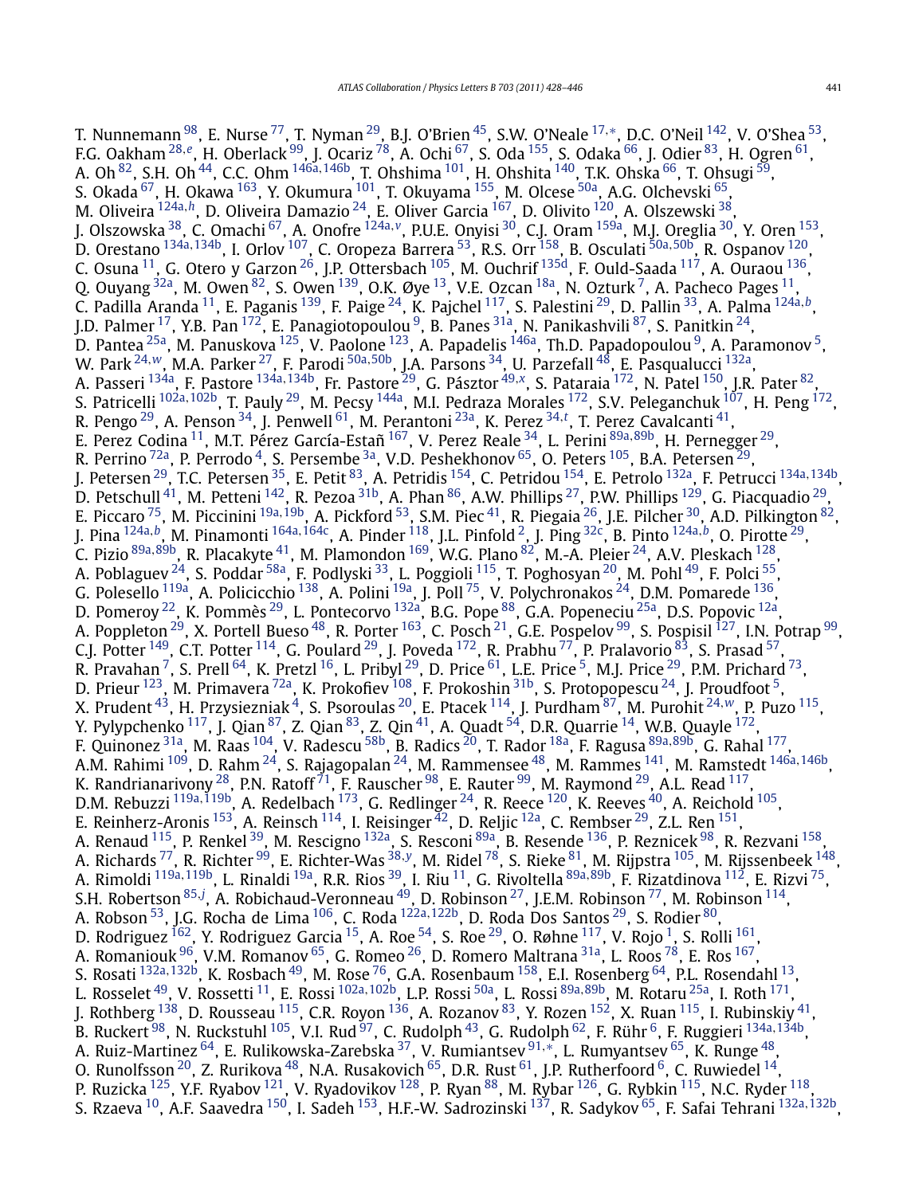T. Nunnemann [98,](#page-17-0) E. Nurse [77,](#page-17-0) T. Nyman [29,](#page-16-0) B.J. O'Brien [45,](#page-16-0) S.W. O'Neale [17](#page-16-0)*,*[∗](#page-18-0), D.C. O'Neil [142](#page-18-0), V. O'Shea [53,](#page-16-0) F.G. Oakham [28](#page-16-0)*,[e](#page-18-0)*, H. Oberlack [99,](#page-17-0) J. Ocariz [78,](#page-17-0) A. Ochi [67,](#page-17-0) S. Oda [155,](#page-18-0) S. Odaka [66,](#page-17-0) J. Odier [83](#page-17-0), H. Ogren [61,](#page-16-0) A. Oh [82,](#page-17-0) S.H. Oh [44](#page-16-0), C.C. Ohm [146a](#page-18-0)*,*[146b,](#page-18-0) T. Ohshima [101,](#page-17-0) H. Ohshita [140,](#page-17-0) T.K. Ohska [66,](#page-17-0) T. Ohsugi [59,](#page-16-0) S. Okada <sup>67</sup>, H. Okawa <sup>163</sup>, Y. Okumura <sup>101</sup>, T. Okuyama <sup>155</sup>, M. Olcese <sup>50a</sup>, A.G. Olchevski <sup>65</sup>, M. Oliveira [124a](#page-17-0)*,[h](#page-18-0)*, D. Oliveira Damazio [24,](#page-16-0) E. Oliver Garcia [167,](#page-18-0) D. Olivito [120,](#page-17-0) A. Olszewski [38,](#page-16-0) J. Olszowska [38,](#page-16-0) C. Omachi [67,](#page-17-0) A. Onofre [124a](#page-17-0)*,[v](#page-18-0)*, P.U.E. Onyisi [30,](#page-16-0) C.J. Oram [159a,](#page-18-0) M.J. Oreglia [30](#page-16-0), Y. Oren [153,](#page-18-0) D. Orestano [134a](#page-17-0)*,*[134b,](#page-17-0) I. Orlov [107,](#page-17-0) C. Oropeza Barrera [53,](#page-16-0) R.S. Orr [158,](#page-18-0) B. Osculati [50a](#page-16-0)*,*[50b,](#page-16-0) R. Ospanov [120](#page-17-0), C. Osuna  $^{11}$ , G. Otero y Garzon $^{26}$ , J.P. Ottersbach  $^{105}$ , M. Ouchrif  $^{135\mathrm{d}}$ , F. Ould-Saada  $^{117}$ , A. Ouraou  $^{136}$  $^{136}$  $^{136}$ , Q. Ouyang  $^{32a}$ , M. Owen  $^{82}$  $^{82}$  $^{82}$ , S. Owen  $^{139}$ , O.K. Øye  $^{13}$ , V.E. Ozcan  $^{18a}$ , N. Ozturk  $^7$ , A. Pacheco Pages  $^{11}$ , C. Padilla Aranda [11,](#page-16-0) E. Paganis [139,](#page-17-0) F. Paige [24,](#page-16-0) K. Pajchel [117,](#page-17-0) S. Palestini [29,](#page-16-0) D. Pallin [33,](#page-16-0) A. Palma [124a](#page-17-0)*,[b](#page-18-0)*, J.D. Palmer <sup>[17](#page-16-0)</sup>, Y.B. Pan <sup>172</sup>, E. Panagiotopoulou<sup>9</sup>, B. Panes <sup>31a</sup>, N. Panikashvili <sup>87</sup>, S. Panitkin <sup>24</sup>, D. Pantea <sup>25a</sup>, M. Panuskova <sup>[125](#page-17-0)</sup>, V. Paolone <sup>123</sup>, A. Papadelis <sup>146a</sup>, Th.D. Papadopoulou <sup>9</sup>, A. Paramonov <sup>[5](#page-16-0)</sup>, W. Park [24](#page-16-0)*,[w](#page-18-0)*, M.A. Parker [27,](#page-16-0) F. Parodi [50a](#page-16-0)*,*[50b,](#page-16-0) J.A. Parsons [34,](#page-16-0) U. Parzefall [48,](#page-16-0) E. Pasqualucci [132a,](#page-17-0) A. Passeri [134a,](#page-17-0) F. Pastore [134a](#page-17-0)*,*[134b,](#page-17-0) Fr. Pastore [29,](#page-16-0) G. Pásztor [49](#page-16-0)*,[x](#page-18-0)*, S. Pataraia [172,](#page-18-0) N. Patel [150,](#page-18-0) J.R. Pater [82](#page-17-0), S. Patricelli <sup>[102a](#page-17-0), 102b</sup>, T. Pauly <sup>29</sup>, M. Pecsy <sup>144a</sup>, M.I. Pedraza Morales <sup>172</sup>, S.V. Peleganchuk <sup>107</sup>, H. Peng <sup>172</sup>, R. Pengo [29,](#page-16-0) A. Penson [34,](#page-16-0) J. Penwell [61,](#page-16-0) M. Perantoni [23a](#page-16-0), K. Perez [34](#page-16-0)*,[t](#page-18-0)* , T. Perez Cavalcanti [41,](#page-16-0) E. Perez Codina [11,](#page-16-0) M.T. Pérez García-Estañ [167](#page-18-0), V. Perez Reale [34,](#page-16-0) L. Perini [89a](#page-17-0)*,*[89b,](#page-17-0) H. Pernegger [29,](#page-16-0) R. Perrino  $^{72}$ a, P. Perrodo  $^4$ , S. Persembe  $^{3}$ a, V.D. Peshekhonov  $^{65}$ , O. Peters  $^{105}$ , B.A. Petersen  $^{29}$ , J. Petersen [29,](#page-16-0) T.C. Petersen [35,](#page-16-0) E. Petit [83,](#page-17-0) A. Petridis [154,](#page-18-0) C. Petridou [154,](#page-18-0) E. Petrolo [132a,](#page-17-0) F. Petrucci [134a](#page-17-0)*,*[134b,](#page-17-0) D. Petschull $^{41}$ , M. Petteni  $^{142}$ , R. Pezoa $^{31b}$ , A. Phan $^{86}$ , A.W. Phillips  $^{27}$  $^{27}$  $^{27}$ , P.W. Phillips  $^{129}$ , G. Piacquadio  $^{29}$ , E. Piccaro [75,](#page-17-0) M. Piccinini [19a](#page-16-0)*,*[19b,](#page-16-0) A. Pickford [53,](#page-16-0) S.M. Piec [41,](#page-16-0) R. Piegaia [26](#page-16-0), J.E. Pilcher [30,](#page-16-0) A.D. Pilkington [82,](#page-17-0) J. Pina [124a](#page-17-0)*,[b](#page-18-0)*, M. Pinamonti [164a](#page-18-0)*,*[164c](#page-18-0), A. Pinder [118,](#page-17-0) J.L. Pinfold [2,](#page-16-0) J. Ping [32c,](#page-16-0) B. Pinto [124a](#page-17-0)*,[b](#page-18-0)*, O. Pirotte [29,](#page-16-0) C. Pizio [89a](#page-17-0)*,*[89b,](#page-17-0) R. Placakyte [41,](#page-16-0) M. Plamondon [169,](#page-18-0) W.G. Plano [82,](#page-17-0) M.-A. Pleier [24,](#page-16-0) A.V. Pleskach [128,](#page-17-0) A. Poblaguev <sup>24</sup>, S. Poddar <sup>58a</sup>, F. Podlyski <sup>33</sup>, L. Poggioli <sup>115</sup>, T. Poghosyan <sup>20</sup>, M. Pohl <sup>[49](#page-16-0)</sup>, F. Polci <sup>55</sup>, G. Polesello  $^{119$ a, A. Policicchio  $^{138}$ , A. Polini  $^{19}$ a, J. Poll  $^{75}$ , V. Polychronakos  $^{24}$  $^{24}$  $^{24}$ , D.M. Pomarede  $^{136}$ , D. Pomeroy <sup>22</sup>, K. Pommès <sup>[29](#page-16-0)</sup>, L. Pontecorvo <sup>[132a](#page-17-0)</sup>, B.G. Pope <sup>88</sup>, G.A. Popeneciu <sup>25a</sup>, D.S. Popovic <sup>12a</sup>, A. Poppleton <sup>29</sup>, X. Portell Bueso <sup>48</sup>, R. Porter <sup>163</sup>, C. Posch <sup>21</sup>, G.E. Pospelov <sup>99</sup>, S. Pospisil <sup>127</sup>, I.N. Potrap <sup>99</sup>, C.J. Potter  $^{149}$ , C.T. Potter  $^{114}$ , G. Poulard  $^{29}$ , J. Poveda  $^{172}$ , R. Prabhu  $^{77}$ , P. Pralavorio  $^{83}$ , S. Prasad  $^{57}$ , R. Pravahan <sup>[7](#page-16-0)</sup>, S. Prell  $^{64}$ , K. Pretzl  $^{16}$ , L. Pribyl  $^{29}$  $^{29}$  $^{29}$ , D. Price  $^{61}$  $^{61}$  $^{61}$ , L.E. Price  $^5$ , M.J. Price  $^{29}$ , P.M. Prichard  $^{73},$ D. Prieur  $^{123}$ , M. Primavera  $^{72a}$ , K. Prokofiev  $^{108}$ , F. Prokoshin  $^{31b}$ , S. Protopopescu  $^{24}$ , J. Proudfoot  $^{5}$ , X. Prudent [43,](#page-16-0) H. Przysiezniak [4,](#page-16-0) S. Psoroulas [20,](#page-16-0) E. Ptacek [114,](#page-17-0) J. Purdham [87,](#page-17-0) M. Purohit [24](#page-16-0)*,[w](#page-18-0)*, P. Puzo [115,](#page-17-0) Y. Pylypchenko  $^{117}$ , J. Qian $^{87}$  $^{87}$  $^{87}$ , Z. Qian $^{83}$  $^{83}$  $^{83}$ , Z. Qin $^{41}$ , A. Quadt  $^{54}$ , D.R. Quarrie  $^{14}$ , W.B. Quayle  $^{172}$ , F. Quinonez [31a,](#page-16-0) M. Raas [104,](#page-17-0) V. Radescu [58b,](#page-16-0) B. Radics [20,](#page-16-0) T. Rador [18a,](#page-16-0) F. Ragusa [89a](#page-17-0)*,*[89b,](#page-17-0) G. Rahal [177,](#page-18-0) A.M. Rahimi [109,](#page-17-0) D. Rahm [24,](#page-16-0) S. Rajagopalan [24,](#page-16-0) M. Rammensee [48,](#page-16-0) M. Rammes [141,](#page-17-0) M. Ramstedt [146a](#page-18-0)*,*[146b,](#page-18-0) K. Randrianarivony  $^{28}$ , P.N. Ratoff  $^{71}$ , F. Rauscher  $^{98}$ , E. Rauter  $^{99}$  $^{99}$  $^{99}$ , M. Raymond  $^{29}$ , A.L. Read  $^{117}$ , D.M. Rebuzzi [119a](#page-17-0)*,*[119b,](#page-17-0) A. Redelbach [173](#page-18-0), G. Redlinger [24,](#page-16-0) R. Reece [120,](#page-17-0) K. Reeves [40,](#page-16-0) A. Reichold [105,](#page-17-0) E. Reinherz-Aronis <sup>153</sup>, A. Reinsch <sup>114</sup>, I. Reisinger <sup>[42](#page-16-0)</sup>, D. Reljic <sup>12a</sup>, C. Rembser <sup>29</sup>, Z.L. Ren <sup>151</sup>, A. Renaud [115,](#page-17-0) P. Renkel [39,](#page-16-0) M. Rescigno [132a,](#page-17-0) S. Resconi [89a](#page-17-0), B. Resende [136,](#page-17-0) P. Reznicek [98,](#page-17-0) R. Rezvani [158,](#page-18-0) A. Richards [77,](#page-17-0) R. Richter [99,](#page-17-0) E. Richter-Was [38](#page-16-0)*,[y](#page-18-0)*, M. Ridel [78,](#page-17-0) S. Rieke [81,](#page-17-0) M. Rijpstra [105,](#page-17-0) M. Rijssenbeek [148,](#page-18-0) A. Rimoldi [119a](#page-17-0)*,*[119b,](#page-17-0) L. Rinaldi [19a,](#page-16-0) R.R. Rios [39,](#page-16-0) I. Riu [11,](#page-16-0) G. Rivoltella [89a](#page-17-0)*,*[89b,](#page-17-0) F. Rizatdinova [112,](#page-17-0) E. Rizvi [75,](#page-17-0) S.H. Robertson <sup>[85](#page-17-0).[j](#page-18-0)</sup>, A. Robichaud-Veronneau <sup>49</sup>, D. Robinson <sup>27</sup>, J.E.M. Robinson <sup>77</sup>, M. Robinson <sup>114</sup>, A. Robson [53,](#page-16-0) J.G. Rocha de Lima [106,](#page-17-0) C. Roda [122a](#page-17-0)*,*[122b,](#page-17-0) D. Roda Dos Santos [29,](#page-16-0) S. Rodier [80,](#page-17-0) D. Rodriguez  $^{162}$ , Y. Rodriguez Garcia  $^{15}$ , A. Roe  $^{54}$ , S. Roe  $^{29}$ , O. Røhne  $^{117}$ , V. Rojo  $^1$ , S. Rolli  $^{161}$ , A. Romaniouk <sup>96</sup>, V.M. Romanov <sup>65</sup>, G. Romeo <sup>26</sup>, D. Romero Maltrana <sup>31a</sup>, L. Roos <sup>[78](#page-17-0)</sup>, E. Ros <sup>[167](#page-18-0)</sup>, S. Rosati <sup>[132a](#page-17-0), [132b](#page-17-0)</sup>, K. Rosbach <sup>49</sup>, M. Rose <sup>[76](#page-17-0)</sup>, G.A. Rosenbaum <sup>158</sup>, E.I. Rosenberg <sup>64</sup>, P.L. Rosendahl <sup>13</sup>, L. Rosselet [49,](#page-16-0) V. Rossetti [11,](#page-16-0) E. Rossi [102a](#page-17-0)*,*[102b,](#page-17-0) L.P. Rossi [50a,](#page-16-0) L. Rossi [89a](#page-17-0)*,*[89b,](#page-17-0) M. Rotaru [25a](#page-16-0), I. Roth [171,](#page-18-0) J. Rothberg  $^{138}$ , D. Rousseau  $^{115}$ , C.R. Royon  $^{136}$ , A. Rozanov  $^{83}$ , Y. Rozen  $^{152}$ , X. Ruan  $^{115}$ , I. Rubinskiy  $^{41}$ , B. Ruckert<sup>98</sup>, N. Ruckstuhl<sup>[105](#page-17-0)</sup>, V.I. Rud <sup>97</sup>, C. Rudolph <sup>43</sup>, G. Rudolph <sup>62</sup>, F. Rühr <sup>6</sup>, F. Ruggieri <sup>[134a](#page-17-0),134b</sup>, A. Ruiz-Martinez [64,](#page-16-0) E. Rulikowska-Zarebska [37,](#page-16-0) V. Rumiantsev [91](#page-17-0)*,*[∗](#page-18-0), L. Rumyantsev [65,](#page-16-0) K. Runge [48,](#page-16-0) O. Runolfsson  $^{20}$ , Z. Rurikova  $^{48}$ , N.A. Rusakovich  $^{65}$ , D.R. Rust  $^{61}$ , J.P. Rutherfoord  $^6$ , C. Ruwiedel  $^{14}$  $^{14}$  $^{14}$ , P. Ruzicka <sup>125</sup>, Y.F. Ryabov <sup>121</sup>, V. Ryadovikov <sup>128</sup>, P. Ryan <sup>88</sup>, M. Rybar <sup>126</sup>, G. Rybkin <sup>115</sup>, N.C. Ryder <sup>118</sup>, S. Rzaeva [10,](#page-16-0) A.F. Saavedra [150,](#page-18-0) I. Sadeh [153,](#page-18-0) H.F.-W. Sadrozinski [137,](#page-17-0) R. Sadykov [65,](#page-16-0) F. Safai Tehrani [132a](#page-17-0)*,*[132b,](#page-17-0)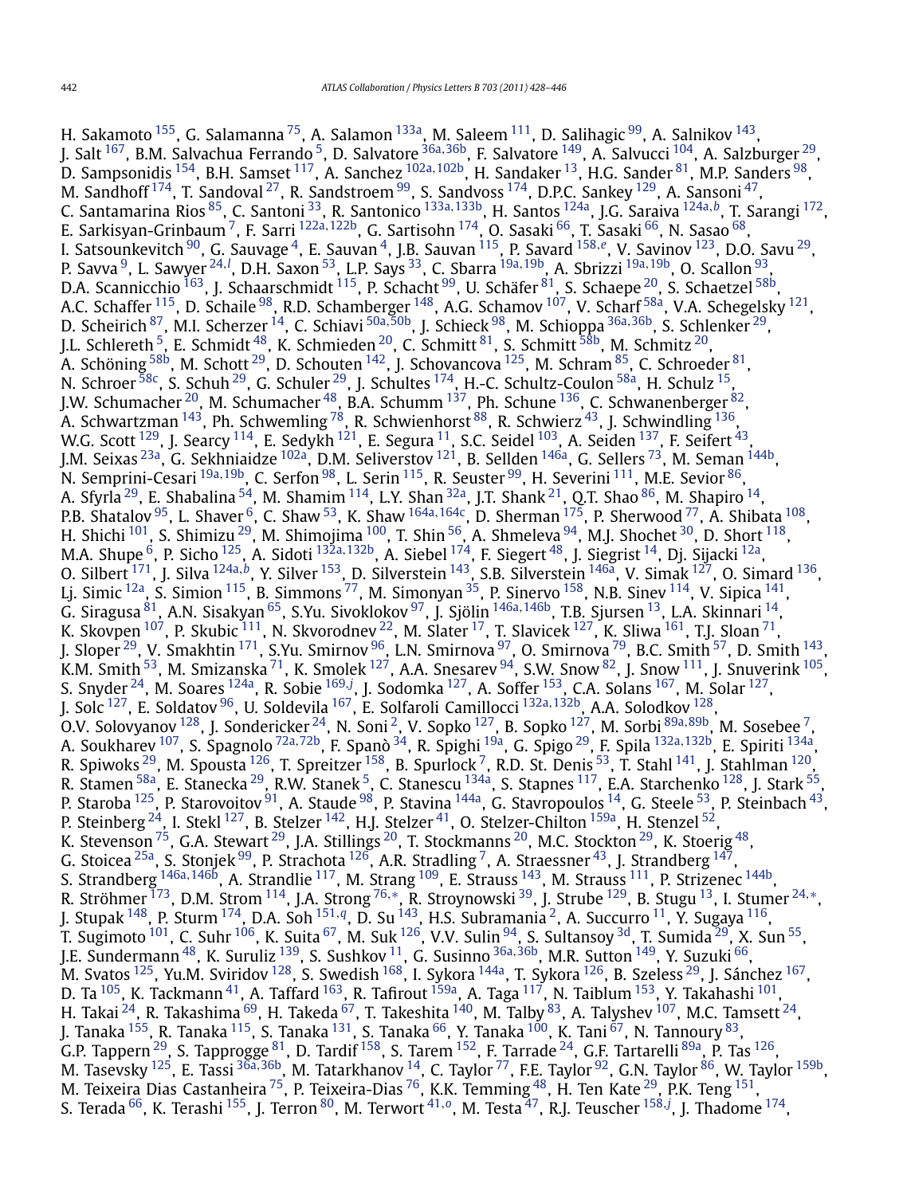H. Sakamoto <sup>[155](#page-18-0)</sup>, G. Salamanna <sup>[75](#page-17-0)</sup>, A. Salamon <sup>133a</sup>, M. Saleem <sup>111</sup>, D. Salihagic <sup>99</sup>, A. Salnikov <sup>143</sup>, J. Salt [167,](#page-18-0) B.M. Salvachua Ferrando [5,](#page-16-0) D. Salvatore [36a](#page-16-0)*,*[36b,](#page-16-0) F. Salvatore [149,](#page-18-0) A. Salvucci [104,](#page-17-0) A. Salzburger [29,](#page-16-0) D. Sampsonidis [154,](#page-18-0) B.H. Samset [117,](#page-17-0) A. Sanchez [102a](#page-17-0)*,*[102b,](#page-17-0) H. Sandaker [13,](#page-16-0) H.G. Sander [81,](#page-17-0) M.P. Sanders [98,](#page-17-0) M. Sandhoff  $^{174}$ , T. Sandoval  $^{27}$ , R. Sandstroem  $^{99}$ , S. Sandvoss  $^{174}$ , D.P.C. Sankey  $^{129}$  $^{129}$  $^{129}$ , A. Sansoni  $^{47}$ , C. Santamarina Rios [85,](#page-17-0) C. Santoni [33,](#page-16-0) R. Santonico [133a](#page-17-0)*,*[133b](#page-17-0), H. Santos [124a,](#page-17-0) J.G. Saraiva [124a](#page-17-0)*,[b](#page-18-0)*, T. Sarangi [172,](#page-18-0) E. Sarkisyan-Grinbaum [7,](#page-16-0) F. Sarri [122a](#page-17-0)*,*[122b](#page-17-0), G. Sartisohn [174,](#page-18-0) O. Sasaki [66,](#page-17-0) T. Sasaki [66,](#page-17-0) N. Sasao [68,](#page-17-0) I. Satsounkevitch [90,](#page-17-0) G. Sauvage [4,](#page-16-0) E. Sauvan [4,](#page-16-0) J.B. Sauvan [115,](#page-17-0) P. Savard [158](#page-18-0)*,[e](#page-18-0)*, V. Savinov [123](#page-17-0), D.O. Savu [29,](#page-16-0) P. Savva [9,](#page-16-0) L. Sawyer [24](#page-16-0)*,[l](#page-18-0)* , D.H. Saxon [53,](#page-16-0) L.P. Says [33,](#page-16-0) C. Sbarra [19a](#page-16-0)*,*[19b](#page-16-0), A. Sbrizzi [19a](#page-16-0)*,*[19b,](#page-16-0) O. Scallon [93,](#page-17-0) D.A. Scannicchio  $^{163}$ , J. Schaarschmidt  $^{115}$  $^{115}$  $^{115}$ , P. Schacht  $^{99}$  $^{99}$  $^{99}$ , U. Schäfer  $^{81}$ , S. Schaepe  $^{20}$  $^{20}$  $^{20}$ , S. Schaetzel  $^{58b}$ , A.C. Schaffer <sup>115</sup>, D. Schaile <sup>[98](#page-17-0)</sup>, R.D. Schamberger <sup>148</sup>, A.G. Schamov <sup>[107](#page-17-0)</sup>, V. Scharf <sup>58a</sup>, V.A. Schegelsky <sup>121</sup>, D. Scheirich [87,](#page-17-0) M.I. Scherzer [14,](#page-16-0) C. Schiavi [50a](#page-16-0)*,*[50b,](#page-16-0) J. Schieck [98,](#page-17-0) M. Schioppa [36a](#page-16-0)*,*[36b,](#page-16-0) S. Schlenker [29,](#page-16-0) J.L. Schlereth  $^5$ , E. Schmidt  $^{48}$ , K. Schmieden  $^{20}$ , C. Schmitt  $^{81}$ , S. Schmitt  $^{58\mathrm{b}}$ , M. Schmitz  $^{20}$ , A. Schöning  $^{58\mathrm{b}}$ , M. Schott  $^{29}$  $^{29}$  $^{29}$ , D. Schouten  $^{142}$ , J. Schovancova  $^{125}$ , M. Schram  $^{85}$ , C. Schroeder  $^{81}$ , N. Schroer  $^{58c}$ , S. Schuh $^{29}$  $^{29}$  $^{29}$ , G. Schuler  $^{29}$ , J. Schultes  $^{174}$ , H.-C. Schultz-Coulon  $^{58a}$ , H. Schulz  $^{15}$ , J.W. Schumacher <sup>20</sup>, M. Schumacher <sup>48</sup>, B.A. Schumm <sup>137</sup>, Ph. Schune <sup>136</sup>, C. Schwanenberger <sup>82</sup>, A. Schwartzman  $^{143}$  $^{143}$  $^{143}$ , Ph. Schwemling  $^{78}$ , R. Schwienhorst  $^{88}$ , R. Schwierz  $^{43}$ , J. Schwindling  $^{136}$ , W.G. Scott <sup>[129](#page-17-0)</sup>, J. Searcy <sup>114</sup>, E. Sedykh <sup>121</sup>, E. Segura <sup>11</sup>, S.C. Seidel <sup>103</sup>, A. Seiden <sup>[137](#page-17-0)</sup>, F. Seifert <sup>43</sup>, J.M. Seixas [23a,](#page-16-0) G. Sekhniaidze [102a,](#page-17-0) D.M. Seliverstov [121,](#page-17-0) B. Sellden [146a,](#page-18-0) G. Sellers [73,](#page-17-0) M. Seman [144b,](#page-18-0) N. Semprini-Cesari [19a](#page-16-0)*,*[19b,](#page-16-0) C. Serfon [98,](#page-17-0) L. Serin [115](#page-17-0), R. Seuster [99,](#page-17-0) H. Severini [111,](#page-17-0) M.E. Sevior [86,](#page-17-0) A. Sfyrla <sup>29</sup>, E. Shabalina <sup>54</sup>, M. Shamim  $^{114}$ , L.Y. Shan  $^{32}$ , J.T. Shank  $^{21}$ , Q.T. Shao  $^{86}$ , M. Shapiro  $^{14}$ , P.B. Shatalov [95,](#page-17-0) L. Shaver [6,](#page-16-0) C. Shaw [53,](#page-16-0) K. Shaw [164a](#page-18-0)*,*[164c,](#page-18-0) D. Sherman [175,](#page-18-0) P. Sherwood [77](#page-17-0), A. Shibata [108,](#page-17-0) H. Shichi  $^{101}$ , S. Shimizu  $^{29}$ , M. Shimojima  $^{100}$  $^{100}$  $^{100}$ , T. Shin  $^{56}$ , A. Shmeleva  $^{94}$ , M.J. Shochet  $^{30}$ , D. Short  $^{118}$ , M.A. Shupe [6,](#page-16-0) P. Sicho [125,](#page-17-0) A. Sidoti [132a](#page-17-0)*,*[132b,](#page-17-0) A. Siebel [174,](#page-18-0) F. Siegert [48,](#page-16-0) J. Siegrist [14,](#page-16-0) Dj. Sijacki [12a](#page-16-0), O. Silbert [171,](#page-18-0) J. Silva [124a](#page-17-0)*,[b](#page-18-0)*, Y. Silver [153,](#page-18-0) D. Silverstein [143,](#page-18-0) S.B. Silverstein [146a,](#page-18-0) V. Simak [127](#page-17-0), O. Simard [136](#page-17-0), Lj. Simic <sup>12a</sup>, S. Simion <sup>115</sup>, B. Simmons <sup>[77](#page-17-0)</sup>, M. Simonyan <sup>35</sup>, P. Sinervo <sup>158</sup>, N.B. Sinev <sup>114</sup>, V. Sipica <sup>141</sup>, G. Siragusa [81,](#page-17-0) A.N. Sisakyan [65,](#page-16-0) S.Yu. Sivoklokov [97](#page-17-0), J. Sjölin [146a](#page-18-0)*,*[146b,](#page-18-0) T.B. Sjursen [13,](#page-16-0) L.A. Skinnari [14,](#page-16-0) K. Skovpen  $^{107}$ , P. Skubic  $^{111}$ , N. Skvorodnev  $^{22}$ , M. Slater  $^{17}$ , T. Slavicek  $^{127}$ , K. Sliwa  $^{161}$ , T.J. Sloan  $^{71}$ , J. Sloper <sup>29</sup>, V. Smakhtin <sup>171</sup>, S.Yu. Smirnov <sup>96</sup>, L.N. Smirnova <sup>97</sup>, O. Smirnova <sup>79</sup>, B.C. Smith <sup>57</sup>, D. Smith <sup>143</sup>, K.M. Smith  $^{53}$ , M. Smizanska  $^{71}$ , K. Smolek  $^{127}$ , A.A. Snesarev  $^{94}$ , S.W. Snow  $^{82}$ , J. Snow  $^{111}$ , J. Snuverink  $^{105}$ , S. Snyder <sup>24</sup>, M. Soares <sup>124a</sup>, R. Sobie <sup>[169](#page-18-0),[j](#page-18-0)</sup>, J. Sodomka <sup>127</sup>, A. Soffer <sup>153</sup>, C.A. Solans <sup>167</sup>, M. Solar <sup>127</sup>, J. Solc [127,](#page-17-0) E. Soldatov [96,](#page-17-0) U. Soldevila [167,](#page-18-0) E. Solfaroli Camillocci [132a](#page-17-0)*,*[132b,](#page-17-0) A.A. Solodkov [128,](#page-17-0) O.V. Solovyanov [128,](#page-17-0) J. Sondericker [24,](#page-16-0) N. Soni [2,](#page-16-0) V. Sopko [127,](#page-17-0) B. Sopko [127,](#page-17-0) M. Sorbi [89a](#page-17-0)*,*[89b,](#page-17-0) M. Sosebee [7,](#page-16-0) A. Soukharev [107,](#page-17-0) S. Spagnolo [72a](#page-17-0)*,*[72b,](#page-17-0) F. Spanò [34](#page-16-0), R. Spighi [19a,](#page-16-0) G. Spigo [29,](#page-16-0) F. Spila [132a](#page-17-0)*,*[132b,](#page-17-0) E. Spiriti [134a,](#page-17-0) R. Spiwoks  $^{29}$ , M. Spousta  $^{126}$  $^{126}$  $^{126}$ , T. Spreitzer  $^{158}$ , B. Spurlock  $^7$ , R.D. St. Denis  $^{53}$ , T. Stahl  $^{141}$  $^{141}$  $^{141}$ , J. Stahlman  $^{120}$ , R. Stamen <sup>58a</sup>, E. Stanecka <sup>29</sup>, R.W. Stanek <sup>5</sup>, C. Stanescu <sup>[134a](#page-17-0)</sup>, S. Stapnes <sup>117</sup>, E.A. Starchenko <sup>128</sup>, J. Stark <sup>55</sup>, P. Staroba <sup>125</sup>, P. Starovoitov <sup>91</sup>, A. Staude <sup>98</sup>, P. Stavina <sup>[14](#page-16-0)4a</sup>, G. Stavropoulos <sup>14</sup>, G. Steele <sup>53</sup>, P. Steinbach <sup>43</sup>, P. Steinberg  $^{24}$ , I. Stekl  $^{127}$ , B. Stelzer  $^{142}$ , H.J. Stelzer  $^{41}$ , O. Stelzer-Chilton  $^{159\mathrm{a}}$ , H. Stenzel  $^{52}$ , K. Stevenson <sup>75</sup>, G.A. Stewart <sup>29</sup>, J.A. Stillings <sup>20</sup>, T. Stockmanns <sup>20</sup>, M.C. Stockton <sup>29</sup>, K. Stoerig <sup>[48](#page-16-0)</sup>, G. Stoicea  $^{25$ a, S. Stonjek  $^{99}$ , P. Strachota  $^{126}$ , A.R. Stradling  $^7$ , A. Straessner  $^{43}$ , J. Strandberg  $^{147},$ S. Strandberg [146a](#page-18-0)*,*[146b](#page-18-0), A. Strandlie [117,](#page-17-0) M. Strang [109,](#page-17-0) E. Strauss [143,](#page-18-0) M. Strauss [111,](#page-17-0) P. Strizenec [144b,](#page-18-0) R. Ströhmer [173,](#page-18-0) D.M. Strom [114,](#page-17-0) J.A. Strong [76](#page-17-0)*,*[∗](#page-18-0), R. Stroynowski [39](#page-16-0), J. Strube [129,](#page-17-0) B. Stugu [13,](#page-16-0) I. Stumer [24](#page-16-0)*,*[∗](#page-18-0), J. Stupak [148](#page-18-0), P. Sturm [174,](#page-18-0) D.A. Soh [151](#page-18-0)*,[q](#page-18-0)*, D. Su [143,](#page-18-0) H.S. Subramania [2,](#page-16-0) A. Succurro [11,](#page-16-0) Y. Sugaya [116,](#page-17-0) T. Sugimoto  $^{101}$ , C. Suhr $^{106}$ , K. Suita $^{67}$ , M. Suk $^{126}$ , V.V. Sulin $^{94}$ , S. Sultansoy  $^{3{\rm d}}$ , T. Sumida  $^{29}$  $^{29}$  $^{29}$ , X. Sun $^{55}$ , J.E. Sundermann [48](#page-16-0), K. Suruliz [139](#page-17-0), S. Sushkov [11,](#page-16-0) G. Susinno [36a](#page-16-0)*,*[36b,](#page-16-0) M.R. Sutton [149,](#page-18-0) Y. Suzuki [66,](#page-17-0) M. Svatos <sup>125</sup>, Yu.M. Sviridov <sup>128</sup>, S. Swedish <sup>168</sup>, I. Sykora <sup>144a</sup>, T. Sykora <sup>126</sup>, B. Szeless <sup>29</sup>, J. Sánchez <sup>167</sup>, D. Ta <sup>105</sup>, K. Tackmann <sup>41</sup>, A. Taffard <sup>163</sup>, R. Tafirout <sup>[159a](#page-18-0)</sup>, A. Taga <sup>117</sup>, N. Taiblum <sup>153</sup>, Y. Takahashi <sup>101</sup>, H. Takai  $^{24}$ , R. Takashima  $^{69}$ , H. Takeda  $^{67}$ , T. Takeshita  $^{140}$ , M. Talby  $^{83}$ , A. Talyshev  $^{107}$ , M.C. Tamsett  $^{24},$ J. Tanaka <sup>155</sup>, R. Tanaka <sup>115</sup>, S. Tanaka <sup>131</sup>, S. Tanaka <sup>66</sup>, Y. Tanaka <sup>100</sup>, K. Tani <sup>[67](#page-17-0)</sup>, N. Tannoury <sup>83</sup>, G.P. Tappern <sup>29</sup>, S. Tapprogge <sup>81</sup>, D. Tardif <sup>158</sup>, S. Tarem <sup>152</sup>, F. Tarrade <sup>24</sup>, G.F. Tartarelli <sup>89a</sup>, P. Tas <sup>126</sup>, M. Tasevsky [125,](#page-17-0) E. Tassi [36a](#page-16-0)*,*[36b,](#page-16-0) M. Tatarkhanov [14,](#page-16-0) C. Taylor [77,](#page-17-0) F.E. Taylor [92,](#page-17-0) G.N. Taylor [86,](#page-17-0) W. Taylor [159b,](#page-18-0) M. Teixeira Dias Castanheira  $^{75}$ , P. Teixeira-Dias  $^{76}$ , K.K. Temming  $^{48}$ , H. Ten Kate  $^{29}$ , P.K. Teng  $^{151}$ , S. Terada [66,](#page-17-0) K. Terashi [155,](#page-18-0) J. Terron [80,](#page-17-0) M. Terwort [41](#page-16-0)*,[o](#page-18-0)*, M. Testa [47,](#page-16-0) R.J. Teuscher [158](#page-18-0)*,[j](#page-18-0)* , J. Thadome [174,](#page-18-0)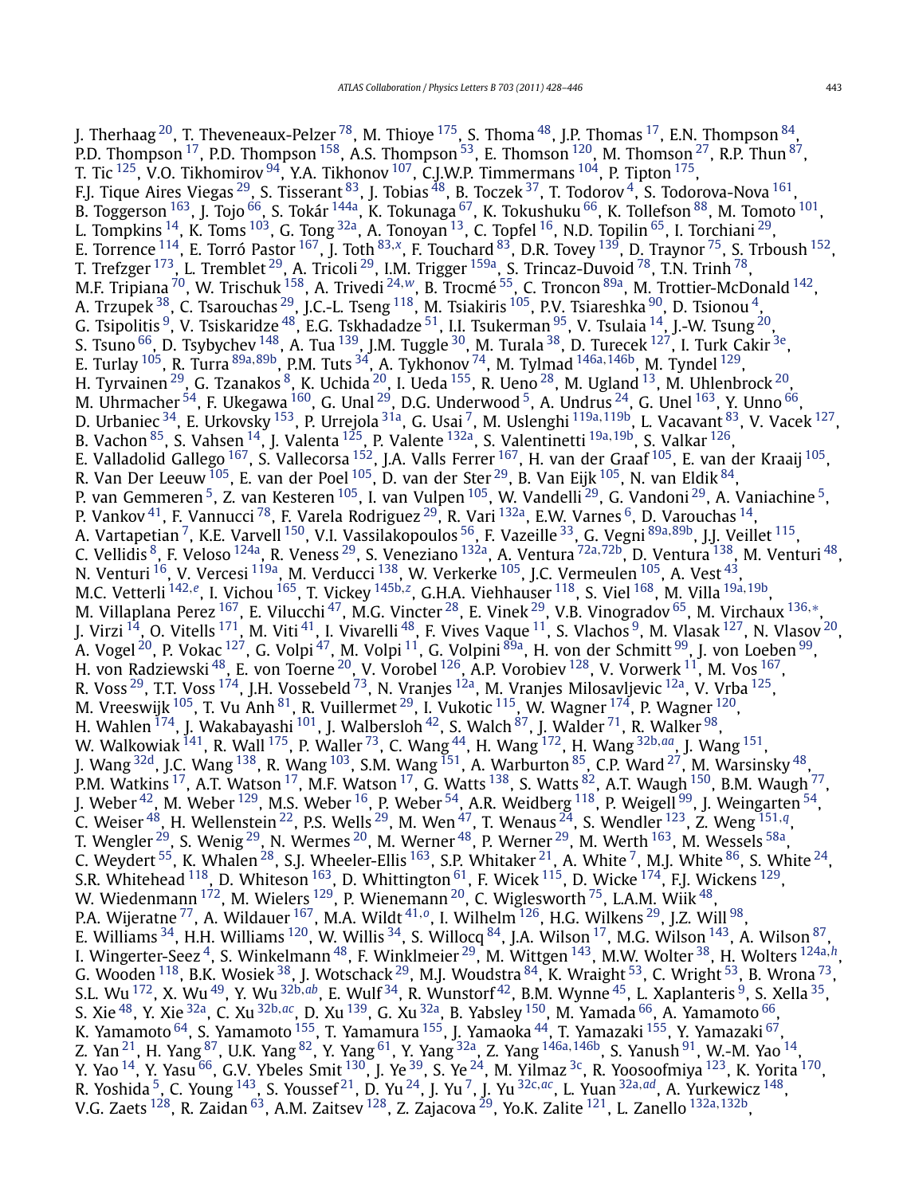J. Therhaag  $^{20}$  $^{20}$  $^{20}$ , T. Theveneaux-Pelzer  $^{78}$ , M. Thioye  $^{175}$ , S. Thoma  $^{48}$ , J.P. Thomas  $^{17}$ , E.N. Thompson  $^{84}$ , P.D. Thompson  $^{17}$  $^{17}$  $^{17}$ , P.D. Thompson  $^{158}$ , A.S. Thompson  $^{53}$ , E. Thomson  $^{120}$ , M. Thomson  $^{27}$  $^{27}$  $^{27}$ , R.P. Thun  $^{87}$ , T. Tic <sup>125</sup>, V.O. Tikhomirov <sup>94</sup>, Y.A. Tikhonov <sup>107</sup>, C.J.W.P. Timmermans <sup>104</sup>, P. Tipton <sup>175</sup>, F.J. Tique Aires Viegas  $^{29}$ , S. Tisserant  $^{83}$ , J. Tobias  $^{48}$  $^{48}$  $^{48}$ , B. Toczek  $^{37}$ , T. Todorov  $^4$ , S. Todorova-Nova  $^{161}$ , B. Toggerson <sup>163</sup>, J. Tojo <sup>66</sup>, S. Tokár <sup>144a</sup>, K. Tokunaga <sup>67</sup>, K. Tokushuku <sup>66</sup>, K. Tollefson <sup>88</sup>, M. Tomoto <sup>101</sup>, L. Tompkins  $^{14}$ , K. Toms  $^{103}$ , G. Tong  $^{32}$ , A. Tonoyan  $^{13}$ , C. Topfel  $^{16}$  $^{16}$  $^{16}$ , N.D. Topilin  $^{65}$ , I. Torchiani  $^{29}$ , E. Torrence [114,](#page-17-0) E. Torró Pastor [167,](#page-18-0) J. Toth [83](#page-17-0)*,[x](#page-18-0)*, F. Touchard [83,](#page-17-0) D.R. Tovey [139,](#page-17-0) D. Traynor [75,](#page-17-0) S. Trboush [152,](#page-18-0) T. Trefzger<sup>173</sup>, L. Tremblet<sup>29</sup>, A. Tricoli<sup>29</sup>, I.M. Trigger<sup>159a</sup>, S. Trincaz-Duvoid<sup>78</sup>, T.N. Trinh<sup>78</sup>, M.F. Tripiana [70,](#page-17-0) W. Trischuk [158,](#page-18-0) A. Trivedi [24](#page-16-0)*,[w](#page-18-0)*, B. Trocmé [55](#page-16-0), C. Troncon [89a,](#page-17-0) M. Trottier-McDonald [142,](#page-18-0) A. Trzupek  $^{38}$ , C. Tsarouchas  $^{29}$ , J.C.-L. Tseng  $^{118}$ , M. Tsiakiris  $^{105}$ , P.V. Tsiareshka  $^{90}$ , D. Tsionou  $^{4}$ , G. Tsipolitis  $^9$ , V. Tsiskaridze  $^{48}$ , E.G. Tskhadadze  $^{51}$ , I.I. Tsukerman  $^{95}$ , V. Tsulaia  $^{14}$ , J.-W. Tsung  $^{20}$ , S. Tsuno <sup>[66](#page-17-0)</sup>, D. Tsybychev <sup>148</sup>, A. Tua <sup>139</sup>, J.M. Tuggle <sup>30</sup>, M. Turala <sup>[38](#page-16-0)</sup>, D. Turecek <sup>127</sup>, I. Turk Cakir <sup>3e</sup>, E. Turlay [105,](#page-17-0) R. Turra [89a](#page-17-0)*,*[89b,](#page-17-0) P.M. Tuts [34](#page-16-0), A. Tykhonov [74,](#page-17-0) M. Tylmad [146a](#page-18-0)*,*[146b,](#page-18-0) M. Tyndel [129,](#page-17-0) H. Tyrvainen  $^{29}$  $^{29}$  $^{29}$ , G. Tzanakos  $^8$ , K. Uchida  $^{20}$  $^{20}$  $^{20}$ , I. Ueda  $^{155}$ , R. Ueno  $^{28}$ , M. Ugland  $^{13}$ , M. Uhlenbrock  $^{20}$ , M. Uhrmacher  $^{54}$ , F. Ukegawa  $^{160}$ , G. Unal  $^{29}$  $^{29}$  $^{29}$ , D.G. Underwood  $^5$ , A. Undrus  $^{24}$ , G. Unel  $^{163}$ , Y. Unno  $^{66}$ , D. Urbaniec [34,](#page-16-0) E. Urkovsky [153,](#page-18-0) P. Urrejola [31a,](#page-16-0) G. Usai [7,](#page-16-0) M. Uslenghi [119a](#page-17-0)*,*[119b,](#page-17-0) L. Vacavant [83,](#page-17-0) V. Vacek [127,](#page-17-0) B. Vachon [85,](#page-17-0) S. Vahsen [14,](#page-16-0) J. Valenta [125,](#page-17-0) P. Valente [132a](#page-17-0), S. Valentinetti [19a](#page-16-0)*,*[19b,](#page-16-0) S. Valkar [126,](#page-17-0) E. Valladolid Gallego <sup>167</sup>, S. Vallecorsa <sup>[152](#page-18-0)</sup>, J.A. Valls Ferrer <sup>167</sup>, H. van der Graaf <sup>105</sup>, E. van der Kraaij <sup>105</sup>, R. Van Der Leeuw $^{105}$ , E. van der Poel $^{105}$ , D. van der Ster $^{29}$ , B. Van Eijk $^{105}$ , N. van Eldik $^{84},$ P. van Gemmeren [5,](#page-16-0) Z. van Kesteren [105,](#page-17-0) I. van Vulpen [105](#page-17-0), W. Vandelli [29,](#page-16-0) G. Vandoni [29,](#page-16-0) A. Vaniachine [5,](#page-16-0) P. Vankov<sup>41</sup>, F. Vannucci <sup>78</sup>, F. Varela Rodriguez <sup>29</sup>, R. Vari <sup>132a</sup>, E.W. Varnes <sup>6</sup>, D. Varouchas <sup>14</sup>, A. Vartapetian [7,](#page-16-0) K.E. Varvell [150,](#page-18-0) V.I. Vassilakopoulos [56,](#page-16-0) F. Vazeille [33,](#page-16-0) G. Vegni [89a](#page-17-0)*,*[89b,](#page-17-0) J.J. Veillet [115,](#page-17-0) C. Vellidis [8,](#page-16-0) F. Veloso [124a,](#page-17-0) R. Veness [29,](#page-16-0) S. Veneziano [132a,](#page-17-0) A. Ventura [72a](#page-17-0)*,*[72b,](#page-17-0) D. Ventura [138,](#page-17-0) M. Venturi [48,](#page-16-0) N. Venturi <sup>16</sup>, V. Vercesi <sup>119a</sup>, M. Verducci <sup>138</sup>, W. Verkerke <sup>[105](#page-17-0)</sup>, J.C. Vermeulen <sup>105</sup>, A. Vest <sup>43</sup>, M.C. Vetterli [142](#page-18-0)*,[e](#page-18-0)*, I. Vichou [165,](#page-18-0) T. Vickey [145b](#page-18-0)*,[z](#page-18-0)*, G.H.A. Viehhauser [118](#page-17-0), S. Viel [168,](#page-18-0) M. Villa [19a](#page-16-0)*,*[19b,](#page-16-0) M. Villaplana Perez [167,](#page-18-0) E. Vilucchi [47,](#page-16-0) M.G. Vincter [28,](#page-16-0) E. Vinek [29,](#page-16-0) V.B. Vinogradov [65,](#page-16-0) M. Virchaux [136](#page-17-0)*,*[∗](#page-18-0), J. Virzi  $^{14}$ , O. Vitells  $^{171}$  $^{171}$  $^{171}$ , M. Viti  $^{41}$ , I. Vivarelli  $^{48}$ , F. Vives Vaque  $^{11}$ , S. Vlachos  $^9$ , M. Vlasak  $^{127}$  $^{127}$  $^{127}$ , N. Vlasov  $^{20}$  $^{20}$  $^{20}$ , A. Vogel <sup>[20](#page-16-0)</sup>, P. Vokac <sup>127</sup>, G. Volpi <sup>47</sup>, M. Volpi <sup>11</sup>, G. Volpini <sup>89a</sup>, H. von der Schmitt <sup>99</sup>, J. von Loeben <sup>99</sup>, H. von Radziewski $^{48}$ , E. von Toerne $^{20}$ , V. Vorobel  $^{126}$ , A.P. Vorobiev  $^{128}$ , V. Vorwerk  $^{11}$  $^{11}$  $^{11}$ , M. Vos  $^{167},$ R. Voss<sup>29</sup>, T.T. Voss<sup>174</sup>, J.H. Vossebeld <sup>73</sup>, N. Vranjes <sup>[12a](#page-16-0)</sup>, M. Vranjes Milosavljevic <sup>12a</sup>, V. Vrba <sup>125</sup>, M. Vreeswijk <sup>[105](#page-17-0)</sup>, T. Vu Anh <sup>81</sup>, R. Vuillermet <sup>29</sup>, I. Vukotic <sup>115</sup>, W. Wagner <sup>174</sup>, P. Wagner <sup>120</sup>, H. Wahlen  $^{174}$ , J. Wakabayashi  $^{101}$ , J. Walbersloh  $^{42}$  $^{42}$  $^{42}$ , S. Walch  $^{87}$ , J. Walder  $^{71}$ , R. Walker  $^{98}$ , W. Walkowiak [141,](#page-17-0) R. Wall [175,](#page-18-0) P. Waller [73,](#page-17-0) C. Wang [44,](#page-16-0) H. Wang [172,](#page-18-0) H. Wang [32b](#page-16-0)*,[aa](#page-18-0)*, J. Wang [151,](#page-18-0) J. Wang  $^{32d}$ , J.C. Wang  $^{138}$ , R. Wang  $^{103}$ , S.M. Wang  $^{151}$ , A. Warburton  $^{85}$ , C.P. Ward  $^{27}$ , M. Warsinsky  $^{48},$ P.M. Watkins  $^{17}$ , A.T. Watson  $^{17}$ , M.F. Watson  $^{17}$ , G. Watts  $^{138}$ , S. Watts  $^{82}$ , A.T. Waugh  $^{150}$  $^{150}$  $^{150}$ , B.M. Waugh  $^{77}$ , J. Weber  $^{42}$  $^{42}$  $^{42}$ , M. Weber  $^{129}$ , M.S. Weber  $^{16}$ , P. Weber  $^{54}$  $^{54}$  $^{54}$ , A.R. Weidberg  $^{118}$ , P. Weigell  $^{99}$ , J. Weingarten  $^{54}$ , C. Weiser [48,](#page-16-0) H. Wellenstein [22,](#page-16-0) P.S. Wells [29,](#page-16-0) M. Wen [47,](#page-16-0) T. Wenaus [24,](#page-16-0) S. Wendler [123,](#page-17-0) Z. Weng [151](#page-18-0)*,[q](#page-18-0)*, T. Wengler  $^{29}$ , S. Wenig  $^{29}$ , N. Wermes  $^{20}$ , M. Werner  $^{48}$ , P. Werner  $^{29}$ , M. Werth  $^{163}$ , M. Wessels  $^{58\mathrm{a}},$ C. Weydert  $^{55}$ , K. Whalen  $^{28}$  $^{28}$  $^{28}$ , S.J. Wheeler-Ellis  $^{163}$ , S.P. Whitaker  $^{21}$ , A. White  $^7$ , M.J. White  $^{86}$ , S. White  $^{24}$ , S.R. Whitehead  $^{118}$ , D. Whiteson  $^{163}$ , D. Whittington  $^{61}$ , F. Wicek  $^{115}$ , D. Wicke  $^{174}$ , F.J. Wickens  $^{129}$ , W. Wiedenmann  $^{172}$ , M. Wielers  $^{129}$  $^{129}$  $^{129}$ , P. Wienemann  $^{20}$  $^{20}$  $^{20}$ , C. Wiglesworth  $^{75}$ , L.A.M. Wiik  $^{48}$ , P.A. Wijeratne [77,](#page-17-0) A. Wildauer [167,](#page-18-0) M.A. Wildt [41](#page-16-0)*,[o](#page-18-0)*, I. Wilhelm [126,](#page-17-0) H.G. Wilkens [29,](#page-16-0) J.Z. Will [98,](#page-17-0) E. Williams  $^{34}$  $^{34}$  $^{34}$ , H.H. Williams  $^{120}$  $^{120}$  $^{120}$ , W. Willis  $^{34}$ , S. Willocq  $^{84}$ , J.A. Wilson  $^{17}$ , M.G. Wilson  $^{143}$ , A. Wilson  $^{87}$ , I. Wingerter-Seez [4,](#page-16-0) S. Winkelmann [48,](#page-16-0) F. Winklmeier [29,](#page-16-0) M. Wittgen [143,](#page-18-0) M.W. Wolter [38,](#page-16-0) H. Wolters [124a](#page-17-0)*,[h](#page-18-0)*, G. Wooden <sup>118</sup>, B.K. Wosiek <sup>38</sup>, J. Wotschack <sup>29</sup>, M.J. Woudstra <sup>84</sup>, K. Wraight <sup>53</sup>, C. Wright <sup>53</sup>, B. Wrona <sup>73</sup>, S.L. Wu [172,](#page-18-0) X. Wu [49,](#page-16-0) Y. Wu [32b](#page-16-0)*,[ab](#page-18-0)*, E. Wulf [34,](#page-16-0) R. Wunstorf [42,](#page-16-0) B.M. Wynne [45,](#page-16-0) L. Xaplanteris [9,](#page-16-0) S. Xella [35,](#page-16-0) S. Xie [48,](#page-16-0) Y. Xie [32a](#page-16-0), C. Xu [32b](#page-16-0)*,[ac](#page-18-0)*, D. Xu [139,](#page-17-0) G. Xu [32a,](#page-16-0) B. Yabsley [150](#page-18-0), M. Yamada [66,](#page-17-0) A. Yamamoto [66,](#page-17-0) K. Yamamoto <sup>64</sup>, S. Yamamoto <sup>155</sup>, T. Yamamura <sup>155</sup>, J. Yamaoka <sup>44</sup>, T. Yamazaki <sup>155</sup>, Y. Yamazaki <sup>67</sup>, Z. Yan [21,](#page-16-0) H. Yang [87,](#page-17-0) U.K. Yang [82,](#page-17-0) Y. Yang [61,](#page-16-0) Y. Yang [32a](#page-16-0), Z. Yang [146a](#page-18-0)*,*[146b](#page-18-0), S. Yanush [91](#page-17-0), W.-M. Yao [14,](#page-16-0) Y. Yao  $^{14}$ , Y. Yasu  $^{66}$ , G.V. Ybeles Smit  $^{130}$ , J. Ye  $^{39}$ , S. Ye  $^{24}$ , M. Yilmaz  $^{3c}$ , R. Yoosoofmiya  $^{123}$ , K. Yorita  $^{170}$ , R. Yoshida [5,](#page-16-0) C. Young [143,](#page-18-0) S. Youssef [21,](#page-16-0) D. Yu [24,](#page-16-0) J. Yu [7,](#page-16-0) J. Yu [32c](#page-16-0)*,[ac](#page-18-0)*, L. Yuan [32a](#page-16-0)*,[ad](#page-18-0)*, A. Yurkewicz [148,](#page-18-0) V.G. Zaets [128,](#page-17-0) R. Zaidan [63,](#page-16-0) A.M. Zaitsev [128,](#page-17-0) Z. Zajacova [29,](#page-16-0) Yo.K. Zalite [121,](#page-17-0) L. Zanello [132a](#page-17-0)*,*[132b,](#page-17-0)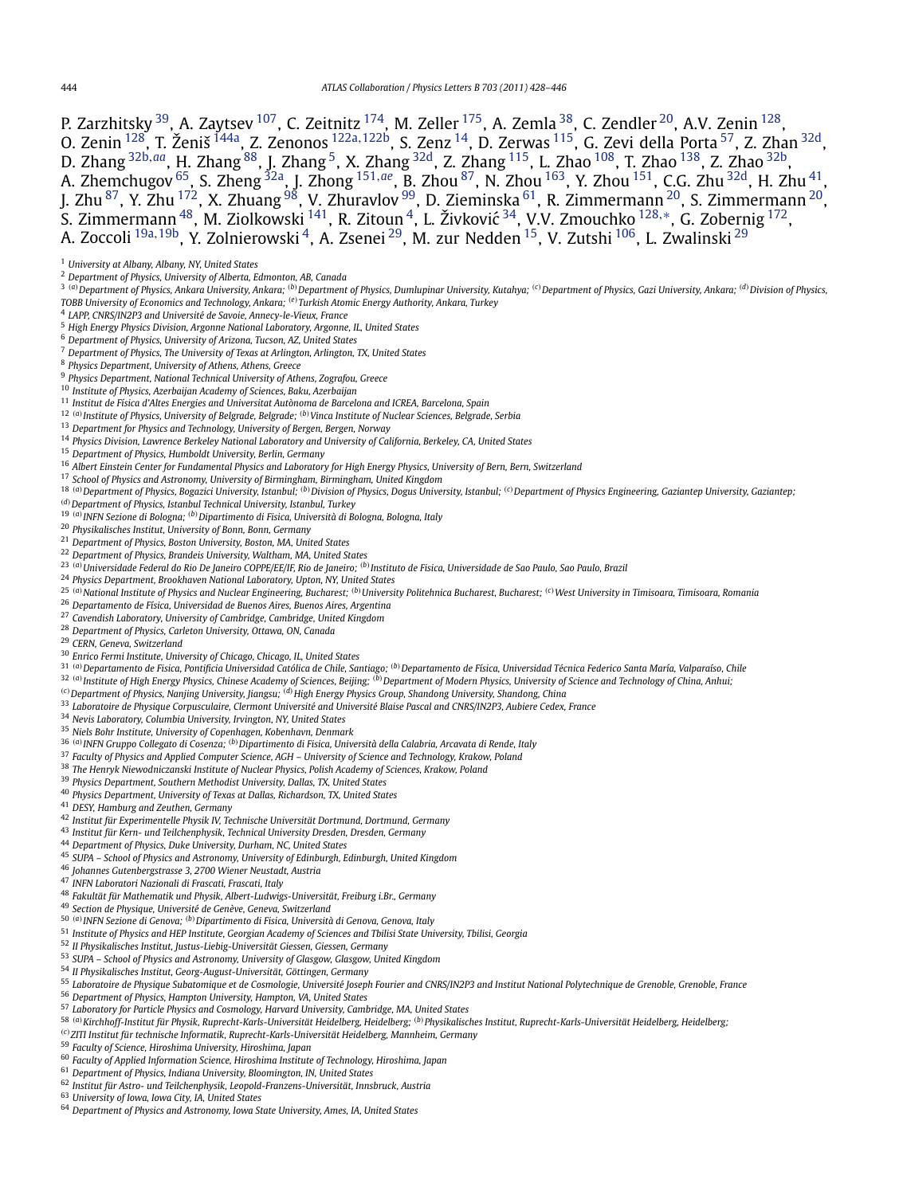<span id="page-16-0"></span>P. Zarzhitsky <sup>39</sup>, A. Zaytsev <sup>107</sup>, C. Zeitnitz <sup>174</sup>, M. Zeller <sup>175</sup>, A. Zemla <sup>38</sup>, C. Zendler <sup>20</sup>, A.V. Zenin <sup>128</sup>, O. Zenin [128,](#page-17-0) T. Ženiš [144a,](#page-18-0) Z. Zenonos [122a](#page-17-0)*,*[122b,](#page-17-0) S. Zenz 14, D. Zerwas [115,](#page-17-0) G. Zevi della Porta 57, Z. Zhan 32d, D. Zhang 32b*,[aa](#page-18-0)*, H. Zhang [88,](#page-17-0) J. Zhang 5, X. Zhang 32d, Z. Zhang [115,](#page-17-0) L. Zhao [108,](#page-17-0) T. Zhao [138,](#page-17-0) Z. Zhao 32b, A. Zhemchugov 65, S. Zheng 32a, J. Zhong [151](#page-18-0)*,[ae](#page-18-0)*, B. Zhou [87,](#page-17-0) N. Zhou [163,](#page-18-0) Y. Zhou [151,](#page-18-0) C.G. Zhu 32d, H. Zhu 41, J. Zhu <sup>87</sup>, Y. Zhu <sup>172</sup>, X. Zhuang <sup>[98](#page-17-0)</sup>, V. Zhuravlov <sup>99</sup>, D. Zieminska <sup>61</sup>, R. Zimmermann <sup>20</sup>, S. Zimmermann <sup>20</sup>, S. Zimmermann 48, M. Ziolkowski [141,](#page-17-0) R. Zitoun 4, L. Živkovic´ 34, V.V. Zmouchko [128](#page-17-0)*,*[∗](#page-18-0), G. Zobernig [172,](#page-18-0) A. Zoccoli 19a*,*19b, Y. Zolnierowski 4, A. Zsenei 29, M. zur Nedden 15, V. Zutshi [106](#page-17-0), L. Zwalinski <sup>29</sup>

- *Department of Physics, University of Alberta, Edmonton, AB, Canada*
- <sup>3</sup> (a) Department of Physics, Ankara University, Ankara; (b) Department of Physics, Dumlupinar University, Kutahya; <sup>(c)</sup> Department of Physics, Gazi University, Ankara; <sup>(d)</sup> Division of Physics, *TOBB University of Economics and Technology, Ankara; (e)Turkish Atomic Energy Authority, Ankara, Turkey*
- *LAPP, CNRS/IN2P3 and Université de Savoie, Annecy-le-Vieux, France*
- *High Energy Physics Division, Argonne National Laboratory, Argonne, IL, United States*
- *Department of Physics, University of Arizona, Tucson, AZ, United States*
- *Department of Physics, The University of Texas at Arlington, Arlington, TX, United States*
- *Physics Department, University of Athens, Athens, Greece*
- *Physics Department, National Technical University of Athens, Zografou, Greece*
- *Institute of Physics, Azerbaijan Academy of Sciences, Baku, Azerbaijan*
- *Institut de Física d'Altes Energies and Universitat Autònoma de Barcelona and ICREA, Barcelona, Spain*
- *(a)Institute of Physics, University of Belgrade, Belgrade; (b)Vinca Institute of Nuclear Sciences, Belgrade, Serbia*
- *Department for Physics and Technology, University of Bergen, Bergen, Norway*
- *Physics Division, Lawrence Berkeley National Laboratory and University of California, Berkeley, CA, United States*
- *Department of Physics, Humboldt University, Berlin, Germany*
- *Albert Einstein Center for Fundamental Physics and Laboratory for High Energy Physics, University of Bern, Bern, Switzerland*
- *School of Physics and Astronomy, University of Birmingham, Birmingham, United Kingdom*
- <sup>18 (a)</sup> Department of Physics, Bogazici University, Istanbul; <sup>(b)</sup> Division of Physics, Dogus University, Istanbul; <sup>(c)</sup> Department of Physics Engineering, Gaziantep University, Gaziantep;
- *(d)Department of Physics, Istanbul Technical University, Istanbul, Turkey*
- *(a)INFN Sezione di Bologna; (b)Dipartimento di Fisica, Università di Bologna, Bologna, Italy*
- *Physikalisches Institut, University of Bonn, Bonn, Germany*
- *Department of Physics, Boston University, Boston, MA, United States*
- *Department of Physics, Brandeis University, Waltham, MA, United States*
- *(a)Universidade Federal do Rio De Janeiro COPPE/EE/IF, Rio de Janeiro; (b)Instituto de Fisica, Universidade de Sao Paulo, Sao Paulo, Brazil*
- *Physics Department, Brookhaven National Laboratory, Upton, NY, United States*
- <sup>25</sup> <sup>(a)</sup> National Institute of Physics and Nuclear Engineering, Bucharest; <sup>(b)</sup> University Politehnica Bucharest, Bucharest; <sup>(c)</sup> West University in Timisoara, Timisoara, Romania
- *Departamento de Física, Universidad de Buenos Aires, Buenos Aires, Argentina*
- *Cavendish Laboratory, University of Cambridge, Cambridge, United Kingdom*
- *Department of Physics, Carleton University, Ottawa, ON, Canada*
- *CERN, Geneva, Switzerland*
- *Enrico Fermi Institute, University of Chicago, Chicago, IL, United States*
- *(a)Departamento de Fisica, Pontificia Universidad Católica de Chile, Santiago; (b)Departamento de Física, Universidad Técnica Federico Santa María, Valparaíso, Chile*
- *(a)Institute of High Energy Physics, Chinese Academy of Sciences, Beijing; (b)Department of Modern Physics, University of Science and Technology of China, Anhui;*
- *(c)Department of Physics, Nanjing University, Jiangsu; (d)High Energy Physics Group, Shandong University, Shandong, China*
- *Laboratoire de Physique Corpusculaire, Clermont Université and Université Blaise Pascal and CNRS/IN2P3, Aubiere Cedex, France*
- *Nevis Laboratory, Columbia University, Irvington, NY, United States*
- *Niels Bohr Institute, University of Copenhagen, Kobenhavn, Denmark*
- *(a)INFN Gruppo Collegato di Cosenza; (b)Dipartimento di Fisica, Università della Calabria, Arcavata di Rende, Italy*
- *Faculty of Physics and Applied Computer Science, AGH University of Science and Technology, Krakow, Poland*
- *The Henryk Niewodniczanski Institute of Nuclear Physics, Polish Academy of Sciences, Krakow, Poland*
- *Physics Department, Southern Methodist University, Dallas, TX, United States*
- *Physics Department, University of Texas at Dallas, Richardson, TX, United States*
- *DESY, Hamburg and Zeuthen, Germany*
- *Institut für Experimentelle Physik IV, Technische Universität Dortmund, Dortmund, Germany*
- *Institut für Kern- und Teilchenphysik, Technical University Dresden, Dresden, Germany*
- *Department of Physics, Duke University, Durham, NC, United States*
- *SUPA School of Physics and Astronomy, University of Edinburgh, Edinburgh, United Kingdom*
- *Johannes Gutenbergstrasse 3, 2700 Wiener Neustadt, Austria*
- *INFN Laboratori Nazionali di Frascati, Frascati, Italy*
- *Fakultät für Mathematik und Physik, Albert-Ludwigs-Universität, Freiburg i.Br., Germany*
- *Section de Physique, Université de Genève, Geneva, Switzerland*
- *(a)INFN Sezione di Genova; (b)Dipartimento di Fisica, Università di Genova, Genova, Italy*
- *Institute of Physics and HEP Institute, Georgian Academy of Sciences and Tbilisi State University, Tbilisi, Georgia*
- *II Physikalisches Institut, Justus-Liebig-Universität Giessen, Giessen, Germany*
- *SUPA School of Physics and Astronomy, University of Glasgow, Glasgow, United Kingdom*
- *II Physikalisches Institut, Georg-August-Universität, Göttingen, Germany*
- *Laboratoire de Physique Subatomique et de Cosmologie, Université Joseph Fourier and CNRS/IN2P3 and Institut National Polytechnique de Grenoble, Grenoble, France*
- *Department of Physics, Hampton University, Hampton, VA, United States*
- *Laboratory for Particle Physics and Cosmology, Harvard University, Cambridge, MA, United States*
- *(a)Kirchhoff-Institut für Physik, Ruprecht-Karls-Universität Heidelberg, Heidelberg; (b)Physikalisches Institut, Ruprecht-Karls-Universität Heidelberg, Heidelberg;*
- *(c)ZITI Institut für technische Informatik, Ruprecht-Karls-Universität Heidelberg, Mannheim, Germany*
- *Faculty of Science, Hiroshima University, Hiroshima, Japan*
- *Faculty of Applied Information Science, Hiroshima Institute of Technology, Hiroshima, Japan*
- *Department of Physics, Indiana University, Bloomington, IN, United States*
- *Institut für Astro- und Teilchenphysik, Leopold-Franzens-Universität, Innsbruck, Austria*

*University of Iowa, Iowa City, IA, United States*

*Department of Physics and Astronomy, Iowa State University, Ames, IA, United States*

*University at Albany, Albany, NY, United States*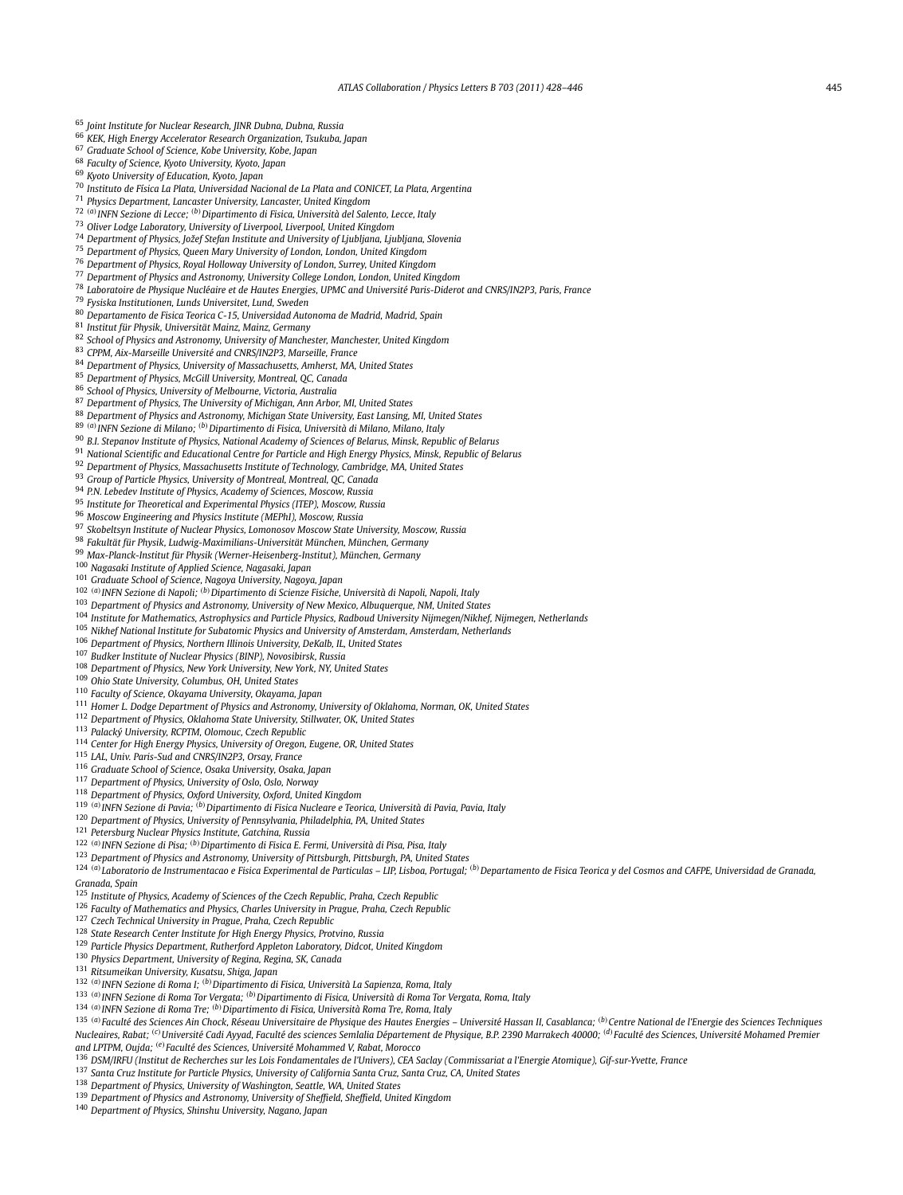<span id="page-17-0"></span>

| <sup>65</sup> Joint Institute for Nuclear Research, JINR Dubna, Dubna, Russia                                                                                                                               |
|-------------------------------------------------------------------------------------------------------------------------------------------------------------------------------------------------------------|
| <sup>66</sup> KEK, High Energy Accelerator Research Organization, Tsukuba, Japan                                                                                                                            |
| <sup>67</sup> Graduate School of Science, Kobe University, Kobe, Japan                                                                                                                                      |
| <sup>68</sup> Faculty of Science, Kyoto University, Kyoto, Japan                                                                                                                                            |
| <sup>69</sup> Kyoto University of Education, Kyoto, Japan                                                                                                                                                   |
| <sup>70</sup> Instituto de Física La Plata, Universidad Nacional de La Plata and CONICET, La Plata, Argentina                                                                                               |
| <sup>71</sup> Physics Department, Lancaster University, Lancaster, United Kingdom                                                                                                                           |
| 72 (a) INFN Sezione di Lecce; (b) Dipartimento di Fisica, Università del Salento, Lecce, Italy                                                                                                              |
| <sup>73</sup> Oliver Lodge Laboratory, University of Liverpool, Liverpool, United Kingdom                                                                                                                   |
| 74 Department of Physics, Jožef Stefan Institute and University of Ljubljana, Ljubljana, Slovenia                                                                                                           |
|                                                                                                                                                                                                             |
| <sup>75</sup> Department of Physics, Queen Mary University of London, London, United Kingdom                                                                                                                |
| <sup>76</sup> Department of Physics, Royal Holloway University of London, Surrey, United Kingdom                                                                                                            |
| 77 Department of Physics and Astronomy, University College London, London, United Kingdom                                                                                                                   |
| <sup>78</sup> Laboratoire de Physique Nucléaire et de Hautes Energies, UPMC and Université Paris-Diderot and CNRS/IN2P3, Paris, France                                                                      |
| <sup>79</sup> Fysiska Institutionen, Lunds Universitet, Lund, Sweden                                                                                                                                        |
| <sup>80</sup> Departamento de Fisica Teorica C-15, Universidad Autonoma de Madrid, Madrid, Spain                                                                                                            |
| <sup>81</sup> Institut für Physik, Universität Mainz, Mainz, Germany                                                                                                                                        |
| 82 School of Physics and Astronomy, University of Manchester, Manchester, United Kingdom                                                                                                                    |
| <sup>83</sup> CPPM, Aix-Marseille Université and CNRS/IN2P3, Marseille, France                                                                                                                              |
| 84 Department of Physics, University of Massachusetts, Amherst, MA, United States                                                                                                                           |
| <sup>85</sup> Department of Physics, McGill University, Montreal, QC, Canada                                                                                                                                |
| <sup>86</sup> School of Physics, University of Melbourne, Victoria, Australia                                                                                                                               |
| <sup>87</sup> Department of Physics, The University of Michigan, Ann Arbor, MI, United States                                                                                                               |
| <sup>88</sup> Department of Physics and Astronomy, Michigan State University, East Lansing, MI, United States                                                                                               |
| <sup>89 (a)</sup> INFN Sezione di Milano; <sup>(b)</sup> Dipartimento di Fisica, Università di Milano, Milano, Italy                                                                                        |
| <sup>90</sup> B.I. Stepanov Institute of Physics, National Academy of Sciences of Belarus, Minsk, Republic of Belarus                                                                                       |
| 91 National Scientific and Educational Centre for Particle and High Energy Physics, Minsk, Republic of Belarus                                                                                              |
| 92 Department of Physics, Massachusetts Institute of Technology, Cambridge, MA, United States                                                                                                               |
| <sup>93</sup> Group of Particle Physics, University of Montreal, Montreal, QC, Canada                                                                                                                       |
| <sup>94</sup> P.N. Lebedev Institute of Physics, Academy of Sciences, Moscow, Russia                                                                                                                        |
| <sup>95</sup> Institute for Theoretical and Experimental Physics (ITEP), Moscow, Russia                                                                                                                     |
| 96 Moscow Engineering and Physics Institute (MEPhI), Moscow, Russia                                                                                                                                         |
| 97 Skobeltsyn Institute of Nuclear Physics, Lomonosov Moscow State University, Moscow, Russia                                                                                                               |
| <sup>98</sup> Fakultät für Physik, Ludwig-Maximilians-Universität München, München, Germany                                                                                                                 |
| 99 Max-Planck-Institut für Physik (Werner-Heisenberg-Institut), München, Germany                                                                                                                            |
| <sup>100</sup> Nagasaki Institute of Applied Science, Nagasaki, Japan                                                                                                                                       |
| <sup>101</sup> Graduate School of Science, Nagoya University, Nagoya, Japan                                                                                                                                 |
| 102 (a) INFN Sezione di Napoli; (b) Dipartimento di Scienze Fisiche, Università di Napoli, Napoli, Italy                                                                                                    |
| <sup>103</sup> Department of Physics and Astronomy, University of New Mexico, Albuquerque, NM, United States                                                                                                |
| <sup>104</sup> Institute for Mathematics, Astrophysics and Particle Physics, Radboud University Nijmegen/Nikhef, Nijmegen, Netherlands                                                                      |
| <sup>105</sup> Nikhef National Institute for Subatomic Physics and University of Amsterdam, Amsterdam, Netherlands                                                                                          |
| <sup>106</sup> Department of Physics, Northern Illinois University, DeKalb, IL, United States                                                                                                               |
|                                                                                                                                                                                                             |
| <sup>107</sup> Budker Institute of Nuclear Physics (BINP), Novosibirsk, Russia                                                                                                                              |
| <sup>108</sup> Department of Physics, New York University, New York, NY, United States                                                                                                                      |
| <sup>109</sup> Ohio State University, Columbus, OH, United States                                                                                                                                           |
| <sup>110</sup> Faculty of Science, Okayama University, Okayama, Japan                                                                                                                                       |
| 111 Homer L. Dodge Department of Physics and Astronomy, University of Oklahoma, Norman, OK, United States                                                                                                   |
| <sup>112</sup> Department of Physics, Oklahoma State University, Stillwater, OK, United States                                                                                                              |
| <sup>113</sup> Palacký University, RCPTM, Olomouc, Czech Republic                                                                                                                                           |
| <sup>114</sup> Center for High Energy Physics, University of Oregon, Eugene, OR, United States                                                                                                              |
| <sup>115</sup> LAL, Univ. Paris-Sud and CNRS/IN2P3, Orsay, France                                                                                                                                           |
| <sup>116</sup> Graduate School of Science, Osaka University, Osaka, Japan                                                                                                                                   |
| <sup>117</sup> Department of Physics, University of Oslo, Oslo, Norway                                                                                                                                      |
| <sup>118</sup> Department of Physics, Oxford University, Oxford, United Kingdom                                                                                                                             |
| <sup>119 (a)</sup> INFN Sezione di Pavia; <sup>(b)</sup> Dipartimento di Fisica Nucleare e Teorica, Università di Pavia, Pavia, Italy                                                                       |
| <sup>120</sup> Department of Physics, University of Pennsylvania, Philadelphia, PA, United States                                                                                                           |
| <sup>121</sup> Petersburg Nuclear Physics Institute, Gatchina, Russia                                                                                                                                       |
| 122 (a) INFN Sezione di Pisa; (b) Dipartimento di Fisica E. Fermi, Università di Pisa, Pisa, Italy                                                                                                          |
| <sup>123</sup> Department of Physics and Astronomy, University of Pittsburgh, Pittsburgh, PA, United States                                                                                                 |
| <sup>124 (a)</sup> Laboratorio de Instrumentacao e Fisica Experimental de Particulas - LIP, Lisboa, Portugal; <sup>(b)</sup> Departamento de Fisica Teorica y del Cosmos and CAFPE, Universidad de Granada, |
| Granada, Spain                                                                                                                                                                                              |

- *Institute of Physics, Academy of Sciences of the Czech Republic, Praha, Czech Republic*
- *Faculty of Mathematics and Physics, Charles University in Prague, Praha, Czech Republic*
- *Czech Technical University in Prague, Praha, Czech Republic*
- *State Research Center Institute for High Energy Physics, Protvino, Russia*
- *Particle Physics Department, Rutherford Appleton Laboratory, Didcot, United Kingdom*
- *Physics Department, University of Regina, Regina, SK, Canada*
- *Ritsumeikan University, Kusatsu, Shiga, Japan*

- *(a)INFN Sezione di Roma I; (b)Dipartimento di Fisica, Università La Sapienza, Roma, Italy*
- *(a)INFN Sezione di Roma Tor Vergata; (b)Dipartimento di Fisica, Università di Roma Tor Vergata, Roma, Italy*
- *(a)INFN Sezione di Roma Tre; (b)Dipartimento di Fisica, Università Roma Tre, Roma, Italy*

135 (a) Faculté des Sciences Ain Chock, Réseau Universitaire de Physique des Hautes Energies - Université Hassan II, Casablanca; (b) Centre National de l'Energie des Sciences Techniques Nucleaires, Rabat; <sup>(c)</sup> Université Cadi Ayyad, Faculté des sciences Semlalia Département de Physique, B.P. 2390 Marrakech 40000; <sup>(d)</sup> Faculté des Sciences, Université Mohamed Premier *and LPTPM, Oujda; (e)Faculté des Sciences, Université Mohammed V, Rabat, Morocco*

- *DSM/IRFU (Institut de Recherches sur les Lois Fondamentales de l'Univers), CEA Saclay (Commissariat a l'Energie Atomique), Gif-sur-Yvette, France*
- *Santa Cruz Institute for Particle Physics, University of California Santa Cruz, Santa Cruz, CA, United States*
- *Department of Physics, University of Washington, Seattle, WA, United States*
- *Department of Physics and Astronomy, University of Sheffield, Sheffield, United Kingdom*
- *Department of Physics, Shinshu University, Nagano, Japan*